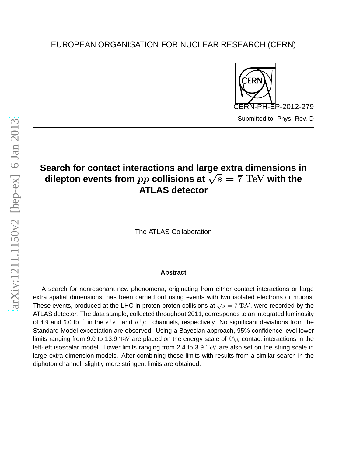## EUROPEAN ORGANISATION FOR NUCLEAR RESEARCH (CERN)



# **Search for contact interactions and large extra dimensions in dilepton events from**  $pp$  collisions at  $\sqrt{s} = 7$  TeV with the **ATLAS detector**

The ATLAS Collaboration

## **Abstract**

A search for nonresonant new phenomena, originating from either contact interactions or large extra spatial dimensions, has been carried out using events with two isolated electrons or muons. These events, produced at the LHC in proton-proton collisions at  $\sqrt{s} = 7$  TeV, were recorded by the ATLAS detector. The data sample, collected throughout 2011, corresponds to an integrated luminosity of 4.9 and 5.0 fb<sup>-1</sup> in the  $e^+e^-$  and  $\mu^+\mu^-$  channels, respectively. No significant deviations from the Standard Model expectation are observed. Using a Bayesian approach, 95% confidence level lower limits ranging from 9.0 to 13.9 TeV are placed on the energy scale of  $\ell \ell q q$  contact interactions in the left-left isoscalar model. Lower limits ranging from 2.4 to 3.9 TeV are also set on the string scale in large extra dimension models. After combining these limits with results from a similar search in the diphoton channel, slightly more stringent limits are obtained.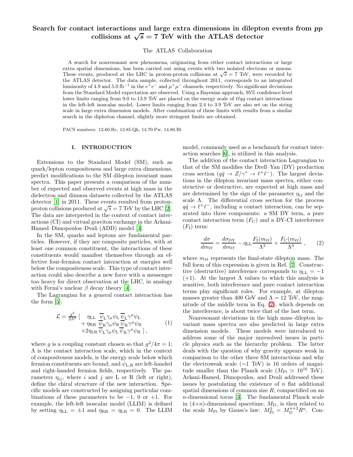## Search for contact interactions and large extra dimensions in dilepton events from  $pp$ collisions at  $\sqrt{s} = 7$  TeV with the ATLAS detector

The ATLAS Collaboration

A search for nonresonant new phenomena, originating from either contact interactions or large extra spatial dimensions, has been carried out using events with two isolated electrons or muons. These events, produced at the LHC in proton-proton collisions at  $\sqrt{s} = 7$  TeV, were recorded by the ATLAS detector. The data sample, collected throughout 2011, corresponds to an integrated luminosity of 4.9 and 5.0 fb<sup>-1</sup> in the  $e^+e^-$  and  $\mu^+\mu^-$  channels, respectively. No significant deviations from the Standard Model expectation are observed. Using a Bayesian approach, 95% confidence level lower limits ranging from 9.0 to 13.9 TeV are placed on the energy scale of  $\ell \ell \overline{q}q$  contact interactions in the left-left isoscalar model. Lower limits ranging from 2.4 to 3.9 TeV are also set on the string scale in large extra dimension models. After combination of these limits with results from a similar search in the diphoton channel, slightly more stringent limits are obtained.

PACS numbers: 12.60.Rc, 13.85.Qk, 14.70.Pw, 14.80.Rt

#### I. INTRODUCTION

Extensions to the Standard Model (SM), such as quark/lepton compositeness and large extra dimensions, predict modifications to the SM dilepton invariant mass spectra. This paper presents a comparison of the number of expected and observed events at high mass in the dielectron and dimuon datasets collected by the ATLAS detector [\[1\]](#page-11-0) in 2011. These events resulted from protonproton collisions produced at  $\sqrt{s} = 7$  TeV by the LHC [\[2\]](#page-11-1). The data are interpreted in the context of contact interactions (CI) and virtual graviton exchange in the Arkani-Hamed–Dimopoulos–Dvali (ADD) model [\[3\]](#page-11-2).

In the SM, quarks and leptons are fundamental particles. However, if they are composite particles, with at least one common constituent, the interactions of these constituents would manifest themselves through an effective four-fermion contact interaction at energies well below the compositeness scale. This type of contact interaction could also describe a new force with a messenger too heavy for direct observation at the LHC, in analogy with Fermi's nuclear  $\beta$  decay theory [\[4\]](#page-11-3).

The Lagrangian for a general contact interaction has the form [\[5](#page-11-4)]:

$$
\mathcal{L} = \frac{g^2}{2\Lambda^2} \left[ \begin{array}{cc} \eta_{\rm LL} & \overline{\psi}_{\rm L} \gamma_{\mu} \psi_{\rm L} & \overline{\psi}_{\rm L} \gamma^{\mu} \psi_{\rm L} \\ + \eta_{\rm RR} & \overline{\psi}_{\rm R} \gamma_{\mu} \psi_{\rm R} & \overline{\psi}_{\rm R} \gamma^{\mu} \psi_{\rm R} \\ + 2 \eta_{\rm LR} & \overline{\psi}_{\rm L} \gamma_{\mu} \psi_{\rm L} & \overline{\psi}_{\rm R} \gamma^{\mu} \psi_{\rm R} \end{array} \right] \tag{1}
$$

where g is a coupling constant chosen so that  $g^2/4\pi = 1$ ; Λ is the contact interaction scale, which in the context of compositeness models, is the energy scale below which fermion constituents are bound; and  $\psi_{L,R}$  are left-handed and right-handed fermion fields, respectively. The parameters  $\eta_{ij}$ , where i and j are L or R (left or right), define the chiral structure of the new interaction. Specific models are constructed by assigning particular combinations of these parameters to be  $-1$ , 0 or  $+1$ . For example, the left-left isoscalar model (LLIM) is defined by setting  $\eta_{\text{LL}} = \pm 1$  and  $\eta_{\text{RR}} = \eta_{\text{LR}} = 0$ . The LLIM

model, commonly used as a benchmark for contact interaction searches [\[6](#page-11-5)], is utilized in this analysis.

The addition of the contact interaction Lagrangian to that of the SM modifies the Drell–Yan (DY) production cross section  $(q\bar{q} \to Z/\gamma^* \to \ell^+ \ell^-)$ . The largest deviations in the dilepton invariant mass spectra, either constructive or destructive, are expected at high mass and are determined by the sign of the parameter  $\eta_{ij}$  and the scale  $\Lambda$ . The differential cross section for the process  $q\bar{q} \to \ell^+\ell^-$ , including a contact interaction, can be separated into three components: a SM DY term, a pure contact interaction term  $(F_C)$  and a DY-CI interference  $(F<sub>I</sub>)$  term:

<span id="page-1-0"></span>
$$
\frac{d\sigma}{dm_{\ell\ell}} = \frac{d\sigma_{\rm DY}}{dm_{\ell\ell}} - \eta_{\rm LL} \frac{F_{\rm I}(m_{\ell\ell})}{\Lambda^2} + \frac{F_{\rm C}(m_{\ell\ell})}{\Lambda^4} \,, \tag{2}
$$

where  $m_{\ell\ell}$  represents the final-state dilepton mass. The full form of this expression is given in Ref. [\[7\]](#page-11-6). Constructive (destructive) interference corresponds to  $\eta_{\text{LL}} = -1$ (+1). At the largest  $\Lambda$  values to which this analysis is sensitive, both interference and pure contact interaction terms play significant roles. For example, at dilepton masses greater than 400 GeV and  $\Lambda = 12$  TeV, the magnitude of the middle term in Eq. [\(2\)](#page-1-0), which depends on the interference, is about twice that of the last term.

Nonresonant deviations in the high mass dilepton invariant mass spectra are also predicted in large extra dimension models. These models were introduced to address some of the major unresolved issues in particle physics such as the hierarchy problem. The latter deals with the question of why gravity appears weak in comparison to the other three SM interactions and why the electroweak scale (∼1 TeV) is 16 orders of magnitude smaller than the Planck scale ( $M_{\text{Pl}} \simeq 10^{16} \text{ TeV}$ ). Arkani-Hamed, Dimopoulos, and Dvali addressed these issues by postulating the existence of  $n$  flat additional spatial dimensions of common size  $R$ , compactified on an n-dimensional torus [\[3](#page-11-2)]. The fundamental Planck scale in  $(4+n)$ -dimensional spacetime,  $M_D$ , is then related to the scale  $M_{\text{Pl}}$  by Gauss's law:  $M_{\text{Pl}}^2 = M_{\text{D}}^{n+2} R^n$ . Con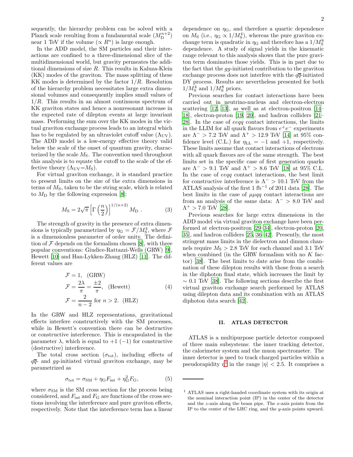sequently, the hierarchy problem can be solved with a Planck scale resulting from a fundamental scale  $(M_{\text{D}}^{n+2})$ near 1 TeV if the volume  $(\propto R^n)$  is large enough.

In the ADD model, the SM particles and their interactions are confined to a three-dimensional slice of the multidimensional world, but gravity permeates the additional dimensions of size R. This results in Kaluza-Klein (KK) modes of the graviton. The mass splitting of these KK modes is determined by the factor  $1/R$ . Resolution of the hierarchy problem necessitates large extra dimensional volumes and consequently implies small values of  $1/R$ . This results in an almost continuous spectrum of KK graviton states and hence a nonresonant increase in the expected rate of dilepton events at large invariant mass. Performing the sum over the KK modes in the virtual graviton exchange process leads to an integral which has to be regulated by an ultraviolet cutoff value  $(\Lambda_{UV})$ . The ADD model is a low-energy effective theory valid below the scale of the onset of quantum gravity, characterized by the scale  $M<sub>S</sub>$ . The convention used throughout this analysis is to equate the cutoff to the scale of the effective theory  $(\Lambda_{\text{UV}}=M_{\text{S}})$ .

For virtual graviton exchange, it is standard practice to present limits on the size of the extra dimensions in terms of  $M<sub>S</sub>$ , taken to be the string scale, which is related to  $M_{\rm D}$  by the following expression [\[8\]](#page-11-7):

$$
M_{\rm S} = 2\sqrt{\pi} \left[ \Gamma \left( \frac{n}{2} \right) \right]^{1/(n+2)} M_{\rm D} \ . \tag{3}
$$

The strength of gravity in the presence of extra dimensions is typically parametrized by  $\eta_G = \mathcal{F}/M_S^4$ , where  $\mathcal{F}$ is a dimensionless parameter of order unity. The definition of  $\mathcal F$  depends on the formalism chosen [\[8\]](#page-11-7), with three popular conventions: Giudice-Rattazzi-Wells (GRW) [\[9\]](#page-11-8), Hewett [\[10\]](#page-11-9) and Han-Lykken-Zhang (HLZ) [\[11\]](#page-11-10). The different values are

<span id="page-2-2"></span>
$$
\mathcal{F} = 1, \quad \text{(GRW)}
$$
\n
$$
\mathcal{F} = \frac{2\lambda}{\pi} = \frac{\pm 2}{\pi}, \quad \text{(Hewett)} \tag{4}
$$
\n
$$
\mathcal{F} = \frac{2}{n-2} \text{ for } n > 2. \quad \text{(HLZ)}
$$

In the GRW and HLZ representations, gravitational effects interfere constructively with the SM processes, while in Hewett's convention there can be destructive or constructive interference. This is encapsulated in the parameter  $\lambda$ , which is equal to  $+1$  (-1) for constructive (destructive) interference.

The total cross section  $(\sigma_{\text{tot}})$ , including effects of  $q\overline{q}$ - and gg-initiated virtual graviton exchange, may be parametrized as

<span id="page-2-1"></span>
$$
\sigma_{\rm tot} = \sigma_{\rm SM} + \eta_{\rm G} F_{\rm int} + \eta_{\rm G}^2 F_{\rm G},\tag{5}
$$

where  $\sigma_{\rm SM}$  is the SM cross section for the process being considered, and  $F_{\text{int}}$  and  $F_{\text{G}}$  are functions of the cross sections involving the interference and pure graviton effects, respectively. Note that the interference term has a linear

dependence on  $\eta_{\rm G}$ , and therefore a quartic dependence on  $M_{\rm S}$  (i.e.,  $\eta_{\rm G} \propto 1/M_{\rm S}^4$ ), whereas the pure graviton exchange term is quadratic in  $\eta$ <sup>G</sup> and therefore has a  $1/M^8_{\rm S}$ dependence. A study of signal yields in the kinematic range relevant to this analysis shows that the pure graviton term dominates those yields. This is in part due to the fact that the gg-initiated contribution to the graviton exchange process does not interfere with the  $q\bar{q}$ -initiated DY process. Results are nevertheless presented for both  $1/M_{\rm S}^4$  and  $1/M_{\rm S}^8$  priors.

Previous searches for contact interactions have been carried out in neutrino-nucleus and electron-electron scattering [\[12](#page-11-11), [13](#page-11-12)], as well as at electron-positron [\[14](#page-11-13)– [18\]](#page-11-14), electron-proton [\[19](#page-11-15), [20](#page-11-16)], and hadron colliders [\[21](#page-11-17)– [28\]](#page-11-18). In the case of eeqq contact interactions, the limits in the LLIM for all quark flavors from  $e^+e^-$  experiments are  $\Lambda^{-}$  > 7.2 TeV and  $\Lambda^{+}$  > 12.9 TeV [\[14\]](#page-11-13) at 95% confidence level (C.L.) for  $\eta_{\text{LL}} = -1$  and  $+1$ , respectively. These limits assume that contact interactions of electrons with all quark flavors are of the same strength. The best limits set in the specific case of first generation quarks are  $\Lambda^{-}$  > 9.1 TeV and  $\Lambda^{+}$  > 8.6 TeV [\[18](#page-11-14)] at 95% C.L. In the case of eeqq contact interactions, the best limit for constructive interference is  $\Lambda^{-}$  > 10.1 TeV from the ATLAS analysis of the first 1 fb<sup>−</sup><sup>1</sup> of 2011 data [\[28](#page-11-18)]. The best limits in the case of  $\mu\mu q\bar{q}$  contact interactions are from an analysis of the same data:  $\Lambda^{-} > 8.0$  TeV and  $\Lambda^+ > 7.0$  TeV [\[28](#page-11-18)].

Previous searches for large extra dimensions in the ADD model via virtual graviton exchange have been performed at electron-positron [\[29](#page-11-19)[–34\]](#page-11-20), electron-proton [\[20](#page-11-16), [35\]](#page-11-21), and hadron colliders [\[25,](#page-11-22) [36](#page-11-23)[–42](#page-12-0)]. Presently, the most stringent mass limits in the dielectron and dimuon channels require  $M<sub>S</sub> > 2.8$  TeV for each channel and 3.1 TeV when combined (in the GRW formalism with no  $K$  factor) [\[38](#page-11-24)]. The best limits to date arise from the combination of these dilepton results with those from a search in the diphoton final state, which increases the limit by  $\sim 0.1$  TeV [\[38](#page-11-24)]. The following sections describe the first virtual graviton exchange search performed by ATLAS using dilepton data and its combination with an ATLAS diphoton data search [\[42\]](#page-12-0).

#### II. ATLAS DETECTOR

ATLAS is a multipurpose particle detector composed of three main subsystems: the inner tracking detector, the calorimeter system and the muon spectrometer. The inner detector is used to track charged particles within a pseudorapidity  $\eta^1$  $\eta^1$  in the range  $|\eta| < 2.5$ . It comprises a

<span id="page-2-0"></span><sup>1</sup> ATLAS uses a right-handed coordinate system with its origin at the nominal interaction point (IP) in the center of the detector and the z-axis along the beam pipe. The x-axis points from the IP to the center of the LHC ring, and the y-axis points upward.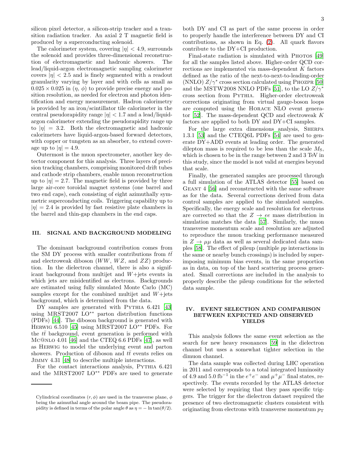silicon pixel detector, a silicon-strip tracker and a transition radiation tracker. An axial 2 T magnetic field is produced by a superconducting solenoid.

The calorimeter system, covering  $|\eta| < 4.9$ , surrounds the solenoid and provides three-dimensional reconstruction of electromagnetic and hadronic showers. The lead/liquid-argon electromagnetic sampling calorimeter covers  $|\eta|$  < 2.5 and is finely segmented with a readout granularity varying by layer and with cells as small as  $0.025 \times 0.025$  in  $(\eta, \phi)$  to provide precise energy and position resolution, as needed for electron and photon identification and energy measurement. Hadron calorimetry is provided by an iron/scintillator tile calorimeter in the central pseudorapidity range  $|\eta| < 1.7$  and a lead/liquidargon calorimeter extending the pseudorapidity range up to  $|\eta| = 3.2$ . Both the electromagnetic and hadronic calorimeters have liquid-argon-based forward detectors, with copper or tungsten as an absorber, to extend coverage up to  $|\eta| = 4.9$ .

Outermost is the muon spectrometer, another key detector component for this analysis. Three layers of precision tracking chambers, comprising monitored drift tubes and cathode strip chambers, enable muon reconstruction up to  $|\eta| = 2.7$ . The magnetic field is provided by three large air-core toroidal magnet systems (one barrel and two end caps), each consisting of eight azimuthally symmetric superconducting coils. Triggering capability up to  $|\eta| = 2.4$  is provided by fast resistive plate chambers in the barrel and thin-gap chambers in the end caps.

#### III. SIGNAL AND BACKGROUND MODELING

The dominant background contribution comes from the SM DY process with smaller contributions from  $t\bar{t}$ and electroweak diboson  $(WW, WZ, \text{ and } ZZ)$  production. In the dielectron channel, there is also a significant background from multijet and W+jets events in which jets are misidentified as electrons. Backgrounds are estimated using fully simulated Monte Carlo (MC) samples except for the combined multijet and  $W +$ jets background, which is determined from the data.

DY samples are generated with PYTHIA 6.421 [\[43](#page-12-1)] using MRST2007 LO∗∗ parton distribution functions (PDFs) [\[44\]](#page-12-2). The diboson background is generated with Herwig 6.510 [\[45\]](#page-12-3) using MRST2007 LO∗∗ PDFs. For the  $t\bar{t}$  background, event generation is performed with Mc@nlo 4.01 [\[46](#page-12-4)] and the CTEQ 6.6 PDFs [\[47\]](#page-12-5), as well as Herwig to model the underlying event and parton showers. Production of diboson and  $t\bar{t}$  events relies on Jimmy 4.31 [\[48\]](#page-12-6) to describe multiple interactions.

For the contact interactions analysis, PYTHIA  $6.421$ and the MRST2007 LO∗∗ PDFs are used to generate

both DY and CI as part of the same process in order to properly handle the interference between DY and CI contributions, as shown in Eq. [\(2\)](#page-1-0). All quark flavors contribute to the DY+CI production.

Final-state radiation is simulated with Phoros [\[49](#page-12-7)] for all the samples listed above. Higher-order QCD corrections are implemented via mass-dependent K factors defined as the ratio of the next-to-next-to-leading-order (NNLO)  $Z/\gamma^*$  cross section calculated using PHOZPR [\[50](#page-12-8)] and the MSTW2008 NNLO PDFs [\[51\]](#page-12-9), to the LO  $Z/\gamma^*$ cross section from Pythia. Higher-order electroweak corrections originating from virtual gauge-boson loops are computed using the Horace NLO event generator [\[52\]](#page-12-10). The mass-dependent QCD and electroweak K factors are applied to both DY and DY+CI samples.

For the large extra dimensions analysis, SHERPA 1.3.1 [\[53\]](#page-12-11) and the CTEQ6L PDFs [\[54\]](#page-12-12) are used to generate DY+ADD events at leading order. The generated dilepton mass is required to be less than the scale  $M<sub>S</sub>$ , which is chosen to be in the range between 2 and 3 TeV in this study, since the model is not valid at energies beyond that scale.

Finally, the generated samples are processed through a full simulation of the ATLAS detector [\[55\]](#page-12-13) based on Geant 4 [\[56\]](#page-12-14) and reconstructed with the same software as for the data. Several corrections derived from data control samples are applied to the simulated samples. Specifically, the energy scale and resolution for electrons are corrected so that the  $Z \rightarrow ee$  mass distribution in simulation matches the data [\[57\]](#page-12-15). Similarly, the muon transverse momentum scale and resolution are adjusted to reproduce the muon tracking performance measured in  $Z \rightarrow \mu\mu$  data as well as several dedicated data samples [\[58](#page-12-16)]. The effect of pileup (multiple pp interactions in the same or nearby bunch crossings) is included by superimposing minimum bias events, in the same proportion as in data, on top of the hard scattering process generated. Small corrections are included in the analysis to properly describe the pileup conditions for the selected data sample.

#### IV. EVENT SELECTION AND COMPARISON BETWEEN EXPECTED AND OBSERVED YIELDS

This analysis follows the same event selection as the search for new heavy resonances [\[59\]](#page-12-17) in the dielectron channel but uses a somewhat tighter selection in the dimuon channel.

The data sample was collected during LHC operation in 2011 and corresponds to a total integrated luminosity of 4.9 and 5.0 fb<sup>-1</sup> in the  $e^+e^-$  and  $\mu^+\mu^-$  final states, respectively. The events recorded by the ATLAS detector were selected by requiring that they pass specific triggers. The trigger for the dielectron dataset required the presence of two electromagnetic clusters consistent with originating from electrons with transverse momentum  $p_T$ 

Cylindrical coordinates  $(r, \phi)$  are used in the transverse plane,  $\phi$ being the azimuthal angle around the beam pipe. The pseudorapidity is defined in terms of the polar angle  $\theta$  as  $\eta = -\ln \tan(\theta/2)$ .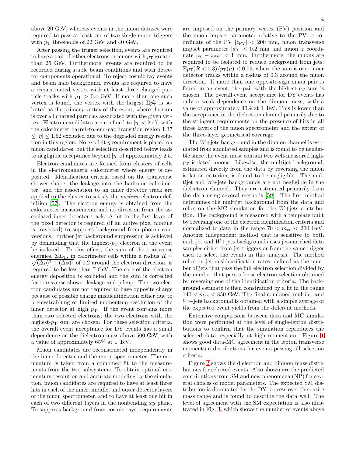above 20 GeV, whereas events in the muon dataset were required to pass at least one of two single-muon triggers with  $p_T$  thresholds of 22 GeV and 40 GeV.

After passing the trigger selection, events are required to have a pair of either electrons or muons with  $p_T$  greater than 25 GeV. Furthermore, events are required to be recorded during stable beam conditions and with detector components operational. To reject cosmic ray events and beam halo background, events are required to have a reconstructed vertex with at least three charged particle tracks with  $p_T > 0.4$  GeV. If more than one such vertex is found, the vertex with the largest  $\Sigma p_{\rm T}^2$  is selected as the primary vertex of the event, where the sum is over all charged particles associated with the given vertex. Electron candidates are confined to  $|\eta| < 2.47$ , with the calorimeter barrel–to–end-cap transition region 1.37  $\leq |\eta| \leq 1.52$  excluded due to the degraded energy resolution in this region. No explicit  $\eta$  requirement is placed on muon candidates, but the selection described below leads to negligible acceptance beyond  $|\eta|$  of approximately 2.5.

Electron candidates are formed from clusters of cells in the electromagnetic calorimeter where energy is deposited. Identification criteria based on the transverse shower shape, the leakage into the hadronic calorimeter, and the association to an inner detector track are applied to the cluster to satisfy the medium electron definition [\[57\]](#page-12-15). The electron energy is obtained from the calorimeter measurements and its direction from the associated inner detector track. A hit in the first layer of the pixel detector is required (if an active pixel module is traversed) to suppress background from photon conversions. Further jet background suppression is achieved by demanding that the highest- $p_T$  electron in the event be isolated. To this effect, the sum of the transverse energies,  $\Sigma E_{\rm T}$ , in calorimeter cells within a radius  $R =$  $\sqrt{(\Delta \eta)^2 + (\Delta \phi)^2}$  of 0.2 around the electron direction, is required to be less than 7 GeV. The core of the electron energy deposition is excluded and the sum is corrected for transverse shower leakage and pileup. The two electron candidates are not required to have opposite charge because of possible charge misidentification either due to bremsstrahlung or limited momentum resolution of the inner detector at high  $p_T$ . If the event contains more than two selected electrons, the two electrons with the highest- $p_T$  sum are chosen. For these selection criteria, the overall event acceptance for DY events has a small dependence on the dielectron mass above 500 GeV, with a value of approximately 65% at 1 TeV.

Muon candidates are reconstructed independently in the inner detector and the muon spectrometer. The momentum is taken from a combined fit to the measurements from the two subsystems. To obtain optimal momentum resolution and accurate modeling by the simulation, muon candidates are required to have at least three hits in each of the inner, middle, and outer detector layers of the muon spectrometer, and to have at least one hit in each of two different layers in the nonbending xy plane. To suppress background from cosmic rays, requirements are imposed on the primary vertex (PV) position and the muon impact parameter relative to the PV: z coordinate of the PV  $|z_{\rm PV}| < 200$  mm, muon transverse impact parameter  $|d_0| < 0.2$  mm and muon z coordinate  $|z_0 - z_{\text{PV}}| < 1$  mm. Furthermore, the muons are required to be isolated to reduce background from jets:  $\sum p_{\rm T}(R<0.3)/p_{\rm T}(\mu)<0.05$ , where the sum is over inner detector tracks within a radius of 0.3 around the muon direction. If more than one opposite-sign muon pair is found in an event, the pair with the highest- $p_T$  sum is chosen. The overall event acceptance for DY events has only a weak dependence on the dimuon mass, with a value of approximately 40% at 1 TeV. This is lower than the acceptance in the dielectron channel primarily due to the stringent requirements on the presence of hits in all three layers of the muon spectrometer and the extent of the three-layer geometrical coverage.

The  $W +$ jets background in the dimuon channel is estimated from simulated samples and is found to be negligible since the event must contain two well-measured high $p_T$  isolated muons. Likewise, the multijet background, estimated directly from the data by reversing the muon isolation criterion, is found to be negligible. The multijet and  $W +$ jets backgrounds are not negligible in the dielectron channel. They are estimated primarily from the data using several methods [\[59\]](#page-12-17). The first method determines the multijet background from the data and relies on the MC simulation for the  $W+$ jets contribution. The background is measured with a template built by reversing one of the electron identification criteria and normalized to data in the range  $70 < m_{ee} < 200$  GeV. Another independent method that is sensitive to both multijet and  $W +$ jets backgrounds uses jet-enriched data samples either from jet triggers or from the same trigger used to select the events in this analysis. The method relies on jet misidentification rates, defined as the number of jets that pass the full electron selection divided by the number that pass a loose electron selection obtained by reversing one of the identification criteria. The background estimate is then constrained by a fit in the range  $140 < m_{ee} < 850$  GeV. The final combined multijet and  $W +$ jets background is obtained with a simple average of the expected event yields from the different methods.

Extensive comparisons between data and MC simulation were performed at the level of single-lepton distributions to confirm that the simulation reproduces the selected data, especially at high momentum. Figure [1](#page-5-0) shows good data-MC agreement in the lepton transverse momentum distributions for events passing all selection criteria.

Figure [2](#page-5-1) shows the dielectron and dimuon mass distributions for selected events. Also shown are the predicted contributions from SM and new phenomena (NP) for several choices of model parameters. The expected SM distribution is dominated by the DY process over the entire mass range and is found to describe the data well. The level of agreement with the SM expectation is also illustrated in Fig. [3,](#page-7-0) which shows the number of events above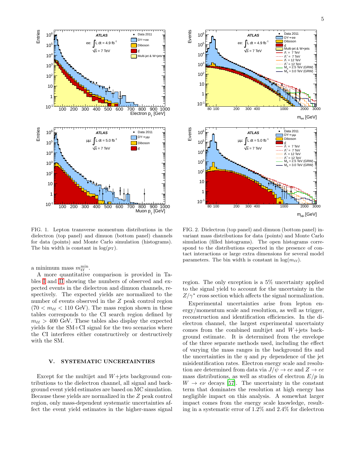

<span id="page-5-0"></span>FIG. 1. Lepton transverse momentum distributions in the dielectron (top panel) and dimuon (bottom panel) channels for data (points) and Monte Carlo simulation (histograms). The bin width is constant in  $\log(p_{\rm T})$ .

a minimum mass  $m_{\ell\ell}^{\min}$ .

A more quantitative comparison is provided in Tables [I](#page-6-0) and [II](#page-6-1) showing the numbers of observed and expected events in the dielectron and dimuon channels, respectively. The expected yields are normalized to the number of events observed in the Z peak control region  $(70 < m_{\ell\ell} < 110 \text{ GeV})$ . The mass region shown in these tables corresponds to the CI search region defined by  $m_{\ell\ell} > 400$  GeV. These tables also display the expected yields for the SM+CI signal for the two scenarios where the CI interferes either constructively or destructively with the SM.

#### V. SYSTEMATIC UNCERTAINTIES

Except for the multijet and  $W+$ jets background contributions to the dielectron channel, all signal and background event yield estimates are based on MC simulation. Because these yields are normalized in the Z peak control region, only mass-dependent systematic uncertainties affect the event yield estimates in the higher-mass signal



<span id="page-5-1"></span>FIG. 2. Dielectron (top panel) and dimuon (bottom panel) invariant mass distributions for data (points) and Monte Carlo simulation (filled histograms). The open histograms correspond to the distributions expected in the presence of contact interactions or large extra dimensions for several model parameters. The bin width is constant in  $\log(m_{\ell\ell})$ .

region. The only exception is a 5% uncertainty applied to the signal yield to account for the uncertainty in the  $Z/\gamma^*$  cross section which affects the signal normalization.

Experimental uncertainties arise from lepton energy/momentum scale and resolution, as well as trigger, reconstruction and identification efficiencies. In the dielectron channel, the largest experimental uncertainty comes from the combined multijet and W+jets background estimate. It is determined from the envelope of the three separate methods used, including the effect of varying the mass ranges in the background fits and the uncertainties in the  $\eta$  and  $p_T$  dependence of the jet misidentification rates. Electron energy scale and resolution are determined from data via  $J/\psi \rightarrow ee$  and  $Z \rightarrow ee$ mass distributions, as well as studies of electron  $E/p$  in  $W \rightarrow e\nu$  decays [\[57](#page-12-15)]. The uncertainty in the constant term that dominates the resolution at high energy has negligible impact on this analysis. A somewhat larger impact comes from the energy scale knowledge, resulting in a systematic error of 1.2% and 2.4% for dielectron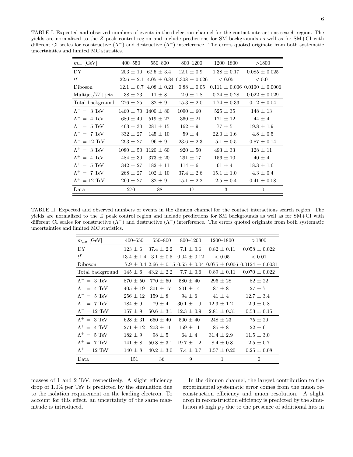<span id="page-6-0"></span>TABLE I. Expected and observed numbers of events in the dielectron channel for the contact interactions search region. The yields are normalized to the Z peak control region and include predictions for SM backgrounds as well as for SM+CI with different CI scales for constructive  $(\Lambda^-)$  and destructive  $(\Lambda^+)$  interference. The errors quoted originate from both systematic uncertainties and limited MC statistics.

| $m_{ee}$ [GeV]                 | $400 - 550$                 | 550–800      | 800–1200                                         | 1200–1800       | >1800                                 |
|--------------------------------|-----------------------------|--------------|--------------------------------------------------|-----------------|---------------------------------------|
| DY                             |                             |              | $203 \pm 10$ 62.5 $\pm$ 3.4 12.1 $\pm$ 0.9       |                 | $1.38 \pm 0.17$ 0.085 $\pm$ 0.025     |
| $t\bar{t}$                     |                             |              | $22.6 \pm 2.1$ 4.05 $\pm$ 0.34 0.308 $\pm$ 0.026 | < 0.05          | < 0.01                                |
| Diboson                        |                             |              | $12.1 \pm 0.7$ $4.08 \pm 0.21$ $0.88 \pm 0.05$   |                 | $0.111 \pm 0.006$ $0.0100 \pm 0.0006$ |
| $Multijet/W+jets$              | $38 \pm 23$                 | $11 \pm 8$   | $2.0 \pm 1.8$                                    | $0.24 \pm 0.28$ | $0.022 \pm 0.029$                     |
| Total background $276 \pm 25$  |                             | $82 \pm 9$   | $15.3 \pm 2.0$                                   | $1.74 \pm 0.33$ | $0.12 \pm 0.04$                       |
| $\Lambda^{-} = 3 \text{ TeV}$  | $1460 \pm 70$ $1400 \pm 80$ |              | $1090 \pm 60$                                    | $525 \pm 35$    | $148 \pm 13$                          |
| $\Lambda^{-} = 4 \text{ TeV}$  | $680 \pm 40$                | $519 \pm 27$ | $360 \pm 21$                                     | $171 \pm 12$    | $44 \pm 4$                            |
| $\Lambda^{-} = 5 \text{ TeV}$  | $463 \pm 30$                | $281 \pm 15$ | $162 \pm 9$                                      | $77 \pm 5$      | $19.8 \pm 1.9$                        |
| $\Lambda^{-} = 7$ TeV          | $332 \pm 27$                | $145 \pm 10$ | $59 \pm 4$                                       | $22.0 \pm 1.6$  | $4.8 \pm 0.5$                         |
| $\Lambda^{-} = 12 \text{ TeV}$ | $293 \pm 27$                | $96 \pm 9$   | $23.6 \pm 2.3$                                   | $5.1 \pm 0.5$   | $0.87 \pm 0.14$                       |
| $\Lambda^+ = 3 \text{ TeV}$    | $1080 \pm 50$ $1120 \pm 60$ |              | $920 \pm 50$                                     | $493 \pm 33$    | $128 \pm 11$                          |
| $\Lambda^+ = 4 \text{ TeV}$    | $484 \pm 30$                | $373 \pm 20$ | $291 \pm 17$                                     | $156 \pm 10$    | $40 \pm 4$                            |
| $\Lambda^+ = 5$ TeV            | $342 \pm 27$                | $182 \pm 11$ | $114 \pm 6$                                      | $61 \pm 4$      | $18.3 \pm 1.6$                        |
| $\Lambda^+ = 7$ TeV            | $268 \pm 27$                | $102 \pm 10$ | $37.4 \pm 2.6$                                   | $15.1 \pm 1.0$  | $4.3 \pm 0.4$                         |
| $\Lambda^+=12$ TeV             | $260 \pm 27$                | $82 \pm 9$   | $15.1 \pm 2.2$                                   | $2.5 \pm 0.4$   | $0.41 \pm 0.08$                       |
| Data                           | 270                         | 88           | 17                                               | 3               | $\Omega$                              |

TABLE II. Expected and observed numbers of events in the dimuon channel for the contact interactions search region. The yields are normalized to the Z peak control region and include predictions for SM backgrounds as well as for SM+CI with different CI scales for constructive  $(\Lambda^-)$  and destructive  $(\Lambda^+)$  interference. The errors quoted originate from both systematic uncertainties and limited MC statistics.

<span id="page-6-1"></span>

| $m_{\mu\mu}$ [GeV]            | $400 - 550$  | 550–800                      | 800–1200        | $1200 - 1800$   | >1800                                                                               |
|-------------------------------|--------------|------------------------------|-----------------|-----------------|-------------------------------------------------------------------------------------|
| DY                            | $123 \pm 6$  | $37.4 \pm 2.2$               | $7.1 \pm 0.6$   | $0.82 \pm 0.11$ | $0.058 \pm 0.022$                                                                   |
| $t\bar{t}$                    |              | $13.4 \pm 1.4$ $3.1 \pm 0.5$ | $0.04 \pm 0.12$ | ${}< 0.05$      | < 0.01                                                                              |
| Diboson                       |              |                              |                 |                 | $7.9 \pm 0.4$ $2.66 \pm 0.15$ $0.55 \pm 0.04$ $0.075 \pm 0.006$ $0.0124 \pm 0.0031$ |
| Total background              | $145 \pm 6$  | $43.2 \pm 2.2$               | $7.7 \pm 0.6$   | $0.89 \pm 0.11$ | $0.070 \pm 0.022$                                                                   |
| $\Lambda^{-} = 3$ TeV         | $870 \pm 50$ | $770 \pm 50$                 | $580 \pm 40$    | $296 \pm 28$    | $82 \pm 22$                                                                         |
| $\Lambda^{-} = 4$ TeV         | $405 \pm 19$ | $301 \pm 17$                 | $201 \pm 14$    | $87 \pm 8$      | $27 \pm 7$                                                                          |
| $\Lambda^{-} = 5 \text{ TeV}$ | $256 \pm 12$ | $159 \pm 8$                  | $94 \pm 6$      | $41 \pm 4$      | $12.7 \pm 3.4$                                                                      |
| $\Lambda^{-} = 7 \text{ TeV}$ | $184 \pm 9$  | $79 \pm 4$                   | $30.1 \pm 1.9$  | $12.3 \pm 1.2$  | $2.9 \pm 0.8$                                                                       |
| $\Lambda^{-} = 12$ TeV        | $157 \pm 9$  | $50.6 \pm 3.1$               | $12.3 \pm 0.9$  | $2.81 \pm 0.31$ | $0.53 \pm 0.15$                                                                     |
| $\Lambda^+ = 3$ TeV           | $628 \pm 31$ | $650 \pm 40$                 | $500 \pm 40$    | $248 \pm 23$    | $75 \pm 20$                                                                         |
| $\Lambda^+ = 4$ TeV           | $271 \pm 12$ | $203 \pm 11$                 | $159 \pm 11$    | $85 \pm 8$      | $22\pm 6$                                                                           |
| $\Lambda^+ = 5$ TeV           | $182 \pm 9$  | $98 \pm 5$                   | $64 \pm 4$      | $31.4 \pm 2.9$  | $11.5 \pm 3.0$                                                                      |
| $\Lambda^+ = 7$ TeV           | $141 \pm 8$  | $50.8 \pm 3.1$               | $19.7 \pm 1.2$  | $8.4 \pm 0.8$   | $2.5 \pm 0.7$                                                                       |
| $\Lambda^+ = 12$ TeV          | $140 \pm 8$  | $40.2 \pm 3.0$               | $7.4 \pm 0.7$   | $1.57 \pm 0.20$ | $0.25 \pm 0.08$                                                                     |
| Data                          | 151          | 36                           | 9               | 1               | $\overline{0}$                                                                      |

masses of 1 and 2 TeV, respectively. A slight efficiency drop of 1.0% per TeV is predicted by the simulation due to the isolation requirement on the leading electron. To account for this effect, an uncertainty of the same magnitude is introduced.

In the dimuon channel, the largest contribution to the experimental systematic error comes from the muon reconstruction efficiency and muon resolution. A slight drop in reconstruction efficiency is predicted by the simulation at high  $p_T$  due to the presence of additional hits in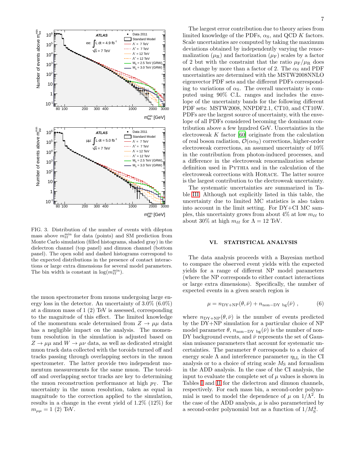

<span id="page-7-0"></span>FIG. 3. Distribution of the number of events with dilepton mass above  $m_{\ell\ell}^{\text{min}}$  for data (points) and SM prediction from Monte Carlo simulation (filled histograms, shaded gray) in the dielectron channel (top panel) and dimuon channel (bottom panel). The open solid and dashed histograms correspond to the expected distributions in the presence of contact interactions or large extra dimensions for several model parameters. The bin width is constant in  $\log(m_{\ell\ell}^{\text{min}})$ .

the muon spectrometer from muons undergoing large energy loss in the detector. An uncertainty of 3.0% (6.0%) at a dimuon mass of 1 (2) TeV is assessed, corresponding to the magnitude of this effect. The limited knowledge of the momentum scale determined from  $Z \to \mu\mu$  data has a negligible impact on the analysis. The momentum resolution in the simulation is adjusted based on  $Z \rightarrow \mu\mu$  and  $W \rightarrow \mu\nu$  data, as well as dedicated straight muon track data collected with the toroids turned off and tracks passing through overlapping sectors in the muon spectrometer. The latter provide two independent momentum measurements for the same muon. The toroidoff and overlapping sector tracks are key to determining the muon reconstruction performance at high  $p_T$ . The uncertainty in the muon resolution, taken as equal in magnitude to the correction applied to the simulation, results in a change in the event yield of 1.2% (12%) for  $m_{\mu\mu} = 1$  (2) TeV.

The largest error contribution due to theory arises from limited knowledge of the PDFs,  $\alpha_{\rm S}$ , and QCD K factors. Scale uncertainties are computed by taking the maximum deviations obtained by independently varying the renormalization  $(\mu_R)$  and factorization  $(\mu_F)$  scales by a factor of 2 but with the constraint that the ratio  $\mu_{\rm F}/\mu_{\rm R}$  does not change by more than a factor of 2. The  $\alpha_{\rm S}$  and PDF uncertainties are determined with the MSTW2008NNLO eigenvector PDF sets and the different PDFs corresponding to variations of  $\alpha_{\rm S}$ . The overall uncertainty is computed using 90% C.L. ranges and includes the envelope of the uncertainty bands for the following different PDF sets: MSTW2008, NNPDF2.1, CT10, and CT10W. PDFs are the largest source of uncertainty, with the envelope of all PDFs considered becoming the dominant contribution above a few hundred GeV. Uncertainties in the electroweak  $K$  factor [\[60](#page-12-18)] originate from the calculation of real boson radiation,  $\mathcal{O}(\alpha \alpha_{\rm S})$  corrections, higher-order electroweak corrections, an assumed uncertainty of 10% in the contribution from photon-induced processes, and a difference in the electroweak renormalization scheme definition used in Pythia and in the calculation of the electroweak corrections with Horace. The latter source is the largest contribution to the electroweak uncertainty.

The systematic uncertainties are summarized in Table [III.](#page-8-0) Although not explicitly listed in this table, the uncertainty due to limited MC statistics is also taken into account in the limit setting. For DY+CI MC samples, this uncertainty grows from about  $4\%$  at low  $m_{\ell\ell}$  to about 30% at high  $m_{\ell\ell}$  for  $\Lambda = 12$  TeV.

#### VI. STATISTICAL ANALYSIS

The data analysis proceeds with a Bayesian method to compare the observed event yields with the expected yields for a range of different NP model parameters (where the NP corresponds to either contact interactions or large extra dimensions). Specifically, the number of expected events in a given search region is

$$
\mu = n_{\rm DY+NP}(\theta, \bar{\nu}) + n_{\rm non-DY \, bg}(\bar{\nu}), \qquad (6)
$$

where  $n_{\text{DY+NP}}(\theta, \bar{\nu})$  is the number of events predicted by the DY+NP simulation for a particular choice of NP model parameter  $\theta$ ,  $n_{\text{non-DY bg}}(\bar{\nu})$  is the number of non-DY background events, and  $\bar{\nu}$  represents the set of Gaussian nuisance parameters that account for systematic uncertainties. The parameter  $\theta$  corresponds to a choice of energy scale  $\Lambda$  and interference parameter  $\eta_{LL}$  in the CI analysis or to a choice of string scale  $M<sub>S</sub>$  and formalism in the ADD analysis. In the case of the CI analysis, the input to evaluate the complete set of  $\mu$  values is shown in Tables [I](#page-6-0) and [II](#page-6-1) for the dielectron and dimuon channels, respectively. For each mass bin, a second-order polynomial is used to model the dependence of  $\mu$  on  $1/\Lambda^2$ . In the case of the ADD analysis,  $\mu$  is also parameterized by a second-order polynomial but as a function of  $1/M_S^4$ .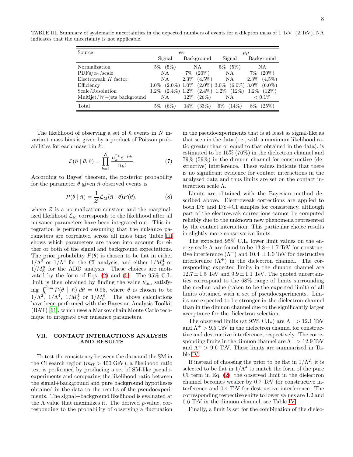TABLE III. Summary of systematic uncertainties in the expected numbers of events for a dilepton mass of 1 TeV (2 TeV). NA indicates that the uncertainty is not applicable.

<span id="page-8-0"></span>

| Source                          |               | ee                                                                      | $\mu\mu$      |                      |  |
|---------------------------------|---------------|-------------------------------------------------------------------------|---------------|----------------------|--|
|                                 | Signal        | Background                                                              | Signal        | Background           |  |
| Normalization                   | $5\%$ $(5\%)$ | NA                                                                      | $5\%$ $(5\%)$ | NΑ                   |  |
| $PDFs/\alpha s/scale$           | NA            | $7\%$ $(20\%)$                                                          | NA            | 7%<br>$(20\%)$       |  |
| Electroweak $K$ factor          | NA            | $2.3\%$ $(4.5\%)$                                                       | NA            | $(4.5\%)$<br>$2.3\%$ |  |
| Efficiency                      |               | $1.0\%$ $(2.0\%)$ $1.0\%$ $(2.0\%)$ $3.0\%$ $(6.0\%)$ $3.0\%$ $(6.0\%)$ |               |                      |  |
| Scale/Resolution                |               | $1.2\%$ $(2.4\%)$ $1.2\%$ $(2.4\%)$ $1.2\%$ $(12\%)$                    |               | $1.2\%$ $(12\%)$     |  |
| Multijet/ $W +$ jets background | NА            | $12\%$<br>$(26\%)$                                                      | NA            | $< 0.1\%$            |  |
| Total                           | (6%)<br>$5\%$ | (33%)<br>14%                                                            | $(14\%)$      | (25%)                |  |

The likelihood of observing a set of  $\bar{n}$  events in N invariant mass bins is given by a product of Poisson probabilities for each mass bin  $k$ :

$$
\mathcal{L}(\bar{n} \mid \theta, \bar{\nu}) = \prod_{k=1}^{N} \frac{\mu_k^{n_k} e^{-\mu_k}}{n_k!}.
$$
 (7)

According to Bayes' theorem, the posterior probability for the parameter  $\theta$  given  $\bar{n}$  observed events is

$$
\mathcal{P}(\theta \mid \bar{n}) = \frac{1}{\mathcal{Z}} \mathcal{L}_{\mathbf{M}}(\bar{n} \mid \theta) P(\theta), \tag{8}
$$

where  $\mathcal Z$  is a normalization constant and the marginalized likelihood  $\mathcal{L}_{\text{M}}$  corresponds to the likelihood after all nuisance parameters have been integrated out. This integration is performed assuming that the nuisance parameters are correlated across all mass bins; Table [III](#page-8-0) shows which parameters are taken into account for either or both of the signal and background expectations. The prior probability  $P(\theta)$  is chosen to be flat in either  $1/\Lambda^2$  or  $1/\Lambda^4$  for the CI analysis, and either  $1/M_S^4$  or  $1/M_{\rm S}^8$  for the ADD analysis. These choices are motivated by the form of Eqs.  $(2)$  and  $(5)$ . The 95% C.L. limit is then obtained by finding the value  $\theta_{\text{lim}}$  satisfying  $\int_0^{\theta_{\text{lim}}} \mathcal{P}(\theta \mid \bar{n}) d\theta = 0.95$ , where  $\theta$  is chosen to be  $1/\Lambda^2$ ,  $1/\Lambda^4$ ,  $1/M_S^4$  or  $1/M_S^8$ . The above calculations have been performed with the Bayesian Analysis Toolkit (BAT) [\[61\]](#page-12-19), which uses a Markov chain Monte Carlo technique to integrate over nuisance parameters.

#### VII. CONTACT INTERACTIONS ANALYSIS AND RESULTS

To test the consistency between the data and the SM in the CI search region ( $m_{\ell\ell} > 400$  GeV), a likelihood ratio test is performed by producing a set of SM-like pseudoexperiments and comparing the likelihood ratio between the signal+background and pure background hypotheses obtained in the data to the results of the pseudoexperiments. The signal+background likelihood is evaluated at the  $\Lambda$  value that maximizes it. The derived p-value, corresponding to the probability of observing a fluctuation

in the pseudoexperiments that is at least as signal-like as that seen in the data (i.e., with a maximum likelihood ratio greater than or equal to that obtained in the data), is estimated to be 15% (76%) in the dielectron channel and 79% (59%) in the dimuon channel for constructive (destructive) interference. These values indicate that there is no significant evidence for contact interactions in the analyzed data and thus limits are set on the contact interaction scale Λ.

Limits are obtained with the Bayesian method described above. Electroweak corrections are applied to both DY and DY+CI samples for consistency, although part of the electroweak corrections cannot be computed reliably due to the unknown new phenomena represented by the contact interaction. This particular choice results in slightly more conservative limits.

The expected 95% C.L. lower limit values on the energy scale  $\Lambda$  are found to be  $13.8 \pm 1.7$  TeV for constructive interference  $(\Lambda^-)$  and 10.4  $\pm 1.0$  TeV for destructive interference  $(\Lambda^+)$  in the dielectron channel. The corresponding expected limits in the dimuon channel are  $12.7 \pm 1.5$  TeV and  $9.9 \pm 1.1$  TeV. The quoted uncertainties correspond to the 68% range of limits surrounding the median value (taken to be the expected limit) of all limits obtained with a set of pseudoexperiments. Limits are expected to be stronger in the dielectron channel than in the dimuon channel due to the significantly larger acceptance for the dielectron selection.

The observed limits (at 95% C.L.) are  $\Lambda^{-} > 12.1$  TeV and  $\Lambda^+ > 9.5$  TeV in the dielectron channel for constructive and destructive interference, respectively. The corresponding limits in the dimuon channel are  $\Lambda^{-} > 12.9$  TeV and  $\Lambda^+ > 9.6$  TeV. These limits are summarized in Table [IV.](#page-9-0)

If instead of choosing the prior to be flat in  $1/\Lambda^2$ , it is selected to be flat in  $1/\Lambda^4$  to match the form of the pure CI term in Eq. [\(2\)](#page-1-0), the observed limit in the dielectron channel becomes weaker by 0.7 TeV for constructive interference and 0.4 TeV for destructive interference. The corresponding respective shifts to lower values are 1.2 and 0.6 TeV in the dimuon channel, see Table [IV.](#page-9-0)

Finally, a limit is set for the combination of the dielec-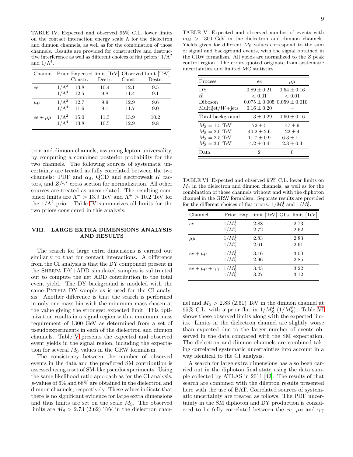<span id="page-9-0"></span>TABLE IV. Expected and observed 95% C.L. lower limits on the contact interaction energy scale  $\Lambda$  for the dielectron and dimuon channels, as well as for the combination of those channels. Results are provided for constructive and destructive interference as well as different choices of flat priors:  $1/\Lambda^2$ and  $1/\Lambda^4$ .

|               |               |                    |        |         | Channel Prior Expected limit [TeV] Observed limit [TeV] |
|---------------|---------------|--------------------|--------|---------|---------------------------------------------------------|
|               |               | Constr.            | Destr. | Constr. | Destr.                                                  |
| ee            |               | $1/\Lambda^2$ 13.8 | 10.4   | 12.1    | 9.5                                                     |
|               |               | $1/\Lambda^4$ 12.5 | 9.8    | 11.4    | 9.1                                                     |
| $\mu\mu$      | $1/\Lambda^2$ | 12.7               | 9.9    | 12.9    | 9.6                                                     |
|               |               | $1/\Lambda^4$ 11.6 | 9.1    | 11.7    | 9.0                                                     |
| $ee + \mu\mu$ | $1/\Lambda^2$ | 15.0               | 11.3   | 13.9    | 10.2                                                    |
|               | $1/\Lambda^4$ | 13.8               | 10.5   | 12.9    | 9.8                                                     |

tron and dimuon channels, assuming lepton universality, by computing a combined posterior probability for the two channels. The following sources of systematic uncertainty are treated as fully correlated between the two channels: PDF and  $\alpha$ <sub>S</sub>, QCD and electroweak K factors, and  $Z/\gamma^*$  cross section for normalization. All other sources are treated as uncorrelated. The resulting combined limits are  $\Lambda^{-}$  > 13.9 TeV and  $\Lambda^{+}$  > 10.2 TeV for the  $1/\Lambda^2$  prior. Table [IV](#page-9-0) summarizes all limits for the two priors considered in this analysis.

#### VIII. LARGE EXTRA DIMENSIONS ANALYSIS AND RESULTS

The search for large extra dimensions is carried out similarly to that for contact interactions. A difference from the CI analysis is that the DY component present in the Sherpa DY+ADD simulated samples is subtracted out to compute the net ADD contribution to the total event yield. The DY background is modeled with the same PYTHIA DY sample as is used for the CI analysis. Another difference is that the search is performed in only one mass bin with the minimum mass chosen at the value giving the strongest expected limit. This optimization results in a signal region with a minimum mass requirement of 1300 GeV as determined from a set of pseudoexperiments in each of the dielectron and dimuon channels. Table [V](#page-9-1) presents the expected and observed event yields in the signal region, including the expectation for several  $M<sub>S</sub>$  values in the GRW formalism.

The consistency between the number of observed events in the data and the predicted SM contribution is assessed using a set of SM-like pseudoexperiments. Using the same likelihood ratio approach as for the CI analysis, p-values of 6% and 68% are obtained in the dielectron and dimuon channels, respectively. These values indicate that there is no significant evidence for large extra dimensions and thus limits are set on the scale  $M<sub>S</sub>$ . The observed limits are  $M<sub>S</sub> > 2.73$  (2.62) TeV in the dielectron chan-

<span id="page-9-1"></span>TABLE V. Expected and observed number of events with  $m_{\ell\ell} > 1300$  GeV in the dielectron and dimuon channels. Yields given for different  $M<sub>S</sub>$  values correspond to the sum of signal and background events, with the signal obtained in the GRW formalism. All yields are normalized to the Z peak control region. The errors quoted originate from systematic uncertainties and limited MC statistics.

| Process              | ee            | $\mu\mu$                            |
|----------------------|---------------|-------------------------------------|
| DY                   | $0.89 + 0.21$ | $0.54 + 0.16$                       |
| tŦ.                  | < 0.01        | < 0.01                              |
| Diboson              |               | $0.075 \pm 0.005$ $0.059 \pm 0.010$ |
| Multijet/ $W +$ jets | $0.16 + 0.20$ |                                     |
| Total background     | $1.13 + 0.29$ | $0.60 + 0.16$                       |
| $M_s = 1.5$ TeV      | $72 + 5$      | $47 + 9$                            |
| $M_s = 2.0$ TeV      | $40.2 + 2.6$  | $22 + 4$                            |
| $M_{\rm S}=2.5$ TeV  | $11.7 + 0.9$  | $6.3 + 1.1$                         |
| $M_{\rm S}=3.0$ TeV  | $4.2 + 0.4$   | $2.3 + 0.4$                         |
| Data                 | 2             |                                     |

<span id="page-9-2"></span>TABLE VI. Expected and observed 95% C.L. lower limits on  $M<sub>S</sub>$  in the dielectron and dimuon channels, as well as for the combination of those channels without and with the diphoton channel in the GRW formalism. Separate results are provided for the different choices of flat priors:  $1/M_{\rm S}^4$  and  $1/\overline{M}_{\rm S}^8$ .

| Channel                                                    |                 |              | Prior Exp. limit [TeV] Obs. limit [TeV] |
|------------------------------------------------------------|-----------------|--------------|-----------------------------------------|
| ee                                                         | $1/M_{\rm S}^4$ | 2.88         | 2.73                                    |
|                                                            | $1/M_{\rm s}^8$ | 2.72         | 2.62                                    |
| $\mu\mu$                                                   | $1/M_{\rm s}^4$ | 2.83         | 2.83                                    |
|                                                            | $1/M_{\rm s}^8$ | 2.61         | 2.61                                    |
| $ee + \mu\mu$                                              | $1/M_{\rm S}^4$ | 3.16         | 3.00                                    |
|                                                            | $1/M_{\rm s}^8$ | 2.96         | 2.85                                    |
| $ee + \mu\mu + \gamma\gamma$ 1/M <sub>S</sub> <sup>4</sup> | $1/M_{\rm s}^8$ | 3.43<br>3.27 | 3.22<br>3.12                            |

nel and  $M<sub>S</sub> > 2.83$  (2.61) TeV in the dimuon channel at 95% C.L. with a prior flat in  $1/M_S^4$  ( $1/M_S^8$ ). Table [VI](#page-9-2) shows these observed limits along with the expected limits. Limits in the dielectron channel are slightly worse than expected due to the larger number of events observed in the data compared with the SM expectation. The dielectron and dimuon channels are combined taking correlated systematic uncertainties into account in a way identical to the CI analysis.

A search for large extra dimensions has also been carried out in the diphoton final state using the data sample collected by ATLAS in 2011 [\[42\]](#page-12-0). The results of that search are combined with the dilepton results presented here with the use of BAT. Correlated sources of systematic uncertainty are treated as follows. The PDF uncertainty in the SM diphoton and DY production is considered to be fully correlated between the ee,  $\mu\mu$  and  $\gamma\gamma$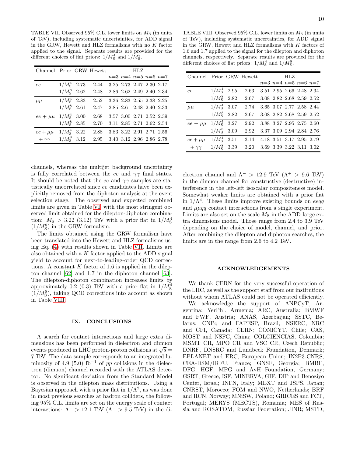<span id="page-10-0"></span>TABLE VII. Observed 95% C.L. lower limits on  $M<sub>S</sub>$  (in units of TeV), including systematic uncertainties, for ADD signal in the GRW, Hewett and HLZ formalisms with no K factor applied to the signal. Separate results are provided for the different choices of flat priors:  $1/M_{\rm S}^4$  and  $1/M_{\rm S}^8$ .

| Channel Prior GRW Hewett |                      |      |  | HLZ. |                               |  |
|--------------------------|----------------------|------|--|------|-------------------------------|--|
|                          |                      |      |  |      | $n=3$ $n=4$ $n=5$ $n=6$ $n=7$ |  |
| ee                       | $1/M_{\rm S}^4$ 2.73 | 2.44 |  |      | 3.25 2.73 2.47 2.30 2.17      |  |
|                          | $1/M_{\rm S}^8$ 2.62 | 2.48 |  |      | 2.86 2.62 2.49 2.40 2.34      |  |
| $\mu\mu$                 | $1/M_{\rm S}^4$ 2.83 | 2.52 |  |      | 3.36 2.83 2.55 2.38 2.25      |  |
|                          | $1/M_{\rm S}^8$ 2.61 | 2.47 |  |      | 2.85 2.61 2.48 2.40 2.33      |  |
| $ee + \mu\mu$            | $1/M_{\rm S}^4$ 3.00 | 2.68 |  |      | 3.57 3.00 2.71 2.52 2.39      |  |
|                          | $1/M_{\rm S}^8$ 2.85 | 2.70 |  |      | 3.11 2.85 2.71 2.62 2.54      |  |
| $ee + \mu\mu$            | $1/M_{\rm S}^4$ 3.22 | 2.88 |  |      | 3.83 3.22 2.91 2.71 2.56      |  |
| $+ \gamma \gamma$        | $1/M_{\rm S}^8$ 3.12 | 2.95 |  |      | 3.40 3.12 2.96 2.86 2.78      |  |

channels, whereas the multijet background uncertainty is fully correlated between the ee and  $\gamma\gamma$  final states. It should be noted that the ee and  $\gamma\gamma$  samples are statistically uncorrelated since ee candidates have been explicitly removed from the diphoton analysis at the event selection stage. The observed and expected combined limits are given in Table [VI,](#page-9-2) with the most stringent observed limit obtained for the dilepton-diphoton combination:  $M<sub>S</sub> > 3.22$  (3.12) TeV with a prior flat in  $1/M<sub>S</sub><sup>4</sup>$  $(1/M_{\rm S}^8)$  in the GRW formalism.

The limits obtained using the GRW formalism have been translated into the Hewett and HLZ formalisms using Eq. [\(4\)](#page-2-2) with results shown in Table [VII.](#page-10-0) Limits are also obtained with a  $K$  factor applied to the ADD signal yield to account for next-to-leading-order QCD corrections. A constant  $K$  factor of 1.6 is applied in the dilepton channel [\[62](#page-12-20)] and 1.7 in the diphoton channel [\[63\]](#page-12-21). The dilepton-diphoton combination increases limits by approximately 0.2 (0.3) TeV with a prior flat in  $1/M_{\rm S}^4$  $(1/M_{\rm S}^8),$  taking QCD corrections into account as shown in Table [VIII.](#page-10-1)

#### IX. CONCLUSIONS

A search for contact interactions and large extra dimensions has been performed in dielectron and dimuon events produced in LHC proton-proton collisions at  $\sqrt{s}$  = 7 TeV. The data sample corresponds to an integrated luminosity of 4.9 (5.0) fb<sup>-1</sup> of pp collisions in the dielectron (dimuon) channel recorded with the ATLAS detector. No significant deviation from the Standard Model is observed in the dilepton mass distributions. Using a Bayesian approach with a prior flat in  $1/\Lambda^2$ , as was done in most previous searches at hadron colliders, the following 95% C.L. limits are set on the energy scale of contact interactions:  $\Lambda^{-} > 12.1$  TeV  $(\Lambda^{+} > 9.5$  TeV) in the di-

<span id="page-10-1"></span>TABLE VIII. Observed  $95\%$  C.L. lower limits on  $M<sub>S</sub>$  (in units of TeV), including systematic uncertainties, for ADD signal in the GRW, Hewett and HLZ formalisms with  $K$  factors of 1.6 and 1.7 applied to the signal for the dilepton and diphoton channels, respectively. Separate results are provided for the different choices of flat priors:  $1/M_{\rm S}^4$  and  $1/M_{\rm S}^8$ .

| Channel Prior GRW Hewett |                      |      |  | HLZ |                               |  |
|--------------------------|----------------------|------|--|-----|-------------------------------|--|
|                          |                      |      |  |     | $n=3$ $n=4$ $n=5$ $n=6$ $n=7$ |  |
| ee                       | $1/M_{\rm S}^4$ 2.95 | 2.63 |  |     | 3.51 2.95 2.66 2.48 2.34      |  |
|                          | $1/M_{\rm S}^8$ 2.82 | 2.67 |  |     | 3.08 2.82 2.68 2.59 2.52      |  |
| $\mu\mu$                 | $1/M_{\rm S}^4$ 3.07 | 2.74 |  |     | 3.65 3.07 2.77 2.58 2.44      |  |
|                          | $1/M_{\rm S}^8$ 2.82 | 2.67 |  |     | 3.08 2.82 2.68 2.59 2.52      |  |
| $ee + \mu\mu$            | $1/M_{\rm S}^4$ 3.27 | 2.92 |  |     | 3.88 3.27 2.95 2.75 2.60      |  |
|                          | $1/M_{\rm s}^8$ 3.09 | 2.92 |  |     | 3.37 3.09 2.94 2.84 2.76      |  |
| $ee + \mu\mu$            | $1/M_{\rm S}^4$ 3.51 | 3.14 |  |     | 4.18 3.51 3.17 2.95 2.79      |  |
| $+\gamma\gamma$          | $1/M_{\rm S}^8$ 3.39 | 3.20 |  |     | 3.69 3.39 3.22 3.11 3.02      |  |

electron channel and  $\Lambda^{-}$  > 12.9 TeV ( $\Lambda^{+}$  > 9.6 TeV) in the dimuon channel for constructive (destructive) interference in the left-left isoscalar compositeness model. Somewhat weaker limits are obtained with a prior flat in  $1/\Lambda^4$ . These limits improve existing bounds on eeqq and  $\mu\mu qq$  contact interactions from a single experiment. Limits are also set on the scale  $M<sub>S</sub>$  in the ADD large extra dimensions model. Those range from 2.4 to 3.9 TeV depending on the choice of model, channel, and prior. After combining the dilepton and diphoton searches, the limits are in the range from 2.6 to 4.2 TeV.

#### ACKNOWLEDGEMENTS

We thank CERN for the very successful operation of the LHC, as well as the support staff from our institutions without whom ATLAS could not be operated efficiently.

We acknowledge the support of ANPCyT, Argentina; YerPhI, Armenia; ARC, Australia; BMWF and FWF, Austria; ANAS, Azerbaijan; SSTC, Belarus; CNPq and FAPESP, Brazil; NSERC, NRC and CFI, Canada; CERN; CONICYT, Chile; CAS, MOST and NSFC, China; COLCIENCIAS, Colombia; MSMT CR, MPO CR and VSC CR, Czech Republic; DNRF, DNSRC and Lundbeck Foundation, Denmark; EPLANET and ERC, European Union; IN2P3-CNRS, CEA-DSM/IRFU, France; GNSF, Georgia; BMBF, DFG, HGF, MPG and AvH Foundation, Germany; GSRT, Greece; ISF, MINERVA, GIF, DIP and Benoziyo Center, Israel; INFN, Italy; MEXT and JSPS, Japan; CNRST, Morocco; FOM and NWO, Netherlands; BRF and RCN, Norway; MNiSW, Poland; GRICES and FCT, Portugal; MERYS (MECTS), Romania; MES of Russia and ROSATOM, Russian Federation; JINR; MSTD,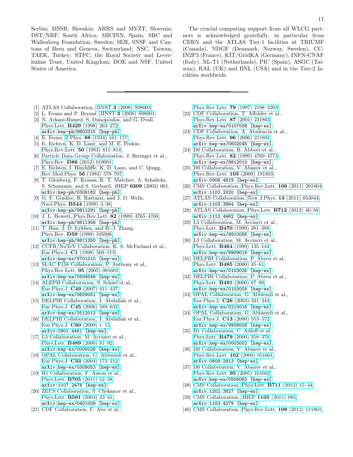Serbia; MSSR, Slovakia; ARRS and MVZT, Slovenia; DST/NRF, South Africa; MICINN, Spain; SRC and Wallenberg Foundation, Sweden; SER, SNSF and Cantons of Bern and Geneva, Switzerland; NSC, Taiwan; TAEK, Turkey; STFC, the Royal Society and Leverhulme Trust, United Kingdom; DOE and NSF, United States of America.

- <span id="page-11-0"></span>[1] ATLAS Collaboration, JINST 3 [\(2008\) S08003.](http://dx.doi.org/10.1088/1748-0221/3/08/S08003)
- <span id="page-11-1"></span>[2] L. Evans and P. Bryant, JINST 3 [\(2008\) S08001.](http://dx.doi.org/10.1088/1748-0221/3/08/S08001)
- <span id="page-11-2"></span>[3] N. Arkani-Hamed, S. Dimopoulos, and G. Dvali, Phys.Lett. B429 [\(1998\) 263–272,](http://dx.doi.org/10.1016/S0370-2693(98)00466-3) [arXiv:hep-ph/9803315 \[hep-ph\]](http://arxiv.org/abs/hep-ph/9803315).
- <span id="page-11-3"></span>[4] E. Fermi, Z.Phys. 88 [\(1934\) 161–177.](http://dx.doi.org/10.1007/BF01351864)
- <span id="page-11-4"></span>[5] E. Eichten, K. D. Lane, and M. E. Peskin, Phys.Rev.Lett. 50 [\(1983\) 811–814.](http://dx.doi.org/10.1103/PhysRevLett.50.811)
- <span id="page-11-5"></span>[6] Particle Data Group Collaboration, J. Beringer et al., Phys.Rev. D86 [\(2012\) 010001.](http://dx.doi.org/10.1103/PhysRevD.86.010001)
- <span id="page-11-6"></span>[7] E. Eichten, I. Hinchliffe, K. D. Lane, and C. Quigg, [Rev.Mod.Phys.](http://dx.doi.org/10.1103/RevModPhys.56.579) 56 (1984) 579–707.
- <span id="page-11-7"></span>[8] T. Gleisberg, F. Krauss, K. T. Matchev, A. Schalicke, S. Schumann, and S. Gerhard, JHEP 0309 (2003) 001, [arXiv:hep-ph/0306182 \[hep-ph\]](http://arxiv.org/abs/hep-ph/0306182).
- <span id="page-11-8"></span>[9] G. F. Giudice, R. Rattazzi, and J. D. Wells, Nucl.Phys. B544 [\(1999\) 3–38,](http://dx.doi.org/10.1016/S0550-3213(99)00044-9) [arXiv:hep-ph/9811291 \[hep-ph\]](http://arxiv.org/abs/hep-ph/9811291).
- <span id="page-11-9"></span>[10] J. L. Hewett, Phys.Rev.Lett. 82 [\(1999\) 4765–4768,](http://dx.doi.org/10.1103/PhysRevLett.82.4765) [arXiv:hep-ph/9811356 \[hep-ph\]](http://arxiv.org/abs/hep-ph/9811356).
- <span id="page-11-10"></span>[11] T. Han, J. D. Lykken, and R.-J. Zhang, Phys.Rev. D59 [\(1999\) 105006,](http://dx.doi.org/10.1103/PhysRevD.59.105006) [arXiv:hep-ph/9811350 \[hep-ph\]](http://arxiv.org/abs/hep-ph/9811350).
- <span id="page-11-11"></span>[12] CCFR/NuTeV Collaboration, K. S. McFarland et al., Eur.Phys.J. C1 [\(1998\) 509–513,](http://dx.doi.org/10.1007/s100520050099) [arXiv:hep-ex/9701010 \[hep-ex\]](http://arxiv.org/abs/hep-ex/9701010).
- <span id="page-11-12"></span>[13] SLAC E158 Collaboration, P. Anthony et al., [Phys.Rev.Lett.](http://dx.doi.org/10.1103/PhysRevLett.95.081601) 95 (2005) 081601, [arXiv:hep-ex/0504049 \[hep-ex\]](http://arxiv.org/abs/hep-ex/0504049).
- <span id="page-11-13"></span>[14] ALEPH Collaboration, S. Schael et al., Eur.Phys.J. C49 [\(2007\) 411–437,](http://dx.doi.org/10.1140/epjc/s10052-006-0156-8) [arXiv:hep-ex/0609051 \[hep-ex\]](http://arxiv.org/abs/hep-ex/0609051).
- [15] DELPHI Collaboration, J. Abdallah et al., Eur.Phys.J. C45 [\(2006\) 589–632,](http://dx.doi.org/10.1140/epjc/s2005-02461-0) [arXiv:hep-ex/0512012 \[hep-ex\]](http://arxiv.org/abs/hep-ex/0512012).
- [16] DELPHI Collaboration, J. Abdallah et al., Eur.Phys.J. C60 [\(2009\) 1–15,](http://dx.doi.org/10.1140/epjc/s10052-009-0917-2) [arXiv:0901.4461 \[hep-ex\]](http://arxiv.org/abs/0901.4461).
- [17] L3 Collaboration, M. Acciarri et al., Phys.Lett. B489 [\(2000\) 81–92,](http://dx.doi.org/10.1016/S0370-2693(00)00887-X) [arXiv:hep-ex/0005028 \[hep-ex\]](http://arxiv.org/abs/hep-ex/0005028).
- <span id="page-11-14"></span>[18] OPAL Collaboration, G. Abbiendi et al., Eur.Phys.J. C33 [\(2004\) 173–212,](http://dx.doi.org/10.1140/epjc/s2004-01595-9) [arXiv:hep-ex/0309053 \[hep-ex\]](http://arxiv.org/abs/hep-ex/0309053).
- <span id="page-11-15"></span>[19] H1 Collaboration, F. Aaron et al., Phys.Lett. B705 [\(2011\) 52–58,](http://dx.doi.org/10.1016/j.physletb.2011.09.109) [arXiv:1107.2478 \[hep-ex\]](http://arxiv.org/abs/1107.2478).
- <span id="page-11-16"></span>[20] ZEUS Collaboration, S. Chekanov et al., Phys.Lett. B591 [\(2004\) 23–41,](http://dx.doi.org/10.1016/j.physletb.2004.03.081) [arXiv:hep-ex/0401009 \[hep-ex\]](http://arxiv.org/abs/hep-ex/0401009).
- <span id="page-11-17"></span>[21] CDF Collaboration, F. Abe et al.,

The crucial computing support from all WLCG partners is acknowledged gratefully, in particular from CERN and the ATLAS Tier-1 facilities at TRIUMF (Canada), NDGF (Denmark, Norway, Sweden), CC-IN2P3 (France), KIT/GridKA (Germany), INFN-CNAF (Italy), NL-T1 (Netherlands), PIC (Spain), ASGC (Taiwan), RAL (UK) and BNL (USA) and in the Tier-2 facilities worldwide.

Phys.Rev.Lett. 79 [\(1997\) 2198–2203.](http://dx.doi.org/10.1103/PhysRevLett.79.2198)

- [22] CDF Collaboration, T. Affolder et al., [Phys.Rev.Lett.](http://dx.doi.org/10.1103/PhysRevLett.87.231803) 87 (2001) 231803, [arXiv:hep-ex/0107008 \[hep-ex\]](http://arxiv.org/abs/hep-ex/0107008).
- [23] CDF Collaboration, A. Abulencia et al., [Phys.Rev.Lett.](http://dx.doi.org/10.1103/PhysRevLett.96.211801) 96 (2006) 211801, [arXiv:hep-ex/0602045 \[hep-ex\]](http://arxiv.org/abs/hep-ex/0602045).
- [24] D0 Collaboration, B. Abbott et al., Phys.Rev.Lett. 82 [\(1999\) 4769–4774,](http://dx.doi.org/10.1103/PhysRevLett.82.4769) [arXiv:hep-ex/9812010 \[hep-ex\]](http://arxiv.org/abs/hep-ex/9812010).
- <span id="page-11-22"></span>[25] D0 Collaboration, V. Abazov et al., [Phys.Rev.Lett.](http://dx.doi.org/10.1103/PhysRevLett.103.191803) 103 (2009) 191803, [arXiv:0906.4819 \[hep-ex\]](http://arxiv.org/abs/0906.4819).
- [26] CMS Collaboration, [Phys.Rev.Lett.](http://dx.doi.org/10.1103/PhysRevLett.106.201804) **106** (2011) 201804, [arXiv:1102.2020 \[hep-ex\]](http://arxiv.org/abs/1102.2020).
- [27] ATLAS Collaboration, New J.Phys. **13** [\(2011\) 053044,](http://dx.doi.org/10.1088/1367-2630/13/5/053044) [arXiv:1103.3864 \[hep-ex\]](http://arxiv.org/abs/1103.3864).
- <span id="page-11-18"></span>[28] ATLAS Collaboration, Phys.Lett. B712 [\(2012\) 40–58,](http://dx.doi.org/10.1016/j.physletb.2012.04.026) [arXiv:1112.4462 \[hep-ex\]](http://arxiv.org/abs/1112.4462).
- <span id="page-11-19"></span>[29] L3 Collaboration, M. Acciarri et al., Phys.Lett. B470 [\(1999\) 281–288,](http://dx.doi.org/10.1016/S0370-2693(99)01310-6) [arXiv:hep-ex/9910056 \[hep-ex\]](http://arxiv.org/abs/hep-ex/9910056).
- [30] L3 Collaboration, M. Acciarri et al., Phys.Lett. B464 [\(1999\) 135–144,](http://dx.doi.org/10.1016/S0370-2693(99)01011-4) [arXiv:hep-ex/9909019 \[hep-ex\]](http://arxiv.org/abs/hep-ex/9909019).
- [31] DELPHI Collaboration, P. Abreu et al., Phys.Lett. B485 [\(2000\) 45–61,](http://dx.doi.org/10.1016/S0370-2693(00)00675-4) [arXiv:hep-ex/0103025 \[hep-ex\]](http://arxiv.org/abs/hep-ex/0103025).
- [32] DELPHI Collaboration, P. Abreu et al., Phys.Lett. B491 [\(2000\) 67–80,](http://dx.doi.org/10.1016/S0370-2693(00)01013-3) [arXiv:hep-ex/0103005 \[hep-ex\]](http://arxiv.org/abs/hep-ex/0103005).
- [33] OPAL Collaboration, G. Abbiendi et al., Eur.Phys.J. C26 [\(2003\) 331–344,](http://dx.doi.org/10.1140/epjc/s2002-01074-5) [arXiv:hep-ex/0210016 \[hep-ex\]](http://arxiv.org/abs/hep-ex/0210016).
- <span id="page-11-20"></span>[34] OPAL Collaboration, G. Abbiendi et al., Eur.Phys.J. C13 [\(2000\) 553–572,](http://dx.doi.org/10.1007/s100520050718) [arXiv:hep-ex/9908008 \[hep-ex\]](http://arxiv.org/abs/hep-ex/9908008).
- <span id="page-11-21"></span>[35] H1 Collaboration, C. Adloff et al., Phys.Lett. B479 [\(2000\) 358–370,](http://dx.doi.org/10.1016/S0370-2693(00)00332-4) [arXiv:hep-ex/0003002 \[hep-ex\]](http://arxiv.org/abs/hep-ex/0003002).
- <span id="page-11-23"></span>[36] D0 Collaboration, V. Abazov et al., [Phys.Rev.Lett.](http://dx.doi.org/10.1103/PhysRevLett.102.051601) 102 (2009) 051601, [arXiv:0809.2813 \[hep-ex\]](http://arxiv.org/abs/0809.2813).
- [37] D0 Collaboration, V. Abazov et al., [Phys.Rev.Lett.](http://dx.doi.org/10.1103/PhysRevLett.95.161602) 95 (2005) 161602, [arXiv:hep-ex/0506063 \[hep-ex\]](http://arxiv.org/abs/hep-ex/0506063).
- <span id="page-11-24"></span>[38] CMS Collaboration, Phys.Lett. B711 [\(2012\) 15–34,](http://dx.doi.org/10.1016/j.physletb.2012.03.029) [arXiv:1202.3827 \[hep-ex\]](http://arxiv.org/abs/1202.3827).
- [39] CMS Collaboration, JHEP **1105** [\(2011\) 085,](http://dx.doi.org/10.1007/JHEP05(2011)085) [arXiv:1103.4279 \[hep-ex\]](http://arxiv.org/abs/1103.4279).
- [40] CMS Collaboration, [Phys.Rev.Lett.](http://dx.doi.org/10.1103/PhysRevLett.108.111801) 108 (2012) 111801,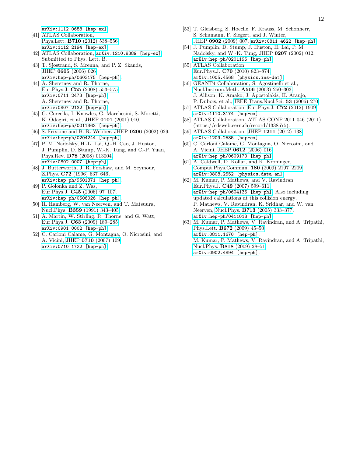[arXiv:1112.0688 \[hep-ex\]](http://arxiv.org/abs/1112.0688).

- [41] ATLAS Collaboration, Phys.Lett. B710 [\(2012\) 538–556,](http://dx.doi.org/10.1016/j.physletb.2012.03.022) [arXiv:1112.2194 \[hep-ex\]](http://arxiv.org/abs/1112.2194).
- <span id="page-12-0"></span>[42] ATLAS Collaboration,  $arXiv:1210.8389$  [hep-ex]. Submitted to Phys. Lett. B.
- <span id="page-12-1"></span>[43] T. Sjostrand, S. Mrenna, and P. Z. Skands, JHEP 0605 [\(2006\) 026,](http://dx.doi.org/10.1088/1126-6708/2006/05/026)
- <span id="page-12-2"></span>[arXiv:hep-ph/0603175 \[hep-ph\]](http://arxiv.org/abs/hep-ph/0603175). [44] A. Sherstnev and R. Thorne, Eur.Phys.J. C55 [\(2008\) 553–575,](http://dx.doi.org/10.1140/epjc/s10052-008-0610-x) [arXiv:0711.2473 \[hep-ph\]](http://arxiv.org/abs/0711.2473). A. Sherstnev and R. Thorne,
- <span id="page-12-3"></span>[arXiv:0807.2132 \[hep-ph\]](http://arxiv.org/abs/0807.2132). [45] G. Corcella, I. Knowles, G. Marchesini, S. Moretti, K. Odagiri, et al., JHEP 0101 (2001) 010, [arXiv:hep-ph/0011363 \[hep-ph\]](http://arxiv.org/abs/hep-ph/0011363).
- <span id="page-12-4"></span>[46] S. Frixione and B. R. Webber, JHEP 0206 (2002) 029, [arXiv:hep-ph/0204244 \[hep-ph\]](http://arxiv.org/abs/hep-ph/0204244).
- <span id="page-12-5"></span>[47] P. M. Nadolsky, H.-L. Lai, Q.-H. Cao, J. Huston, J. Pumplin, D. Stump, W.-K. Tung, and C.-P. Yuan, Phys.Rev. D78 [\(2008\) 013004,](http://dx.doi.org/10.1103/PhysRevD.78.013004) [arXiv:0802.0007 \[hep-ph\]](http://arxiv.org/abs/0802.0007).
- <span id="page-12-6"></span>[48] J. Butterworth, J. R. Forshaw, and M. Seymour, Z.Phys. C72 [\(1996\) 637–646,](http://dx.doi.org/10.1007/s002880050286) [arXiv:hep-ph/9601371 \[hep-ph\]](http://arxiv.org/abs/hep-ph/9601371).
- <span id="page-12-7"></span>[49] P. Golonka and Z. Was, Eur.Phys.J. C45 [\(2006\) 97–107,](http://dx.doi.org/10.1140/epjc/s2005-02396-4) [arXiv:hep-ph/0506026 \[hep-ph\]](http://arxiv.org/abs/hep-ph/0506026).
- <span id="page-12-8"></span>[50] R. Hamberg, W. van Neerven, and T. Matsuura, Nucl.Phys. B359 [\(1991\) 343–405.](http://dx.doi.org/10.1016/0550-3213(91)90064-5)
- <span id="page-12-9"></span>[51] A. Martin, W. Stirling, R. Thorne, and G. Watt, Eur.Phys.J. C63 [\(2009\) 189–285,](http://dx.doi.org/10.1140/epjc/s10052-009-1072-5) [arXiv:0901.0002 \[hep-ph\]](http://arxiv.org/abs/0901.0002).
- <span id="page-12-10"></span>[52] C. Carloni Calame, G. Montagna, O. Nicrosini, and A. Vicini, JHEP 0710 [\(2007\) 109,](http://dx.doi.org/10.1088/1126-6708/2007/10/109) [arXiv:0710.1722 \[hep-ph\]](http://arxiv.org/abs/0710.1722).
- <span id="page-12-11"></span>[53] T. Gleisberg, S. Hoeche, F. Krauss, M. Schonherr, S. Schumann, F. Siegert, and J. Winter, JHEP 0902 [\(2009\) 007,](http://dx.doi.org/10.1088/1126-6708/2009/02/007) [arXiv:0811.4622 \[hep-ph\]](http://arxiv.org/abs/0811.4622).
- <span id="page-12-12"></span>[54] J. Pumplin, D. Stump, J. Huston, H. Lai, P. M. Nadolsky, and W.-K. Tung, JHEP 0207 (2002) 012, [arXiv:hep-ph/0201195 \[hep-ph\]](http://arxiv.org/abs/hep-ph/0201195).
- <span id="page-12-13"></span>[55] ATLAS Collaboration, Eur.Phys.J. C70 [\(2010\) 823–874,](http://dx.doi.org/10.1140/epjc/s10052-010-1429-9) [arXiv:1005.4568 \[physics.ins-det\]](http://arxiv.org/abs/1005.4568).
- <span id="page-12-14"></span>[56] GEANT4 Collaboration, S. Agostinelli et al., [Nucl.Instrum.Meth.](http://dx.doi.org/10.1016/S0168-9002(03)01368-8) A506 (2003) 250–303. J. Allison, K. Amako, J. Apostolakis, H. Araujo, P. Dubois, et al., [IEEE Trans.Nucl.Sci.](http://dx.doi.org/10.1109/TNS.2006.869826) 53 (2006) 270.
- <span id="page-12-15"></span>[57] ATLAS Collaboration, Eur.Phys.J. C72 [\(2012\) 1909,](http://dx.doi.org/10.1140/epjc/s10052-012-1909-1) [arXiv:1110.3174 \[hep-ex\]](http://arxiv.org/abs/1110.3174).
- <span id="page-12-16"></span>[58] ATLAS Collaboration, ATLAS-CONF-2011-046 (2011). (https://cdsweb.cern.ch/record/1338575).
- <span id="page-12-17"></span>[59] ATLAS Collaboration, JHEP 1211 [\(2012\) 138,](http://dx.doi.org/10.1007/JHEP11(2012)138) [arXiv:1209.2535 \[hep-ex\]](http://arxiv.org/abs/1209.2535).
- <span id="page-12-18"></span>[60] C. Carloni Calame, G. Montagna, O. Nicrosini, and A. Vicini, JHEP 0612 [\(2006\) 016,](http://dx.doi.org/10.1088/1126-6708/2006/12/016) [arXiv:hep-ph/0609170 \[hep-ph\]](http://arxiv.org/abs/hep-ph/0609170).
- <span id="page-12-19"></span>[61] A. Caldwell, D. Kollar, and K. Kroninger, [Comput.Phys.Commun.](http://dx.doi.org/10.1016/j.cpc.2009.06.026) 180 (2009) 2197–2209, [arXiv:0808.2552 \[physics.data-an\]](http://arxiv.org/abs/0808.2552).
- <span id="page-12-20"></span>[62] M. Kumar, P. Mathews, and V. Ravindran, Eur.Phys.J. C49 [\(2007\) 599–611,](http://dx.doi.org/10.1140/epjc/s10052-006-0054-0) [arXiv:hep-ph/0604135 \[hep-ph\]](http://arxiv.org/abs/hep-ph/0604135). Also including updated calculations at this collision energy. P. Mathews, V. Ravindran, K. Sridhar, and W. van Neerven, Nucl.Phys. B713 [\(2005\) 333–377,](http://dx.doi.org/10.1016/j.nuclphysb.2005.01.051) [arXiv:hep-ph/0411018 \[hep-ph\]](http://arxiv.org/abs/hep-ph/0411018).
- <span id="page-12-21"></span>[63] M. Kumar, P. Mathews, V. Ravindran, and A. Tripathi, Phys.Lett. B672 [\(2009\) 45–50,](http://dx.doi.org/10.1016/j.physletb.2009.01.002) [arXiv:0811.1670 \[hep-ph\]](http://arxiv.org/abs/0811.1670). M. Kumar, P. Mathews, V. Ravindran, and A. Tripathi, Nucl.Phys. B818 [\(2009\) 28–51,](http://dx.doi.org/10.1016/j.nuclphysb.2009.03.022) [arXiv:0902.4894 \[hep-ph\]](http://arxiv.org/abs/0902.4894).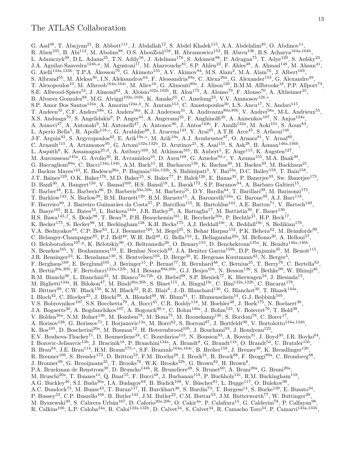G. Aad<sup>48</sup>, T. Abajyan<sup>21</sup>, B. Abbott<sup>111</sup>, J. Abdallah<sup>12</sup>, S. Abdel Khalek<sup>115</sup>, A.A. Abdelalim<sup>49</sup>, O. Abdinov<sup>11</sup>, R. Aben<sup>105</sup>, B. Abi<sup>112</sup>, M. Abolins<sup>88</sup>, O.S. AbouZeid<sup>158</sup>, H. Abramowicz<sup>153</sup>, H. Abreu<sup>136</sup>, B.S. Acharya<sup>164a,164b</sup>, L. Adamczyk<sup>38</sup>, D.L. Adams<sup>25</sup>, T.N. Addy<sup>56</sup>, J. Adelman<sup>176</sup>, S. Adomeit<sup>98</sup>, P. Adragna<sup>75</sup>, T. Adye<sup>129</sup>, S. Aefsky<sup>23</sup>, J.A. Aguilar-Saavedra<sup>124b,a</sup>, M. Agustoni<sup>17</sup>, M. Aharrouche<sup>81</sup>, S.P. Ahlen<sup>22</sup>, F. Ahles<sup>48</sup>, A. Ahmad<sup>148</sup>, M. Ahsan<sup>41</sup>, G. Aielli<sup>133a,133b</sup>, T.P.A. Åkesson<sup>79</sup>, G. Akimoto<sup>155</sup>, A.V. Akimov<sup>94</sup>, M.S. Alam<sup>2</sup>, M.A. Alam<sup>76</sup>, J. Albert<sup>169</sup>, S. Albrand<sup>55</sup>, M. Aleksa<sup>30</sup>, I.N. Aleksandrov<sup>64</sup>, F. Alessandria<sup>89a</sup>, C. Alexa<sup>26a</sup>, G. Alexander<sup>153</sup>, G. Alexandre<sup>49</sup>, T. Alexopoulos<sup>10</sup>, M. Alhroob<sup>164a,164c</sup>, M. Aliev<sup>16</sup>, G. Alimonti<sup>89a</sup>, J. Alison<sup>120</sup>, B.M.M. Allbrooke<sup>18</sup>, P.P. Allport<sup>73</sup>, S.E. Allwood-Spiers<sup>53</sup>, J. Almond<sup>82</sup>, A. Aloisio<sup>102a,102b</sup>, R. Alon<sup>172</sup>, A. Alonso<sup>79</sup>, F. Alonso<sup>70</sup>, A. Altheimer<sup>35</sup>, B. Alvarez Gonzalez<sup>88</sup>, M.G. Alviggi<sup>102a,102b</sup>, K. Amako<sup>65</sup>, C. Amelung<sup>23</sup>, V.V. Ammosov<sup>128,\*</sup>, S.P. Amor Dos Santos<sup>124a</sup>, A. Amorim<sup>124a,b</sup>, N. Amram<sup>153</sup>, C. Anastopoulos<sup>30</sup>, L.S. Ancu<sup>17</sup>, N. Andari<sup>115</sup>, T. Andeen<sup>35</sup>, C.F. Anders<sup>58b</sup>, G. Anders<sup>58a</sup>, K.J. Anderson<sup>31</sup>, A. Andreazza<sup>89a,89b</sup>, V. Andrei<sup>58a</sup>, M-L. Andrieux<sup>55</sup>, X.S. Anduaga<sup>70</sup>, S. Angelidakis<sup>9</sup>, P. Anger<sup>44</sup>, A. Angerami<sup>35</sup>, F. Anghinolfi<sup>30</sup>, A. Anisenkov<sup>107</sup>, N. Anjos<sup>124a</sup>, A. Annovi<sup>47</sup>, A. Antonaki<sup>9</sup>, M. Antonelli<sup>47</sup>, A. Antonov<sup>96</sup>, J. Antos<sup>144b</sup>, F. Anulli<sup>132a</sup>, M. Aoki<sup>101</sup>, S. Aoun<sup>83</sup>, L. Aperio Bella<sup>5</sup>, R. Apolle<sup>118,c</sup>, G. Arabidze<sup>88</sup>, I. Aracena<sup>143</sup>, Y. Arai<sup>65</sup>, A.T.H. Arce<sup>45</sup>, S. Arfaoui<sup>148</sup>, J-F. Arguin<sup>93</sup>, S. Argyropoulos<sup>42</sup>, E. Arik<sup>19a,\*</sup>, M. Arik<sup>19a</sup>, A.J. Armbruster<sup>87</sup>, O. Arnaez<sup>81</sup>, V. Arnal<sup>80</sup>, C. Arnault<sup>115</sup>, A. Artamonov<sup>95</sup>, G. Artoni<sup>132a,132b</sup>, D. Arutinov<sup>21</sup>, S. Asai<sup>155</sup>, S. Ask<sup>28</sup>, B. Åsman<sup>146a,146b</sup>, L. Asquith<sup>6</sup>, K. Assamagan<sup>25,d</sup>, A. Astbury<sup>169</sup>, M. Atkinson<sup>165</sup>, B. Aubert<sup>5</sup>, E. Auge<sup>115</sup>, K. Augsten<sup>127</sup>, M. Aurousseau<sup>145a</sup>, G. Avolio<sup>30</sup>, R. Avramidou<sup>10</sup>, D. Axen<sup>168</sup>, G. Azuelos<sup>93,e</sup>, Y. Azuma<sup>155</sup>, M.A. Baak<sup>30</sup>, G. Baccaglioni<sup>89a</sup>, C. Bacci<sup>134a,134b</sup>, A.M. Bach<sup>15</sup>, H. Bachacou<sup>136</sup>, K. Bachas<sup>30</sup>, M. Backes<sup>49</sup>, M. Backhaus<sup>21</sup>, J. Backus Mayes<sup>143</sup>, E. Badescu<sup>26a</sup>, P. Bagnaia<sup>132a,132b</sup>, S. Bahinipati<sup>3</sup>, Y. Bai<sup>33a</sup>, D.C. Bailey<sup>158</sup>, T. Bain<sup>158</sup>, J.T. Baines<sup>129</sup>, O.K. Baker<sup>176</sup>, M.D. Baker<sup>25</sup>, S. Baker<sup>77</sup>, P. Balek<sup>126</sup>, E. Banas<sup>39</sup>, P. Banerjee<sup>93</sup>, Sw. Banerjee<sup>173</sup>, D. Banfi<sup>30</sup>, A. Bangert<sup>150</sup>, V. Bansal<sup>169</sup>, H.S. Bansil<sup>18</sup>, L. Barak<sup>172</sup>, S.P. Baranov<sup>94</sup>, A. Barbaro Galtieri<sup>15</sup>, T. Barber<sup>48</sup>, E.L. Barberio<sup>86</sup>, D. Barberis<sup>50a,50b</sup>, M. Barbero<sup>21</sup>, D.Y. Bardin<sup>64</sup>, T. Barillari<sup>99</sup>, M. Barisonzi<sup>175</sup>, T. Barklow<sup>143</sup>, N. Barlow<sup>28</sup>, B.M. Barnett<sup>129</sup>, R.M. Barnett<sup>15</sup>, A. Baroncelli<sup>134a</sup>, G. Barone<sup>49</sup>, A.J. Barr<sup>118</sup>, F. Barreiro<sup>80</sup>, J. Barreiro Guimarães da Costa<sup>57</sup>, P. Barrillon<sup>115</sup>, R. Bartoldus<sup>143</sup>, A.E. Barton<sup>71</sup>, V. Bartsch<sup>149</sup>, A. Basye<sup>165</sup>, R.L. Bates<sup>53</sup>, L. Batkova<sup>144a</sup>, J.R. Batley<sup>28</sup>, A. Battaglia<sup>17</sup>, M. Battistin<sup>30</sup>, F. Bauer<sup>136</sup>, H.S. Bawa<sup>143,f</sup>, S. Beale<sup>98</sup>, T. Beau<sup>78</sup>, P.H. Beauchemin<sup>161</sup>, R. Beccherle<sup>50a</sup>, P. Bechtle<sup>21</sup>, H.P. Beck<sup>17</sup>, K. Becker<sup>175</sup>, S. Becker<sup>98</sup>, M. Beckingham<sup>138</sup>, K.H. Becks<sup>175</sup>, A.J. Beddall<sup>19c</sup>, A. Beddall<sup>19c</sup>, S. Bedikian<sup>176</sup>, V.A. Bednyakov<sup>64</sup>, C.P. Bee<sup>83</sup>, L.J. Beemster<sup>105</sup>, M. Begel<sup>25</sup>, S. Behar Harpaz<sup>152</sup>, P.K. Behera<sup>62</sup>, M. Beimforde<sup>99</sup>, C. Belanger-Champagne<sup>85</sup>, P.J. Bell<sup>49</sup>, W.H. Bell<sup>49</sup>, G. Bella<sup>153</sup>, L. Bellagamba<sup>20a</sup>, M. Bellomo<sup>30</sup>, A. Belloni<sup>57</sup>, O. Beloborodova<sup>107,g</sup>, K. Belotskiy<sup>96</sup>, O. Beltramello<sup>30</sup>, O. Benary<sup>153</sup>, D. Benchekroun<sup>135a</sup>, K. Bendtz<sup>146a,146b</sup>, N. Benekos<sup>165</sup>, Y. Benhammou<sup>153</sup>, E. Benhar Noccioli<sup>49</sup>, J.A. Benitez Garcia<sup>159b</sup>, D.P. Benjamin<sup>45</sup>, M. Benoit<sup>115</sup>, J.R. Bensinger<sup>23</sup>, K. Benslama<sup>130</sup>, S. Bentvelsen<sup>105</sup>, D. Berge<sup>30</sup>, E. Bergeaas Kuutmann<sup>42</sup>, N. Berger<sup>5</sup>, F. Berghaus<sup>169</sup>, E. Berglund<sup>105</sup>, J. Beringer<sup>15</sup>, P. Bernat<sup>77</sup>, R. Bernhard<sup>48</sup>, C. Bernius<sup>25</sup>, T. Berry<sup>76</sup>, C. Bertella<sup>83</sup>, A. Bertin<sup>20a,20b</sup>, F. Bertolucci<sup>122a,122b</sup>, M.I. Besana<sup>89a,89b</sup>, G.J. Besjes<sup>104</sup>, N. Besson<sup>136</sup>, S. Bethke<sup>99</sup>, W. Bhimji<sup>46</sup>, R.M. Bianchi<sup>30</sup>, L. Bianchini<sup>23</sup>, M. Bianco<sup>72a,72b</sup>, O. Biebel<sup>98</sup>, S.P. Bieniek<sup>77</sup>, K. Bierwagen<sup>54</sup>, J. Biesiada<sup>15</sup>, M. Biglietti<sup>134a</sup>, H. Bilokon<sup>47</sup>, M. Bindi<sup>20a,20b</sup>, S. Binet<sup>115</sup>, A. Bingul<sup>19c</sup>, C. Bini<sup>132a,132b</sup>, C. Biscarat<sup>178</sup>, B. Bittner<sup>99</sup>, C.W. Black<sup>150</sup>, K.M. Black<sup>22</sup>, R.E. Blair<sup>6</sup>, J.-B. Blanchard<sup>136</sup>, G. Blanchot<sup>30</sup>, T. Blazek<sup>144a</sup>, I. Bloch<sup>42</sup>, C. Blocker<sup>23</sup>, J. Blocki<sup>39</sup>, A. Blondel<sup>49</sup>, W. Blum<sup>81</sup>, U. Blumenschein<sup>54</sup>, G.J. Bobbink<sup>105</sup>, V.S. Bobrovnikov<sup>107</sup>, S.S. Bocchetta<sup>79</sup>, A. Bocci<sup>45</sup>, C.R. Boddy<sup>118</sup>, M. Boehler<sup>48</sup>, J. Boek<sup>175</sup>, N. Boelaert<sup>36</sup>, J.A. Bogaerts<sup>30</sup>, A. Bogdanchikov<sup>107</sup>, A. Bogouch<sup>90,\*</sup>, C. Bohm<sup>146a</sup>, J. Bohm<sup>125</sup>, V. Boisvert<sup>76</sup>, T. Bold<sup>38</sup>, V. Boldea<sup>26a</sup>, N.M. Bolnet<sup>136</sup>, M. Bomben<sup>78</sup>, M. Bona<sup>75</sup>, M. Boonekamp<sup>136</sup>, S. Bordoni<sup>78</sup>, C. Borer<sup>17</sup>, A. Borisov<sup>128</sup>, G. Borissov<sup>71</sup>, I. Borjanovic<sup>13a</sup>, M. Borri<sup>82</sup>, S. Borroni<sup>87</sup>, J. Bortfeldt<sup>98</sup>, V. Bortolotto<sup>134a,134b</sup>, K. Bos<sup>105</sup>, D. Boscherini<sup>20a</sup>, M. Bosman<sup>12</sup>, H. Boterenbrood<sup>105</sup>, J. Bouchami<sup>93</sup>, J. Boudreau<sup>123</sup>, E.V. Bouhova-Thacker<sup>71</sup>, D. Boumediene<sup>34</sup>, C. Bourdarios<sup>115</sup>, N. Bousson<sup>83</sup>, A. Boveia<sup>31</sup>, J. Boyd<sup>30</sup>, I.R. Boyko<sup>64</sup>, I. Bozovic-Jelisavcic<sup>13b</sup>, J. Bracinik<sup>18</sup>, P. Branchini<sup>134a</sup>, A. Brandt<sup>8</sup>, G. Brandt<sup>118</sup>, O. Brandt<sup>54</sup>, U. Bratzler<sup>156</sup>, B. Brau<sup>84</sup>, J.E. Brau<sup>114</sup>, H.M. Braun<sup>175,\*</sup>, S.F. Brazzale<sup>164a,164c</sup>, B. Brelier<sup>158</sup>, J. Bremer<sup>30</sup>, K. Brendlinger<sup>120</sup>, R. Brenner<sup>166</sup>, S. Bressler<sup>172</sup>, D. Britton<sup>53</sup>, F.M. Brochu<sup>28</sup>, I. Brock<sup>21</sup>, R. Brock<sup>88</sup>, F. Broggi<sup>89a</sup>, C. Bromberg<sup>88</sup>, J. Bronner<sup>99</sup>, G. Brooijmans<sup>35</sup>, T. Brooks<sup>76</sup>, W.K. Brooks<sup>32b</sup>, G. Brown<sup>82</sup>, H. Brown<sup>8</sup>, P.A. Bruckman de Renstrom<sup>39</sup>, D. Bruncko<sup>144b</sup>, R. Bruneliere<sup>48</sup>, S. Brunet<sup>60</sup>, A. Bruni<sup>20a</sup>, G. Bruni<sup>20a</sup>, M. Bruschi<sup>20a</sup>, T. Buanes<sup>14</sup>, Q. Buat<sup>55</sup>, F. Bucci<sup>49</sup>, J. Buchanan<sup>118</sup>, P. Buchholz<sup>141</sup>, R.M. Buckingham<sup>118</sup>, A.G. Buckley<sup>46</sup>, S.I. Buda<sup>26a</sup>, I.A. Budagov<sup>64</sup>, B. Budick<sup>108</sup>, V. Büscher<sup>81</sup>, L. Bugge<sup>117</sup>, O. Bulekov<sup>96</sup>, A.C. Bundock<sup>73</sup>, M. Bunse<sup>43</sup>, T. Buran<sup>117</sup>, H. Burckhart<sup>30</sup>, S. Burdin<sup>73</sup>, T. Burgess<sup>14</sup>, S. Burke<sup>129</sup>, E. Busato<sup>34</sup>, P. Bussey<sup>53</sup>, C.P. Buszello<sup>166</sup>, B. Butler<sup>143</sup>, J.M. Butler<sup>22</sup>, C.M. Buttar<sup>53</sup>, J.M. Butterworth<sup>77</sup>, W. Buttinger<sup>28</sup>, M. Byszewski<sup>30</sup>, S. Cabrera Urbán<sup>167</sup>, D. Caforio<sup>20a,20b</sup>, O. Cakir<sup>4a</sup>, P. Calafiura<sup>15</sup>, G. Calderini<sup>78</sup>, P. Calfayan<sup>98</sup>, R. Calkins<sup>106</sup>, L.P. Caloba<sup>24a</sup>, R. Caloi<sup>132a,132b</sup>, D. Calvet<sup>34</sup>, S. Calvet<sup>34</sup>, R. Camacho Toro<sup>34</sup>, P. Camarri<sup>133a,133b</sup>,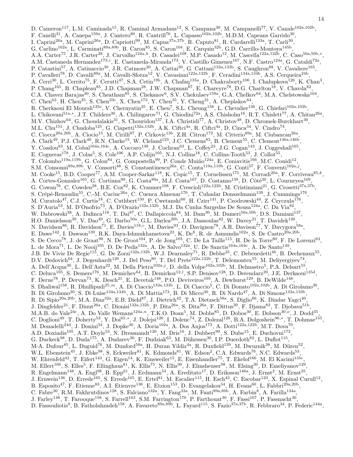- D. Cameron<sup>117</sup>, L.M. Caminada<sup>15</sup>, R. Caminal Armadans<sup>12</sup>, S. Campana<sup>30</sup>, M. Campanelli<sup>77</sup>, V. Canale<sup>102a,102b</sup>, F. Canelli<sup>31</sup>, A. Canepa<sup>159a</sup>, J. Cantero<sup>80</sup>, R. Cantrill<sup>76</sup>, L. Capasso<sup>102a,102b</sup>, M.D.M. Capeans Garrido<sup>30</sup>, I. Caprini<sup>26a</sup>, M. Caprini<sup>26a</sup>, D. Capriotti<sup>99</sup>, M. Capua<sup>37a,37b</sup>, R. Caputo<sup>81</sup>, R. Cardarelli<sup>133a</sup>, T. Carli<sup>30</sup>, G. Carlino<sup>102a</sup>, L. Carminati<sup>89a,89b</sup>, B. Caron<sup>85</sup>, S. Caron<sup>104</sup>, E. Carquin<sup>32b</sup>, G.D. Carrillo-Montoya<sup>145b</sup>, A.A. Carter<sup>75</sup>, J.R. Carter<sup>28</sup>, J. Carvalho<sup>124a,h</sup>, D. Casadei<sup>108</sup>, M.P. Casado<sup>12</sup>, M. Cascella<sup>122a,122b</sup>, C. Caso<sup>50a,50b,\*</sup>, A.M. Castaneda Hernandez<sup>173,*i*</sup>, E. Castaneda-Miranda<sup>173</sup>, V. Castillo Gimenez<sup>167</sup>, N.F. Castro<sup>124a</sup>, G. Cataldi<sup>72a</sup>, P. Catastini<sup>57</sup>, A. Catinaccio<sup>30</sup>, J.R. Catmore<sup>30</sup>, A. Cattai<sup>30</sup>, G. Cattani<sup>133a,133b</sup>, S. Caughron<sup>88</sup>, V. Cavaliere<sup>165</sup>, P. Cavalleri<sup>78</sup>, D. Cavalli<sup>89a</sup>, M. Cavalli-Sforza<sup>12</sup>, V. Cavasinni<sup>122a,122b</sup>, F. Ceradini<sup>134a,134b</sup>, A.S. Cerqueira<sup>24b</sup>, A. Cerri<sup>30</sup>, L. Cerrito<sup>75</sup>, F. Cerutti<sup>47</sup>, S.A. Cetin<sup>19b</sup>, A. Chafaq<sup>135a</sup>, D. Chakraborty<sup>106</sup>, I. Chalupkova<sup>126</sup>, K. Chan<sup>3</sup>, P. Chang<sup>165</sup>, B. Chapleau<sup>85</sup>, J.D. Chapman<sup>28</sup>, J.W. Chapman<sup>87</sup>, E. Chareyre<sup>78</sup>, D.G. Charlton<sup>18</sup>, V. Chavda<sup>82</sup>, C.A. Chavez Barajas<sup>30</sup>, S. Cheatham<sup>85</sup>, S. Chekanov<sup>6</sup>, S.V. Chekulaev<sup>159a</sup>, G.A. Chelkov<sup>64</sup>, M.A. Chelstowska<sup>104</sup>, C. Chen<sup>63</sup>, H. Chen<sup>25</sup>, S. Chen<sup>33c</sup>, X. Chen<sup>173</sup>, Y. Chen<sup>35</sup>, Y. Cheng<sup>31</sup>, A. Cheplakov<sup>64</sup>, R. Cherkaoui El Moursli<sup>135e</sup>, V. Chernyatin<sup>25</sup>, E. Cheu<sup>7</sup>, S.L. Cheung<sup>158</sup>, L. Chevalier<sup>136</sup>, G. Chiefari<sup>102a,102b</sup>, L. Chikovani<sup>51a,\*</sup>, J.T. Childers<sup>30</sup>, A. Chilingarov<sup>71</sup>, G. Chiodini<sup>72a</sup>, A.S. Chisholm<sup>18</sup>, R.T. Chislett<sup>77</sup>, A. Chitan<sup>26a</sup>, M.V. Chizhov<sup>64</sup>, G. Choudalakis<sup>31</sup>, S. Chouridou<sup>137</sup>, I.A. Christidi<sup>77</sup>, A. Christov<sup>48</sup>, D. Chromek-Burckhart<sup>30</sup>, M.L. Chu<sup>151</sup>, J. Chudoba<sup>125</sup>, G. Ciapetti<sup>132a,132b</sup>, A.K. Ciftci<sup>4a</sup>, R. Ciftci<sup>4a</sup>, D. Cinca<sup>34</sup>, V. Cindro<sup>74</sup>, C. Ciocca<sup>20a,20b</sup>, A. Ciocio<sup>15</sup>, M. Cirilli<sup>87</sup>, P. Cirkovic<sup>13b</sup>, Z.H. Citron<sup>172</sup>, M. Citterio<sup>89a</sup>, M. Ciubancan<sup>26a</sup>, A. Clark<sup>49</sup>, P.J. Clark<sup>46</sup>, R.N. Clarke<sup>15</sup>, W. Cleland<sup>123</sup>, J.C. Clemens<sup>83</sup>, B. Clement<sup>55</sup>, C. Clement<sup>146a,146b</sup>, Y. Coadou<sup>83</sup>, M. Cobal<sup>164a,164c</sup>, A. Coccaro<sup>138</sup>, J. Cochran<sup>63</sup>, L. Coffey<sup>23</sup>, J.G. Cogan<sup>143</sup>, J. Coggeshall<sup>165</sup>, E. Cogneras<sup>178</sup>, J. Colas<sup>5</sup>, S. Cole<sup>106</sup>, A.P. Colijn<sup>105</sup>, N.J. Collins<sup>18</sup>, C. Collins-Tooth<sup>53</sup>, J. Collot<sup>55</sup>, T. Colombo<sup>119a,119b</sup>, G. Colon<sup>84</sup>, G. Compostella<sup>99</sup>, P. Conde Muiño<sup>124a</sup>, E. Coniavitis<sup>166</sup>, M.C. Conidi<sup>12</sup>, S.M. Consonni<sup>89a,89b</sup>, V. Consorti<sup>48</sup>, S. Constantinescu<sup>26a</sup>, C. Conta<sup>119a,119b</sup>, G. Conti<sup>57</sup>, F. Conventi<sup>102a,j</sup>, M. Cooke<sup>15</sup>, B.D. Cooper<sup>77</sup>, A.M. Cooper-Sarkar<sup>118</sup>, K. Copic<sup>15</sup>, T. Cornelissen<sup>175</sup>, M. Corradi<sup>20a</sup>, F. Corriveau<sup>85,k</sup>, A. Cortes-Gonzalez<sup>165</sup>, G. Cortiana<sup>99</sup>, G. Costa<sup>89a</sup>, M.J. Costa<sup>167</sup>, D. Costanzo<sup>139</sup>, D. Côté<sup>30</sup>, L. Courneyea<sup>169</sup>, G. Cowan<sup>76</sup>, C. Cowden<sup>28</sup>, B.E. Cox<sup>82</sup>, K. Cranmer<sup>108</sup>, F. Crescioli<sup>122a,122b</sup>, M. Cristinziani<sup>21</sup>, G. Crosetti<sup>37a,37b</sup>, S. Crépé-Renaudin<sup>55</sup>, C.-M. Cuciuc<sup>26a</sup>, C. Cuenca Almenar<sup>176</sup>, T. Cuhadar Donszelmann<sup>139</sup>, J. Cummings<sup>176</sup>, M. Curatolo<sup>47</sup>, C.J. Curtis<sup>18</sup>, C. Cuthbert<sup>150</sup>, P. Cwetanski<sup>60</sup>, H. Czirr<sup>141</sup>, P. Czodrowski<sup>44</sup>, Z. Czyczula<sup>176</sup>, S. D'Auria<sup>53</sup>, M. D'Onofrio<sup>73</sup>, A. D'Orazio<sup>132a,132b</sup>, M.J. Da Cunha Sargedas De Sousa<sup>124a</sup>, C. Da Via<sup>82</sup>, W. Dabrowski<sup>38</sup>, A. Dafinca<sup>118</sup>, T. Dai<sup>87</sup>, C. Dallapiccola<sup>84</sup>, M. Dam<sup>36</sup>, M. Dameri<sup>50a,50b</sup>, D.S. Damiani<sup>137</sup>, H.O. Danielsson<sup>30</sup>, V. Dao<sup>49</sup>, G. Darbo<sup>50a</sup>, G.L. Darlea<sup>26b</sup>, J.A. Dassoulas<sup>42</sup>, W. Davey<sup>21</sup>, T. Davidek<sup>126</sup>, N. Davidson<sup>86</sup>, R. Davidson<sup>71</sup>, E. Davies<sup>118,c</sup>, M. Davies<sup>93</sup>, O. Davignon<sup>78</sup>, A.R. Davison<sup>77</sup>, Y. Davygora<sup>58a</sup>, E. Dawe<sup>142</sup>, I. Dawson<sup>139</sup>, R.K. Daya-Ishmukhametova<sup>23</sup>, K. De<sup>8</sup>, R. de Asmundis<sup>102a</sup>, S. De Castro<sup>20a,20b</sup>, S. De Cecco<sup>78</sup>, J. de Graat<sup>98</sup>, N. De Groot<sup>104</sup>, P. de Jong<sup>105</sup>, C. De La Taille<sup>115</sup>, H. De la Torre<sup>80</sup>, F. De Lorenzi<sup>63</sup>, L. de Mora<sup>71</sup>, L. De Nooij<sup>105</sup>, D. De Pedis<sup>132a</sup>, A. De Salvo<sup>132a</sup>, U. De Sanctis<sup>164a,164c</sup>, A. De Santo<sup>149</sup>, J.B. De Vivie De Regie<sup>115</sup>, G. De Zorzi<sup>132a,132b</sup>, W.J. Dearnaley<sup>71</sup>, R. Debbe<sup>25</sup>, C. Debenedetti<sup>46</sup>, B. Dechenaux<sup>55</sup>, D.V. Dedovich<sup>64</sup>, J. Degenhardt<sup>120</sup>, J. Del Peso<sup>80</sup>, T. Del Prete<sup>122a,122b</sup>, T. Delemontex<sup>55</sup>, M. Deliyergiyev<sup>74</sup>, A. Dell'Acqua<sup>30</sup>, L. Dell'Asta<sup>22</sup>, M. Della Pietra<sup>102a,j</sup>, D. della Volpe<sup>102a,102b</sup>, M. Delmastro<sup>5</sup>, P.A. Delsart<sup>55</sup>, C. Deluca<sup>105</sup>, S. Demers<sup>176</sup>, M. Demichev<sup>64</sup>, B. Demirkoz<sup>12,*l*</sup>, S.P. Denisov<sup>128</sup>, D. Derendarz<sup>39</sup>, J.E. Derkaoui<sup>135d</sup>, F. Derue<sup>78</sup>, P. Dervan<sup>73</sup>, K. Desch<sup>21</sup>, E. Devetak<sup>148</sup>, P.O. Deviveiros<sup>105</sup>, A. Dewhurst<sup>129</sup>, B. DeWilde<sup>148</sup>, S. Dhaliwal<sup>158</sup>, R. Dhullipudi<sup>25,*m*</sup>, A. Di Ciaccio<sup>133a,133b</sup>, L. Di Ciaccio<sup>5</sup>, C. Di Donato<sup>102a,102b</sup>, A. Di Girolamo<sup>30</sup>, B. Di Girolamo<sup>30</sup>, S. Di Luise<sup>134a,134b</sup>, A. Di Mattia<sup>173</sup>, B. Di Micco<sup>30</sup>, R. Di Nardo<sup>47</sup>, A. Di Simone<sup>133a,133b</sup>, R. Di Sipio<sup>20a,20b</sup>, M.A. Diaz<sup>32a</sup>, E.B. Diehl<sup>87</sup>, J. Dietrich<sup>42</sup>, T.A. Dietzsch<sup>58a</sup>, S. Diglio<sup>86</sup>, K. Dindar Yagci<sup>40</sup>, J. Dingfelder<sup>21</sup>, F. Dinut<sup>26a</sup>, C. Dionisi<sup>132a,132b</sup>, P. Dita<sup>26a</sup>, S. Dita<sup>26a</sup>, F. Dittus<sup>30</sup>, F. Djama<sup>83</sup>, T. Djobava<sup>51b</sup>, M.A.B. do Vale<sup>24c</sup>, A. Do Valle Wemans<sup>124a,n</sup>, T.K.O. Doan<sup>5</sup>, M. Dobbs<sup>85</sup>, D. Dobos<sup>30</sup>, E. Dobson<sup>30,o</sup>, J. Dodd<sup>35</sup>, C. Doglioni<sup>49</sup>, T. Doherty<sup>53</sup>, Y. Doi<sup>65,\*</sup>, J. Dolejsi<sup>126</sup>, I. Dolenc<sup>74</sup>, Z. Dolezal<sup>126</sup>, B.A. Dolgoshein<sup>96,\*</sup>, T. Dohmae<sup>155</sup>, M. Donadelli<sup>24d</sup>, J. Donini<sup>34</sup>, J. Dopke<sup>30</sup>, A. Doria<sup>102a</sup>, A. Dos Anjos<sup>173</sup>, A. Dotti<sup>122a,122b</sup>, M.T. Dova<sup>70</sup>, A.D. Doxiadis<sup>105</sup>, A.T. Doyle<sup>53</sup>, N. Dressnandt<sup>120</sup>, M. Dris<sup>10</sup>, J. Dubbert<sup>99</sup>, S. Dube<sup>15</sup>, E. Duchovni<sup>172</sup>, G. Duckeck<sup>98</sup>, D. Duda<sup>175</sup>, A. Dudarev<sup>30</sup>, F. Dudziak<sup>63</sup>, M. Dührssen<sup>30</sup>, I.P. Duerdoth<sup>82</sup>, L. Duflot<sup>115</sup>, M-A. Dufour<sup>85</sup>, L. Duguid<sup>76</sup>, M. Dunford<sup>58a</sup>, H. Duran Yildiz<sup>4a</sup>, R. Duxfield<sup>139</sup>, M. Dwuznik<sup>38</sup>, M. Düren<sup>52</sup>, W.L. Ebenstein<sup>45</sup>, J. Ebke<sup>98</sup>, S. Eckweiler<sup>81</sup>, K. Edmonds<sup>81</sup>, W. Edson<sup>2</sup>, C.A. Edwards<sup>76</sup>, N.C. Edwards<sup>53</sup>, W. Ehrenfeld<sup>42</sup>, T. Eifert<sup>143</sup>, G. Eigen<sup>14</sup>, K. Einsweiler<sup>15</sup>, E. Eisenhandler<sup>75</sup>, T. Ekelof<sup>166</sup>, M. El Kacimi<sup>135c</sup>, M. Ellert<sup>166</sup>, S. Elles<sup>5</sup>, F. Ellinghaus<sup>81</sup>, K. Ellis<sup>75</sup>, N. Ellis<sup>30</sup>, J. Elmsheuser<sup>98</sup>, M. Elsing<sup>30</sup>, D. Emeliyanov<sup>129</sup>, R. Engelmann<sup>148</sup>, A. Engl<sup>98</sup>, B. Epp<sup>61</sup>, J. Erdmann<sup>54</sup>, A. Ereditato<sup>17</sup>, D. Eriksson<sup>146a</sup>, J. Ernst<sup>2</sup>, M. Ernst<sup>25</sup>, J. Ernwein<sup>136</sup>, D. Errede<sup>165</sup>, S. Errede<sup>165</sup>, E. Ertel<sup>81</sup>, M. Escalier<sup>115</sup>, H. Esch<sup>43</sup>, C. Escobar<sup>123</sup>, X. Espinal Curull<sup>12</sup>, B. Esposito<sup>47</sup>, F. Etienne<sup>83</sup>, A.I. Etienvre<sup>136</sup>, E. Etzion<sup>153</sup>, D. Evangelakou<sup>54</sup>, H. Evans<sup>60</sup>, L. Fabbri<sup>20a,20b</sup>, C. Fabre<sup>30</sup>, R.M. Fakhrutdinov<sup>128</sup>, S. Falciano<sup>132a</sup>, Y. Fang<sup>33a</sup>, M. Fanti<sup>89a,89b</sup>, A. Farbin<sup>8</sup>, A. Farilla<sup>134a</sup>,
- J. Farley<sup>148</sup>, T. Farooque<sup>158</sup>, S. Farrell<sup>163</sup>, S.M. Farrington<sup>170</sup>, P. Farthouat<sup>30</sup>, F. Fassi<sup>167</sup>, P. Fassnacht<sup>30</sup>,
- D. Fassouliotis<sup>9</sup>, B. Fatholahzadeh<sup>158</sup>, A. Favareto<sup>89a,89b</sup>, L. Fayard<sup>115</sup>, S. Fazio<sup>37a,37b</sup>, R. Febbraro<sup>34</sup>, P. Federic<sup>144a</sup>,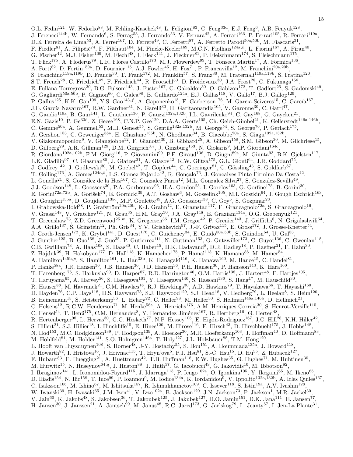O.L. Fedin<sup>121</sup>, W. Fedorko<sup>88</sup>, M. Fehling-Kaschek<sup>48</sup>, L. Feligioni<sup>83</sup>, C. Feng<sup>33d</sup>, E.J. Feng<sup>6</sup>, A.B. Fenyuk<sup>128</sup>, J. Ferencei<sup>144b</sup>, W. Fernando<sup>6</sup>, S. Ferrag<sup>53</sup>, J. Ferrando<sup>53</sup>, V. Ferrara<sup>42</sup>, A. Ferrari<sup>166</sup>, P. Ferrari<sup>105</sup>, R. Ferrari<sup>119a</sup>, D.E. Ferreira de Lima<sup>53</sup>, A. Ferrer<sup>167</sup>, D. Ferrere<sup>49</sup>, C. Ferretti<sup>87</sup>, A. Ferretto Parodi<sup>50a,50b</sup>, M. Fiascaris<sup>31</sup>, F. Fiedler<sup>81</sup>, A. Filipčič<sup>74</sup>, F. Filthaut<sup>104</sup>, M. Fincke-Keeler<sup>169</sup>, M.C.N. Fiolhais<sup>124a,h</sup>, L. Fiorini<sup>167</sup>, A. Firan<sup>40</sup>, G. Fischer<sup>42</sup>, M.J. Fisher<sup>109</sup>, M. Flechl<sup>48</sup>, I. Fleck<sup>141</sup>, J. Fleckner<sup>81</sup>, P. Fleischmann<sup>174</sup>, S. Fleischmann<sup>175</sup>, T. Flick<sup>175</sup>, A. Floderus<sup>79</sup>, L.R. Flores Castillo<sup>173</sup>, M.J. Flowerdew<sup>99</sup>, T. Fonseca Martin<sup>17</sup>, A. Formica<sup>136</sup>, A. Forti<sup>82</sup>, D. Fortin<sup>159a</sup>, D. Fournier<sup>115</sup>, A.J. Fowler<sup>45</sup>, H. Fox<sup>71</sup>, P. Francavilla<sup>12</sup>, M. Franchini<sup>20a,20b</sup>, S. Franchino<sup>119a,119b</sup>, D. Francis<sup>30</sup>, T. Frank<sup>172</sup>, M. Franklin<sup>57</sup>, S. Franz<sup>30</sup>, M. Fraternali<sup>119a,119b</sup>, S. Fratina<sup>120</sup>, S.T. French<sup>28</sup>, C. Friedrich<sup>42</sup>, F. Friedrich<sup>44</sup>, R. Froeschl<sup>30</sup>, D. Froidevaux<sup>30</sup>, J.A. Frost<sup>28</sup>, C. Fukunaga<sup>156</sup>, E. Fullana Torregrosa<sup>30</sup>, B.G. Fulsom<sup>143</sup>, J. Fuster<sup>167</sup>, C. Gabaldon<sup>30</sup>, O. Gabizon<sup>172</sup>, T. Gadfort<sup>25</sup>, S. Gadomski<sup>49</sup>, G. Gagliardi<sup>50a,50b</sup>, P. Gagnon<sup>60</sup>, C. Galea<sup>98</sup>, B. Galhardo<sup>124a</sup>, E.J. Gallas<sup>118</sup>, V. Gallo<sup>17</sup>, B.J. Gallop<sup>129</sup>, P. Gallus<sup>125</sup>, K.K. Gan<sup>109</sup>, Y.S. Gao<sup>143,f</sup>, A. Gaponenko<sup>15</sup>, F. Garberson<sup>176</sup>, M. Garcia-Sciveres<sup>15</sup>, C. García<sup>167</sup>, J.E. García Navarro<sup>167</sup>, R.W. Gardner<sup>31</sup>, N. Garelli<sup>30</sup>, H. Garitaonandia<sup>105</sup>, V. Garonne<sup>30</sup>, C. Gatti<sup>47</sup>, G. Gaudio<sup>119a</sup>, B. Gaur<sup>141</sup>, L. Gauthier<sup>136</sup>, P. Gauzzi<sup>132a,132b</sup>, I.L. Gavrilenko<sup>94</sup>, C. Gay<sup>168</sup>, G. Gaycken<sup>21</sup>, , E.N. Gazis<sup>10</sup>, P. Ge<sup>33d</sup>, Z. Gecse<sup>168</sup>, C.N.P. Gee<sup>129</sup>, D.A.A. Geerts<sup>105</sup>, Ch. Geich-Gimbel<sup>21</sup>, K. Gellerstedt<sup>146a,146b</sup>, C. Gemme<sup>50a</sup>, A. Gemmell<sup>53</sup>, M.H. Genest<sup>55</sup>, S. Gentile<sup>132a,132b</sup>, M. George<sup>54</sup>, S. George<sup>76</sup>, P. Gerlach<sup>175</sup>, A. Gershon<sup>153</sup>, C. Geweniger<sup>58a</sup>, H. Ghazlane<sup>135b</sup>, N. Ghodbane<sup>34</sup>, B. Giacobbe<sup>20a</sup>, S. Giagu<sup>132a,132b</sup>, V. Giakoumopoulou<sup>9</sup>, V. Giangiobbe<sup>12</sup>, F. Gianotti<sup>30</sup>, B. Gibbard<sup>25</sup>, A. Gibson<sup>158</sup>, S.M. Gibson<sup>30</sup>, M. Gilchriese<sup>15</sup>, D. Gillberg<sup>29</sup>, A.R. Gillman<sup>129</sup>, D.M. Gingrich<sup>3,e</sup>, J. Ginzburg<sup>153</sup>, N. Giokaris<sup>9</sup>, M.P. Giordani<sup>164c</sup>, R. Giordano<sup>102a,102b</sup>, F.M. Giorgi<sup>16</sup>, P. Giovannini<sup>99</sup>, P.F. Giraud<sup>136</sup>, D. Giugni<sup>89a</sup>, M. Giunta<sup>93</sup>, B.K. Gjelsten<sup>117</sup>, L.K. Gladilin<sup>97</sup>, C. Glasman<sup>80</sup>, J. Glatzer<sup>21</sup>, A. Glazov<sup>42</sup>, K.W. Glitza<sup>175</sup>, G.L. Glonti<sup>64</sup>, J.R. Goddard<sup>75</sup>, J. Godfrey<sup>142</sup>, J. Godlewski<sup>30</sup>, M. Goebel<sup>42</sup>, T. Göpfert<sup>44</sup>, C. Goeringer<sup>81</sup>, C. Gössling<sup>43</sup>, S. Goldfarb<sup>87</sup>, T. Golling<sup>176</sup>, A. Gomes<sup>124a,b</sup>, L.S. Gomez Fajardo<sup>42</sup>, R. Gonçalo<sup>76</sup>, J. Goncalves Pinto Firmino Da Costa<sup>42</sup>, L. Gonella<sup>21</sup>, S. González de la Hoz<sup>167</sup>, G. Gonzalez Parra<sup>12</sup>, M.L. Gonzalez Silva<sup>27</sup>, S. Gonzalez-Sevilla<sup>49</sup>, J.J. Goodson<sup>148</sup>, L. Goossens<sup>30</sup>, P.A. Gorbounov<sup>95</sup>, H.A. Gordon<sup>25</sup>, I. Gorelov<sup>103</sup>, G. Gorfine<sup>175</sup>, B. Gorini<sup>30</sup>, E. Gorini<sup>72a,72b</sup>, A. Gorišek<sup>74</sup>, E. Gornicki<sup>39</sup>, A.T. Goshaw<sup>6</sup>, M. Gosselink<sup>105</sup>, M.I. Gostkin<sup>64</sup>, I. Gough Eschrich<sup>163</sup>, M. Gouighri<sup>135a</sup>, D. Goujdami<sup>135c</sup>, M.P. Goulette<sup>49</sup>, A.G. Goussiou<sup>138</sup>, C. Goy<sup>5</sup>, S. Gozpinar<sup>23</sup>, I. Grabowska-Bold<sup>38</sup>, P. Grafström<sup>20a,20b</sup>, K-J. Grahn<sup>42</sup>, E. Gramstad<sup>117</sup>, F. Grancagnolo<sup>72a</sup>, S. Grancagnolo<sup>16</sup>, V. Grassi<sup>148</sup>, V. Gratchev<sup>121</sup>, N. Grau<sup>35</sup>, H.M. Gray<sup>30</sup>, J.A. Gray<sup>148</sup>, E. Graziani<sup>134a</sup>, O.G. Grebenyuk<sup>121</sup>, T. Greenshaw<sup>73</sup>, Z.D. Greenwood<sup>25,*m*</sup>, K. Gregersen<sup>36</sup>, I.M. Gregor<sup>42</sup>, P. Grenier<sup>143</sup>, J. Griffiths<sup>8</sup>, N. Grigalashvili<sup>64</sup>, A.A. Grillo<sup>137</sup>, S. Grinstein<sup>12</sup>, Ph. Gris<sup>34</sup>, Y.V. Grishkevich<sup>97</sup>, J.-F. Grivaz<sup>115</sup>, E. Gross<sup>172</sup>, J. Grosse-Knetter<sup>54</sup>, J. Groth-Jensen<sup>172</sup>, K. Grybel<sup>141</sup>, D. Guest<sup>176</sup>, C. Guicheney<sup>34</sup>, E. Guido<sup>50a,50b</sup>, S. Guindon<sup>54</sup>, U. Gul<sup>53</sup>, J. Gunther<sup>125</sup>, B. Guo<sup>158</sup>, J. Guo<sup>35</sup>, P. Gutierrez<sup>111</sup>, N. Guttman<sup>153</sup>, O. Gutzwiller<sup>173</sup>, C. Guyot<sup>136</sup>, C. Gwenlan<sup>118</sup>, C.B. Gwilliam<sup>73</sup>, A. Haas<sup>108</sup>, S. Haas<sup>30</sup>, C. Haber<sup>15</sup>, H.K. Hadavand<sup>8</sup>, D.R. Hadley<sup>18</sup>, P. Haefner<sup>21</sup>, F. Hahn<sup>30</sup>, Z. Hajduk<sup>39</sup>, H. Hakobyan<sup>177</sup>, D. Hall<sup>118</sup>, K. Hamacher<sup>175</sup>, P. Hamal<sup>113</sup>, K. Hamano<sup>86</sup>, M. Hamer<sup>54</sup>, A. Hamilton<sup>145b,p</sup>, S. Hamilton<sup>161</sup>, L. Han<sup>33b</sup>, K. Hanagaki<sup>116</sup>, K. Hanawa<sup>160</sup>, M. Hance<sup>15</sup>, C. Handel<sup>81</sup>, P. Hanke<sup>58a</sup>, J.R. Hansen<sup>36</sup>, J.B. Hansen<sup>36</sup>, J.D. Hansen<sup>36</sup>, P.H. Hansen<sup>36</sup>, P. Hansson<sup>143</sup>, K. Hara<sup>160</sup>, T. Harenberg<sup>175</sup>, S. Harkusha<sup>90</sup>, D. Harper<sup>87</sup>, R.D. Harrington<sup>46</sup>, O.M. Harris<sup>138</sup>, J. Hartert<sup>48</sup>, F. Hartjes<sup>105</sup>, T. Haruyama<sup>65</sup>, A. Harvey<sup>56</sup>, S. Hasegawa<sup>101</sup>, Y. Hasegawa<sup>140</sup>, S. Hassani<sup>136</sup>, S. Haug<sup>17</sup>, M. Hauschild<sup>30</sup>, R. Hauser<sup>88</sup>, M. Havranek<sup>21</sup>, C.M. Hawkes<sup>18</sup>, R.J. Hawkings<sup>30</sup>, A.D. Hawkins<sup>79</sup>, T. Hayakawa<sup>66</sup>, T. Hayashi<sup>160</sup>, D. Hayden<sup>76</sup>, C.P. Hays<sup>118</sup>, H.S. Hayward<sup>73</sup>, S.J. Haywood<sup>129</sup>, S.J. Head<sup>18</sup>, V. Hedberg<sup>79</sup>, L. Heelan<sup>8</sup>, S. Heim<sup>120</sup>, B. Heinemann<sup>15</sup>, S. Heisterkamp<sup>36</sup>, L. Helary<sup>22</sup>, C. Heller<sup>98</sup>, M. Heller<sup>30</sup>, S. Hellman<sup>146a,146b</sup>, D. Hellmich<sup>21</sup>, C. Helsens<sup>12</sup>, R.C.W. Henderson<sup>71</sup>, M. Henke<sup>58a</sup>, A. Henrichs<sup>176</sup>, A.M. Henriques Correia<sup>30</sup>, S. Henrot-Versille<sup>115</sup>, C. Hensel<sup>54</sup>, T. Hen $6^{175}$ , C.M. Hernandez<sup>8</sup>, Y. Hernández Jiménez<sup>167</sup>, R. Herrberg<sup>16</sup>, G. Herten<sup>48</sup>, R. Hertenberger<sup>98</sup>, L. Hervas<sup>30</sup>, G.G. Hesketh<sup>77</sup>, N.P. Hessey<sup>105</sup>, E. Higón-Rodriguez<sup>167</sup>, J.C. Hill<sup>28</sup>, K.H. Hiller<sup>42</sup>, S. Hillert<sup>21</sup>, S.J. Hillier<sup>18</sup>, I. Hinchliffe<sup>15</sup>, E. Hines<sup>120</sup>, M. Hirose<sup>116</sup>, F. Hirsch<sup>43</sup>, D. Hirschbuehl<sup>175</sup>, J. Hobbs<sup>148</sup>, N. Hod<sup>153</sup>, M.C. Hodgkinson<sup>139</sup>, P. Hodgson<sup>139</sup>, A. Hoecker<sup>30</sup>, M.R. Hoeferkamp<sup>103</sup>, J. Hoffman<sup>40</sup>, D. Hoffmann<sup>83</sup>, M. Hohlfeld<sup>81</sup>, M. Holder<sup>141</sup>, S.O. Holmgren<sup>146a</sup>, T. Holy<sup>127</sup>, J.L. Holzbauer<sup>88</sup>, T.M. Hong<sup>120</sup>, L. Hooft van Huysduynen<sup>108</sup>, S. Horner<sup>48</sup>, J-Y. Hostachy<sup>55</sup>, S. Hou<sup>151</sup>, A. Hoummada<sup>135a</sup>, J. Howard<sup>118</sup>, J. Howarth<sup>82</sup>, I. Hristova<sup>16</sup>, J. Hrivnac<sup>115</sup>, T. Hryn'ova<sup>5</sup>, P.J. Hsu<sup>81</sup>, S.-C. Hsu<sup>15</sup>, D. Hu<sup>35</sup>, Z. Hubacek<sup>127</sup>, F. Hubaut<sup>83</sup>, F. Huegging<sup>21</sup>, A. Huettmann<sup>42</sup>, T.B. Huffman<sup>118</sup>, E.W. Hughes<sup>35</sup>, G. Hughes<sup>71</sup>, M. Huhtinen<sup>30</sup>, M. Hurwitz<sup>15</sup>, N. Huseynov<sup>64,q</sup>, J. Huston<sup>88</sup>, J. Huth<sup>57</sup>, G. Iacobucci<sup>49</sup>, G. Iakovidis<sup>10</sup>, M. Ibbotson<sup>82</sup>, I. Ibragimov<sup>141</sup>, L. Iconomidou-Fayard<sup>115</sup>, J. Idarraga<sup>115</sup>, P. Iengo<sup>102a</sup>, O. Igonkina<sup>105</sup>, Y. Ikegami<sup>65</sup>, M. Ikeno<sup>65</sup>, D. Iliadis<sup>154</sup>, N. Ilic<sup>158</sup>, T. Ince<sup>99</sup>, P. Ioannou<sup>9</sup>, M. Iodice<sup>134a</sup>, K. Iordanidou<sup>9</sup>, V. Ippolito<sup>132a,132b</sup>, A. Irles Quiles<sup>167</sup>, C. Isaksson<sup>166</sup>, M. Ishino<sup>67</sup>, M. Ishitsuka<sup>157</sup>, R. Ishmukhametov<sup>109</sup>, C. Issever<sup>118</sup>, S. Istin<sup>19a</sup>, A.V. Ivashin<sup>128</sup>, W. Iwanski<sup>39</sup>, H. Iwasaki<sup>65</sup>, J.M. Izen<sup>41</sup>, V. Izzo<sup>102a</sup>, B. Jackson<sup>120</sup>, J.N. Jackson<sup>73</sup>, P. Jackson<sup>1</sup>, M.R. Jaekel<sup>30</sup>, V. Jain<sup>60</sup>, K. Jakobs<sup>48</sup>, S. Jakobsen<sup>36</sup>, T. Jakoubek<sup>125</sup>, J. Jakubek<sup>127</sup>, D.O. Jamin<sup>151</sup>, D.K. Jana<sup>111</sup>, E. Jansen<sup>77</sup>, H. Jansen<sup>30</sup>, J. Janssen<sup>21</sup>, A. Jantsch<sup>99</sup>, M. Janus<sup>48</sup>, R.C. Jared<sup>173</sup>, G. Jarlskog<sup>79</sup>, L. Jeanty<sup>57</sup>, I. Jen-La Plante<sup>31</sup>,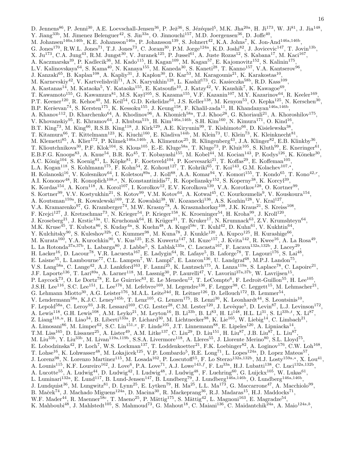D. Jennens<sup>86</sup>, P. Jenni<sup>30</sup>, A.E. Loevschall-Jensen<sup>36</sup>, P. Jež<sup>36</sup>, S. Jézéquel<sup>5</sup>, M.K. Jha<sup>20a</sup>, H. Ji<sup>173</sup>, W. Ji<sup>81</sup>, J. Jia<sup>148</sup>, Y. Jiang<sup>33b</sup>, M. Jimenez Belenguer<sup>42</sup>, S. Jin<sup>33a</sup>, O. Jinnouchi<sup>157</sup>, M.D. Joergensen<sup>36</sup>, D. Joffe<sup>40</sup>, M. Johansen<sup>146a,146b</sup>, K.E. Johansson<sup>146a</sup>, P. Johansson<sup>139</sup>, S. Johnert<sup>42</sup>, K.A. Johns<sup>7</sup>, K. Jon-And<sup>146a,146b</sup>, G. Jones<sup>170</sup>, R.W.L. Jones<sup>71</sup>, T.J. Jones<sup>73</sup>, C. Joram<sup>30</sup>, P.M. Jorge<sup>124a</sup>, K.D. Joshi<sup>82</sup>, J. Jovicevic<sup>147</sup>, T. Jovin<sup>13b</sup>, X. Ju<sup>173</sup>, C.A. Jung<sup>43</sup>, R.M. Jungst<sup>30</sup>, V. Juranek<sup>125</sup>, P. Jussel<sup>61</sup>, A. Juste Rozas<sup>12</sup>, S. Kabana<sup>17</sup>, M. Kaci<sup>167</sup>, A. Kaczmarska $^{39}$ , P. Kadlecik $^{36}$ , M. Kado $^{115}$ , H. Kagan $^{109}$ , M. Kagan $^{57}$ , E. Kajomovitz $^{152}$ , S. Kalinin $^{175}$ , L.V. Kalinovskaya<sup>64</sup>, S. Kama<sup>40</sup>, N. Kanaya<sup>155</sup>, M. Kaneda<sup>30</sup>, S. Kaneti<sup>28</sup>, T. Kanno<sup>157</sup>, V.A. Kantserov<sup>96</sup>, J. Kanzaki<sup>65</sup>, B. Kaplan<sup>108</sup>, A. Kapliy<sup>31</sup>, J. Kaplon<sup>30</sup>, D. Kar<sup>53</sup>, M. Karagounis<sup>21</sup>, K. Karakostas<sup>10</sup>, M. Karnevskiy<sup>42</sup>, V. Kartvelishvili<sup>71</sup>, A.N. Karyukhin<sup>128</sup>, L. Kashif<sup>173</sup>, G. Kasieczka<sup>58b</sup>, R.D. Kass<sup>109</sup>, A. Kastanas<sup>14</sup>, M. Kataoka<sup>5</sup>, Y. Kataoka<sup>155</sup>, E. Katsoufis<sup>10</sup>, J. Katzy<sup>42</sup>, V. Kaushik<sup>7</sup>, K. Kawagoe<sup>69</sup>, T. Kawamoto<sup>155</sup>, G. Kawamura<sup>81</sup>, M.S. Kayl<sup>105</sup>, S. Kazama<sup>155</sup>, V.F. Kazanin<sup>107</sup>, M.Y. Kazarinov<sup>64</sup>, R. Keeler<sup>169</sup>, P.T. Keener<sup>120</sup>, R. Kehoe<sup>40</sup>, M. Keil<sup>54</sup>, G.D. Kekelidze<sup>64</sup>, J.S. Keller<sup>138</sup>, M. Kenyon<sup>53</sup>, O. Kepka<sup>125</sup>, N. Kerschen<sup>30</sup>, B.P. Kerševan<sup>74</sup>, S. Kersten<sup>175</sup>, K. Kessoku<sup>155</sup>, J. Keung<sup>158</sup>, F. Khalil-zada<sup>11</sup>, H. Khandanyan<sup>146a,146b</sup>, A. Khanov<sup>112</sup>, D. Kharchenko<sup>64</sup>, A. Khodinov<sup>96</sup>, A. Khomich<sup>58a</sup>, T.J. Khoo<sup>28</sup>, G. Khoriauli<sup>21</sup>, A. Khoroshilov<sup>175</sup>, V. Khovanskiy<sup>95</sup>, E. Khramov<sup>64</sup>, J. Khubua<sup>51b</sup>, H. Kim<sup>146a,146b</sup>, S.H. Kim<sup>160</sup>, N. Kimura<sup>171</sup>, O. Kind<sup>16</sup>, B.T. King<sup>73</sup>, M. King<sup>66</sup>, R.S.B. King<sup>118</sup>, J. Kirk<sup>129</sup>, A.E. Kiryunin<sup>99</sup>, T. Kishimoto<sup>66</sup>, D. Kisielewska<sup>38</sup>, T. Kitamura<sup>66</sup>, T. Kittelmann<sup>123</sup>, K. Kiuchi<sup>160</sup>, E. Kladiva<sup>144b</sup>, M. Klein<sup>73</sup>, U. Klein<sup>73</sup>, K. Kleinknecht<sup>81</sup>, M. Klemetti<sup>85</sup>, A. Klier<sup>172</sup>, P. Klimek<sup>146a,146b</sup>, A. Klimentov<sup>25</sup>, R. Klingenberg<sup>43</sup>, J.A. Klinger<sup>82</sup>, E.B. Klinkby<sup>36</sup>, T. Klioutchnikova<sup>30</sup>, P.F. Klok<sup>104</sup>, S. Klous<sup>105</sup>, E.-E. Kluge<sup>58a</sup>, T. Kluge<sup>73</sup>, P. Kluit<sup>105</sup>, S. Kluth<sup>99</sup>, E. Kneringer<sup>61</sup>, E.B.F.G. Knoops<sup>83</sup>, A. Knue<sup>54</sup>, B.R. Ko<sup>45</sup>, T. Kobayashi<sup>155</sup>, M. Kobel<sup>44</sup>, M. Kocian<sup>143</sup>, P. Kodys<sup>126</sup>, K. Köneke<sup>30</sup>, A.C. König<sup>104</sup>, S. Koenig<sup>81</sup>, L. Köpke<sup>81</sup>, F. Koetsveld<sup>104</sup>, P. Koevesarki<sup>21</sup>, T. Koffas<sup>29</sup>, E. Koffeman<sup>105</sup>, L.A. Kogan<sup>118</sup>, S. Kohlmann<sup>175</sup>, F. Kohn<sup>54</sup>, Z. Kohout<sup>127</sup>, T. Kohriki<sup>65</sup>, T. Koi<sup>143</sup>, G.M. Kolachev<sup>107,\*</sup>, H. Kolanoski<sup>16</sup>, V. Kolesnikov<sup>64</sup>, I. Koletsou<sup>89a</sup>, J. Koll<sup>88</sup>, A.A. Komar<sup>94</sup>, Y. Komori<sup>155</sup>, T. Kondo<sup>65</sup>, T. Kono<sup>42, r</sup>, A.I. Kononov<sup>48</sup>, R. Konoplich<sup>108,s</sup>, N. Konstantinidis<sup>77</sup>, R. Kopeliansky<sup>152</sup>, S. Koperny<sup>38</sup>, K. Korcyl<sup>39</sup>, K. Kordas<sup>154</sup>, A. Korn<sup>118</sup>, A. Korol<sup>107</sup>, I. Korolkov<sup>12</sup>, E.V. Korolkova<sup>139</sup>, V.A. Korotkov<sup>128</sup>, O. Kortner<sup>99</sup>, S. Kortner<sup>99</sup>, V.V. Kostyukhin<sup>21</sup>, S. Kotov<sup>99</sup>, V.M. Kotov<sup>64</sup>, A. Kotwal<sup>45</sup>, C. Kourkoumelis<sup>9</sup>, V. Kouskoura<sup>154</sup>, A. Koutsman<sup>159a</sup>, R. Kowalewski<sup>169</sup>, T.Z. Kowalski<sup>38</sup>, W. Kozanecki<sup>136</sup>, A.S. Kozhin<sup>128</sup>, V. Kral<sup>127</sup>, V.A. Kramarenko<sup>97</sup>, G. Kramberger<sup>74</sup>, M.W. Krasny<sup>78</sup>, A. Krasznahorkay<sup>108</sup>, J.K. Kraus<sup>21</sup>, S. Kreiss<sup>108</sup>, F. Krejci<sup>127</sup>, J. Kretzschmar<sup>73</sup>, N. Krieger<sup>54</sup>, P. Krieger<sup>158</sup>, K. Kroeninger<sup>54</sup>, H. Kroha<sup>99</sup>, J. Kroll<sup>120</sup>, J. Kroseberg<sup>21</sup>, J. Krstic<sup>13a</sup>, U. Kruchonak<sup>64</sup>, H. Krüger<sup>21</sup>, T. Kruker<sup>17</sup>, N. Krumnack<sup>63</sup>, Z.V. Krumshteyn<sup>64</sup>, M.K. Kruse<sup>45</sup>, T. Kubota<sup>86</sup>, S. Kuday<sup>4a</sup>, S. Kuehn<sup>48</sup>, A. Kugel<sup>58c</sup>, T. Kuhl<sup>42</sup>, D. Kuhn<sup>61</sup>, V. Kukhtin<sup>64</sup>, Y. Kulchitsky<sup>90</sup>, S. Kuleshov<sup>32b</sup>, C. Kummer<sup>98</sup>, M. Kuna<sup>78</sup>, J. Kunkle<sup>120</sup>, A. Kupco<sup>125</sup>, H. Kurashige<sup>66</sup>, M. Kurata<sup>160</sup>, Y.A. Kurochkin<sup>90</sup>, V. Kus<sup>125</sup>, E.S. Kuwertz<sup>147</sup>, M. Kuze<sup>157</sup>, J. Kvita<sup>142</sup>, R. Kwee<sup>16</sup>, A. La Rosa<sup>49</sup>, L. La Rotonda<sup>37a,37b</sup>, L. Labarga<sup>80</sup>, J. Labbe<sup>5</sup>, S. Lablak<sup>135a</sup>, C. Lacasta<sup>167</sup>, F. Lacava<sup>132a,132b</sup>, J. Lacey<sup>29</sup>, H. Lacker<sup>16</sup>, D. Lacour<sup>78</sup>, V.R. Lacuesta<sup>167</sup>, E. Ladygin<sup>64</sup>, R. Lafaye<sup>5</sup>, B. Laforge<sup>78</sup>, T. Lagouri<sup>176</sup>, S. Lai<sup>48</sup>, E. Laisne<sup>55</sup>, L. Lambourne<sup>77</sup>, C.L. Lampen<sup>7</sup>, W. Lampl<sup>7</sup>, E. Lancon<sup>136</sup>, U. Landgraf<sup>48</sup>, M.P.J. Landon<sup>75</sup>, V.S. Lang<sup>58a</sup>, C. Lange<sup>42</sup>, A.J. Lankford<sup>163</sup>, F. Lanni<sup>25</sup>, K. Lantzsch<sup>175</sup>, A. Lanza<sup>119a</sup>, S. Laplace<sup>78</sup>, C. Lapoire<sup>21</sup>, J.F. Laporte<sup>136</sup>, T. Lari<sup>89a</sup>, A. Larner<sup>118</sup>, M. Lassnig<sup>30</sup>, P. Laurelli<sup>47</sup>, V. Lavorini<sup>37a,37b</sup>, W. Lavrijsen<sup>15</sup>, P. Laycock<sup>73</sup>, O. Le Dortz<sup>78</sup>, E. Le Guirriec<sup>83</sup>, E. Le Menedeu<sup>12</sup>, T. LeCompte<sup>6</sup>, F. Ledroit-Guillon<sup>55</sup>, H. Lee<sup>105</sup>, J.S.H. Lee<sup>116</sup>, S.C. Lee<sup>151</sup>, L. Lee<sup>176</sup>, M. Lefebvre<sup>169</sup>, M. Legendre<sup>136</sup>, F. Legger<sup>98</sup>, C. Leggett<sup>15</sup>, M. Lehmacher<sup>21</sup>, G. Lehmann Miotto<sup>30</sup>, A.G. Leister<sup>176</sup>, M.A.L. Leite<sup>24d</sup>, R. Leitner<sup>126</sup>, D. Lellouch<sup>172</sup>, B. Lemmer<sup>54</sup>, V. Lendermann<sup>58a</sup>, K.J.C. Leney<sup>145b</sup>, T. Lenz<sup>105</sup>, G. Lenzen<sup>175</sup>, B. Lenzi<sup>30</sup>, K. Leonhardt<sup>44</sup>, S. Leontsinis<sup>10</sup>, F. Lepold<sup>58a</sup>, C. Leroy<sup>93</sup>, J-R. Lessard<sup>169</sup>, C.G. Lester<sup>28</sup>, C.M. Lester<sup>120</sup>, J. Levêque<sup>5</sup>, D. Levin<sup>87</sup>, L.J. Levinson<sup>172</sup>, A. Lewis<sup>118</sup>, G.H. Lewis<sup>108</sup>, A.M. Leyko<sup>21</sup>, M. Leyton<sup>16</sup>, B. Li<sup>33b</sup>, B. Li<sup>83</sup>, H. Li<sup>148</sup>, H.L. Li<sup>31</sup>, S. Li<sup>33b,t</sup>, X. Li<sup>87</sup>, Z. Liang<sup>118,u</sup>, H. Liao<sup>34</sup>, B. Liberti<sup>133a</sup>, P. Lichard<sup>30</sup>, M. Lichtnecker<sup>98</sup>, K. Lie<sup>165</sup>, W. Liebig<sup>14</sup>, C. Limbach<sup>21</sup>, A. Limosani<sup>86</sup>, M. Limper<sup>62</sup>, S.C. Lin<sup>151,</sup><sup>v</sup>, F. Linde<sup>105</sup>, J.T. Linnemann<sup>88</sup>, E. Lipeles<sup>120</sup>, A. Lipniacka<sup>14</sup>, T.M. Liss<sup>165</sup>, D. Lissauer<sup>25</sup>, A. Lister<sup>49</sup>, A.M. Litke<sup>137</sup>, C. Liu<sup>29</sup>, D. Liu<sup>151</sup>, H. Liu<sup>87</sup>, J.B. Liu<sup>87</sup>, L. Liu<sup>87</sup>, M. Liu<sup>33b</sup>, Y. Liu<sup>33b</sup>, M. Livan<sup>119a,119b</sup>, S.S.A. Livermore<sup>118</sup>, A. Lleres<sup>55</sup>, J. Llorente Merino<sup>80</sup>, S.L. Lloyd<sup>75</sup>, E. Lobodzinska<sup>42</sup>, P. Loch<sup>7</sup>, W.S. Lockman<sup>137</sup>, T. Loddenkoetter<sup>21</sup>, F.K. Loebinger<sup>82</sup>, A. Loginov<sup>176</sup>, C.W. Loh<sup>168</sup>, T. Lohse<sup>16</sup>, K. Lohwasser<sup>48</sup>, M. Lokajicek<sup>125</sup>, V.P. Lombardo<sup>5</sup>, R.E. Long<sup>71</sup>, L. Lopes<sup>124a</sup>, D. Lopez Mateos<sup>57</sup>, J. Lorenz<sup>98</sup>, N. Lorenzo Martinez<sup>115</sup>, M. Losada<sup>162</sup>, P. Loscutoff<sup>15</sup>, F. Lo Sterzo<sup>132a,132b</sup>, M.J. Losty<sup>159a,\*</sup>, X. Lou<sup>41</sup>, A. Lounis<sup>115</sup>, K.F. Loureiro<sup>162</sup>, J. Love<sup>6</sup>, P.A. Love<sup>71</sup>, A.J. Lowe<sup>143,f</sup>, F. Lu<sup>33a</sup>, H.J. Lubatti<sup>138</sup>, C. Luci<sup>132a,132b</sup>, A. Lucotte<sup>55</sup>, A. Ludwig<sup>44</sup>, D. Ludwig<sup>42</sup>, I. Ludwig<sup>48</sup>, J. Ludwig<sup>48</sup>, F. Luehring<sup>60</sup>, G. Luijckx<sup>105</sup>, W. Lukas<sup>61</sup>, L. Luminari<sup>132a</sup>, E. Lund<sup>117</sup>, B. Lund-Jensen<sup>147</sup>, B. Lundberg<sup>79</sup>, J. Lundberg<sup>146a,146b</sup>, O. Lundberg<sup>146a,146b</sup>, J. Lundquist<sup>36</sup>, M. Lungwitz<sup>81</sup>, D. Lynn<sup>25</sup>, E. Lytken<sup>79</sup>, H. Ma<sup>25</sup>, L.L. Ma<sup>173</sup>, G. Maccarrone<sup>47</sup>, A. Macchiolo<sup>99</sup>, B. Maček<sup>74</sup>, J. Machado Miguens<sup>124a</sup>, D. Macina<sup>30</sup>, R. Mackeprang<sup>36</sup>, R.J. Madaras<sup>15</sup>, H.J. Maddocks<sup>71</sup>, W.F. Mader<sup>44</sup>, R. Maenner<sup>58c</sup>, T. Maeno<sup>25</sup>, P. Mättig<sup>175</sup>, S. Mättig<sup>42</sup>, L. Magnoni<sup>163</sup>, E. Magradze<sup>54</sup>, K. Mahboubi<sup>48</sup>, J. Mahlstedt<sup>105</sup>, S. Mahmoud<sup>73</sup>, G. Mahout<sup>18</sup>, C. Maiani<sup>136</sup>, C. Maidantchik<sup>24a</sup>, A. Maio<sup>124a,b</sup>,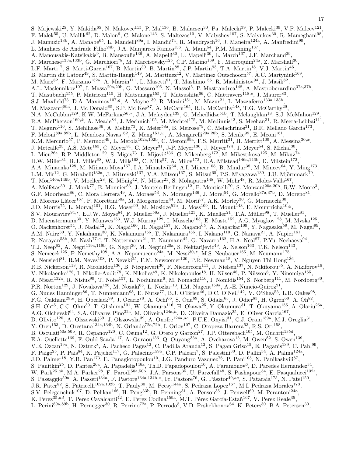S. Majewski $^{25}$ , Y. Makida $^{65}$ , N. Makovec $^{115}$ , P. Mal $^{136}$ , B. Malaescu $^{30}$ , Pa. Malecki $^{39}$ , P. Malecki $^{39}$ , V.P. Maleev $^{121}$ , F. Malek<sup>55</sup>, U. Mallik<sup>62</sup>, D. Malon<sup>6</sup>, C. Malone<sup>143</sup>, S. Maltezos<sup>10</sup>, V. Malyshev<sup>107</sup>, S. Malyukov<sup>30</sup>, R. Mameghani<sup>98</sup>, J. Mamuzic<sup>13b</sup>, A. Manabe<sup>65</sup>, L. Mandelli<sup>89a</sup>, I. Mandić<sup>74</sup>, R. Mandrysch<sup>16</sup>, J. Maneira<sup>124a</sup>, A. Manfredini<sup>99</sup>, L. Manhaes de Andrade Filho<sup>24b</sup>, J.A. Manjarres Ramos<sup>136</sup>, A. Mann<sup>54</sup>, P.M. Manning<sup>137</sup>, A. Manousakis-Katsikakis<sup>9</sup>, B. Mansoulie<sup>136</sup>, A. Mapelli<sup>30</sup>, L. Mapelli<sup>30</sup>, L. March<sup>167</sup>, J.F. Marchand<sup>29</sup>, F. Marchese<sup>133a,133b</sup>, G. Marchiori<sup>78</sup>, M. Marcisovsky<sup>125</sup>, C.P. Marino<sup>169</sup>, F. Marroquim<sup>24a</sup>, Z. Marshall<sup>30</sup>, L.F. Marti<sup>17</sup>, S. Marti-Garcia<sup>167</sup>, B. Martin<sup>30</sup>, B. Martin<sup>88</sup>, J.P. Martin<sup>93</sup>, T.A. Martin<sup>18</sup>, V.J. Martin<sup>46</sup>, B. Martin dit Latour<sup>49</sup>, S. Martin-Haugh<sup>149</sup>, M. Martinez<sup>12</sup>, V. Martinez Outschoorn<sup>57</sup>, A.C. Martyniuk<sup>169</sup>, M. Marx $^{82}$ , F. Marzano<sup>132a</sup>, A. Marzin<sup>111</sup>, L. Masetti<sup>81</sup>, T. Mashimo<sup>155</sup>, R. Mashinistov $^{94}$ , J. Masik $^{82}$ , A.L. Maslennikov<sup>107</sup>, I. Massa<sup>20a,20b</sup>, G. Massaro<sup>105</sup>, N. Massol<sup>5</sup>, P. Mastrandrea<sup>148</sup>, A. Mastroberardino<sup>37a,37b</sup>, T. Masubuchi<sup>155</sup>, P. Matricon<sup>115</sup>, H. Matsunaga<sup>155</sup>, T. Matsushita<sup>66</sup>, C. Mattravers<sup>118,c</sup>, J. Maurer<sup>83</sup>, S.J. Maxfield<sup>73</sup>, D.A. Maximov<sup>107,9</sup>, A. Mayne<sup>139</sup>, R. Mazini<sup>151</sup>, M. Mazur<sup>21</sup>, L. Mazzaferro<sup>133a,133b</sup>, M. Mazzanti<sup>89a</sup>, J. Mc Donald<sup>85</sup>, S.P. Mc Kee<sup>87</sup>, A. McCarn<sup>165</sup>, R.L. McCarthy<sup>148</sup>, T.G. McCarthy<sup>29</sup>, N.A. McCubbin<sup>129</sup>, K.W. McFarlane<sup>56,\*</sup>, J.A. Mcfayden<sup>139</sup>, G. Mchedlidze<sup>51b</sup>, T. Mclaughlan<sup>18</sup>, S.J. McMahon<sup>129</sup> , R.A. McPherson<sup>169,k</sup>, A. Meade<sup>84</sup>, J. Mechnich<sup>105</sup>, M. Mechtel<sup>175</sup>, M. Medinnis<sup>42</sup>, S. Meehan<sup>31</sup>, R. Meera-Lebbai<sup>111</sup>, T. Meguro<sup>116</sup>, S. Mehlhase<sup>36</sup>, A. Mehta<sup>73</sup>, K. Meier<sup>58a</sup>, B. Meirose<sup>79</sup>, C. Melachrinos<sup>31</sup>, B.R. Mellado Garcia<sup>173</sup>, F. Meloni<sup>89a,89b</sup>, L. Mendoza Navas<sup>162</sup>, Z. Meng<sup>151,*w*</sup>, A. Mengarelli<sup>20a,20b</sup>, S. Menke<sup>99</sup>, E. Meoni<sup>161</sup>, K.M. Mercurio<sup>57</sup>, P. Mermod<sup>49</sup>, L. Merola<sup>102a,102b</sup>, C. Meroni<sup>89a</sup>, F.S. Merritt<sup>31</sup>, H. Merritt<sup>109</sup>, A. Messina<sup>30,x</sup>, J. Metcalfe<sup>25</sup>, A.S. Mete<sup>163</sup>, C. Meyer<sup>81</sup>, C. Meyer<sup>31</sup>, J-P. Meyer<sup>136</sup>, J. Meyer<sup>174</sup>, J. Meyer<sup>54</sup>, S. Michal<sup>30</sup>, L. Micu<sup>26a</sup>, R.P. Middleton<sup>129</sup>, S. Migas<sup>73</sup>, L. Mijović<sup>136</sup>, G. Mikenberg<sup>172</sup>, M. Mikestikova<sup>125</sup>, M. Mikuž<sup>74</sup>,  $D.W.$  Miller<sup>31</sup>, R.J. Miller<sup>88</sup>, W.J. Mills<sup>168</sup>, C. Mills<sup>57</sup>, A. Milov<sup>172</sup>, D.A. Milstead<sup>146a,146b</sup>, D. Milstein<sup>172</sup>, A.A. Minaenko<sup>128</sup>, M. Miñano Moya<sup>167</sup>, I.A. Minashvili<sup>64</sup>, A.I. Mincer<sup>108</sup>, B. Mindur<sup>38</sup>, M. Mineev<sup>64</sup>, Y. Ming<sup>173</sup>, L.M. Mir $^{12}$ , G. Mirabelli $^{132}$ a, J. Mitrevski $^{137}$ , V.A. Mitsou $^{167}$ , S. Mitsui $^{65}$ , P.S. Miyagawa $^{139}$ , J.U. Mjörnmark $^{79}$ , T. Moa<sup>146a,146b</sup>, V. Moeller<sup>28</sup>, K. Mönig<sup>42</sup>, N. Möser<sup>21</sup>, S. Mohapatra<sup>148</sup>, W. Mohr<sup>48</sup>, R. Moles-Valls<sup>167</sup>, A. Molfetas<sup>30</sup>, J. Monk<sup>77</sup>, E. Monnier<sup>83</sup>, J. Montejo Berlingen<sup>12</sup>, F. Monticelli<sup>70</sup>, S. Monzani<sup>20a,20b</sup>, R.W. Moore<sup>3</sup>, G.F. Moorhead<sup>86</sup>, C. Mora Herrera<sup>49</sup>, A. Moraes<sup>53</sup>, N. Morange<sup>136</sup>, J. Morel<sup>54</sup>, G. Morello<sup>37a,37b</sup>, D. Moreno<sup>81</sup>, M. Moreno Llácer<sup>167</sup>, P. Morettini<sup>50a</sup>, M. Morgenstern<sup>44</sup>, M. Morii<sup>57</sup>, A.K. Morley<sup>30</sup>, G. Mornacchi<sup>30</sup>, J.D. Morris<sup>75</sup>, L. Morvaj<sup>101</sup>, H.G. Moser<sup>99</sup>, M. Mosidze<sup>51b</sup>, J. Moss<sup>109</sup>, R. Mount<sup>143</sup>, E. Mountricha<sup>10,y</sup>, S.V. Mouraviev<sup>94,\*</sup>, E.J.W. Moyse<sup>84</sup>, F. Mueller<sup>58a</sup>, J. Mueller<sup>123</sup>, K. Mueller<sup>21</sup>, T.A. Müller<sup>98</sup>, T. Mueller<sup>81</sup>, D. Muenstermann<sup>30</sup>, Y. Munwes<sup>153</sup>, W.J. Murray<sup>129</sup>, I. Mussche<sup>105</sup>, E. Musto<sup>152</sup>, A.G. Myagkov<sup>128</sup>, M. Myska<sup>125</sup>, O. Nackenhorst $^{54}$ , J. Nadal<sup>12</sup>, K. Nagai<sup>160</sup>, R. Nagai<sup>157</sup>, K. Nagano $^{65}$ , A. Nagarkar $^{109}$ , Y. Nagasaka $^{59}$ , M. Nagel $^{99}$ , A.M. Nairz<sup>30</sup>, Y. Nakahama<sup>30</sup>, K. Nakamura<sup>155</sup>, T. Nakamura<sup>155</sup>, I. Nakano<sup>110</sup>, G. Nanava<sup>21</sup>, A. Napier<sup>161</sup>, R. Narayan<sup>58b</sup>, M. Nash<sup>77,c</sup>, T. Nattermann<sup>21</sup>, T. Naumann<sup>42</sup>, G. Navarro<sup>162</sup>, H.A. Neal<sup>87</sup>, P.Yu. Nechaeva<sup>94</sup>, T.J. Neep<sup>82</sup>, A. Negri<sup>119a,119b</sup>, G. Negri<sup>30</sup>, M. Negrini<sup>20a</sup>, S. Nektarijevic<sup>49</sup>, A. Nelson<sup>163</sup>, T.K. Nelson<sup>143</sup>, S. Nemecek<sup>125</sup>, P. Nemethy<sup>108</sup>, A.A. Nepomuceno<sup>24a</sup>, M. Nessi<sup>30,z</sup>, M.S. Neubauer<sup>165</sup>, M. Neumann<sup>175</sup>, A. Neusiedl $^{81}$ , R.M. Neves<sup>108</sup>, P. Nevski<sup>25</sup>, F.M. Newcomer<sup>120</sup>, P.R. Newman<sup>18</sup>, V. Nguyen Thi Hong<sup>136</sup>, R.B. Nickerson<sup>118</sup>, R. Nicolaidou<sup>136</sup>, B. Nicquevert<sup>30</sup>, F. Niedercorn<sup>115</sup>, J. Nielsen<sup>137</sup>, N. Nikiforou<sup>35</sup>, A. Nikiforov<sup>16</sup>, V. Nikolaenko<sup>128</sup>, I. Nikolic-Audit<sup>78</sup>, K. Nikolics<sup>49</sup>, K. Nikolopoulos<sup>18</sup>, H. Nilsen<sup>48</sup>, P. Nilsson<sup>8</sup>, Y. Ninomiya<sup>155</sup>, A. Nisati<sup>132a</sup>, R. Nisius<sup>99</sup>, T. Nobe<sup>157</sup>, L. Nodulman<sup>6</sup>, M. Nomachi<sup>116</sup>, I. Nomidis<sup>154</sup>, S. Norberg<sup>111</sup>, M. Nordberg<sup>30</sup>, P.R. Norton<sup>129</sup>, J. Novakova<sup>126</sup>, M. Nozaki<sup>65</sup>, L. Nozka<sup>113</sup>, I.M. Nugent<sup>159a</sup>, A.-E. Nuncio-Quiroz<sup>21</sup>, G. Nunes Hanninger<sup>86</sup>, T. Nunnemann<sup>98</sup>, E. Nurse<sup>77</sup>, B.J. O'Brien<sup>46</sup>, D.C. O'Neil<sup>142</sup>, V. O'Shea<sup>53</sup>, L.B. Oakes<sup>98</sup>, F.G. Oakham<sup>29,e</sup>, H. Oberlack<sup>99</sup>, J. Ocariz<sup>78</sup>, A. Ochi<sup>66</sup>, S. Oda<sup>69</sup>, S. Odaka<sup>65</sup>, J. Odier<sup>83</sup>, H. Ogren<sup>60</sup>, A. Oh<sup>82</sup>, S.H. Oh<sup>45</sup>, C.C. Ohm<sup>30</sup>, T. Ohshima<sup>101</sup>, W. Okamura<sup>116</sup>, H. Okawa<sup>25</sup>, Y. Okumura<sup>31</sup>, T. Okuyama<sup>155</sup>, A. Olariu<sup>26a</sup>, A.G. Olchevski<sup>64</sup>, S.A. Olivares Pino<sup>32a</sup>, M. Oliveira<sup>124a,h</sup>, D. Oliveira Damazio<sup>25</sup>, E. Oliver Garcia<sup>167</sup>, D. Olivito<sup>120</sup>, A. Olszewski<sup>39</sup>, J. Olszowska<sup>39</sup>, A. Onofre<sup>124a,aa</sup>, P.U.E. Onyisi<sup>31</sup>, C.J. Oram<sup>159a</sup>, M.J. Oreglia<sup>31</sup>, Y. Oren<sup>153</sup>, D. Orestano<sup>134a,134b</sup>, N. Orlando<sup>72a,72b</sup>, I. Orlov<sup>107</sup>, C. Oropeza Barrera<sup>53</sup>, R.S. Orr<sup>158</sup>, B. Osculati<sup>50a,50b</sup>, R. Ospanov<sup>120</sup>, C. Osuna<sup>12</sup>, G. Otero y Garzon<sup>27</sup>, J.P. Ottersbach<sup>105</sup>, M. Ouchrif<sup>135d</sup>, E.A. Ouellette<sup>169</sup>, F. Ould-Saada<sup>117</sup>, A. Ouraou<sup>136</sup>, Q. Ouyang<sup>33a</sup>, A. Ovcharova<sup>15</sup>, M. Owen<sup>82</sup>, S. Owen<sup>139</sup>, V.E. Ozcan<sup>19a</sup>, N. Ozturk<sup>8</sup>, A. Pacheco Pages<sup>12</sup>, C. Padilla Aranda<sup>12</sup>, S. Pagan Griso<sup>15</sup>, E. Paganis<sup>139</sup>, C. Pahl<sup>99</sup>, F. Paige<sup>25</sup>, P. Pais<sup>84</sup>, K. Pajchel<sup>117</sup>, G. Palacino<sup>159b</sup>, C.P. Paleari<sup>7</sup>, S. Palestini<sup>30</sup>, D. Pallin<sup>34</sup>, A. Palma<sup>124a</sup>, J.D. Palmer<sup>18</sup>, Y.B. Pan<sup>173</sup>, E. Panagiotopoulou<sup>10</sup>, J.G. Panduro Vazquez<sup>76</sup>, P. Pani<sup>105</sup>, N. Panikashvili<sup>87</sup>, S. Panitkin<sup>25</sup>, D. Pantea<sup>26a</sup>, A. Papadelis<sup>146a</sup>, Th.D. Papadopoulou<sup>10</sup>, A. Paramonov<sup>6</sup>, D. Paredes Hernandez<sup>34</sup>, W. Park<sup>25,ab</sup>, M.A. Parker<sup>28</sup>, F. Parodi<sup>50a,50b</sup>, J.A. Parsons<sup>35</sup>, U. Parzefall<sup>48</sup>, S. Pashapour<sup>54</sup>, E. Pasqualucci<sup>132a</sup>, S. Passaggio<sup>50a</sup>, A. Passeri<sup>134a</sup>, F. Pastore<sup>134a,134b,\*</sup>, Fr. Pastore<sup>76</sup>, G. Pásztor<sup>49,ac</sup>, S. Pataraia<sup>175</sup>, N. Patel<sup>150</sup>, J.R. Pater<sup>82</sup>, S. Patricelli<sup>102a,102b</sup>, T. Pauly<sup>30</sup>, M. Pecsy<sup>144a</sup>, S. Pedraza Lopez<sup>167</sup>, M.I. Pedraza Morales<sup>173</sup>, S.V. Peleganchuk<sup>107</sup>, D. Pelikan<sup>166</sup>, H. Peng<sup>33b</sup>, B. Penning<sup>31</sup>, A. Penson<sup>35</sup>, J. Penwell<sup>60</sup>, M. Perantoni<sup>24a</sup>, K. Perez<sup>35,ad</sup>, T. Perez Cavalcanti<sup>42</sup>, E. Perez Codina<sup>159a</sup>, M.T. Pérez García-Estañ<sup>167</sup>, V. Perez Reale<sup>35</sup>, L. Perini<sup>89a,89b</sup>, H. Pernegger<sup>30</sup>, R. Perrino<sup>72a</sup>, P. Perrodo<sup>5</sup>, V.D. Peshekhonov<sup>64</sup>, K. Peters<sup>30</sup>, B.A. Petersen<sup>30</sup>,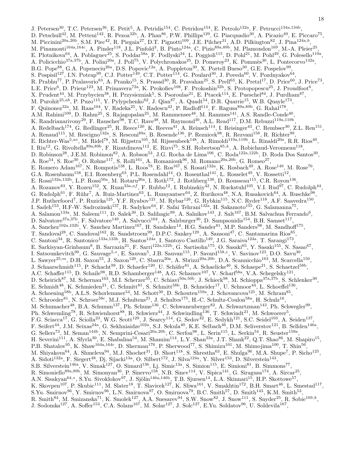J. Petersen<sup>30</sup>, T.C. Petersen<sup>36</sup>, E. Petit<sup>5</sup>, A. Petridis<sup>154</sup>, C. Petridou<sup>154</sup>, E. Petrolo<sup>132a</sup>, F. Petrucci<sup>134a,134b</sup>, D. Petschull<sup>42</sup>, M. Petteni<sup>142</sup>, R. Pezoa<sup>32b</sup>, A. Phan<sup>86</sup>, P.W. Phillips<sup>129</sup>, G. Piacquadio<sup>30</sup>, A. Picazio<sup>49</sup>, E. Piccaro<sup>75</sup>, M. Piccinini<sup>20a,20b</sup>, S.M. Piec<sup>42</sup>, R. Piegaia<sup>27</sup>, D.T. Pignotti<sup>109</sup>, J.E. Pilcher<sup>31</sup>, A.D. Pilkington<sup>82</sup>, J. Pina<sup>124a,b</sup>, M. Pinamonti<sup>164a,164c</sup>, A. Pinder<sup>118</sup>, J.L. Pinfold<sup>3</sup>, B. Pinto<sup>124a</sup>, C. Pizio<sup>89a,89b</sup>, M. Plamondon<sup>169</sup>, M.-A. Pleier<sup>25</sup>, E. Plotnikova<sup>64</sup>, A. Poblaguev<sup>25</sup>, S. Poddar<sup>58a</sup>, F. Podlyski<sup>34</sup>, L. Poggioli<sup>115</sup>, D. Pohl<sup>21</sup>, M. Pohl<sup>49</sup>, G. Polesello<sup>119a</sup>, A. Policicchio<sup>37a,37b</sup>, A. Polini<sup>20a</sup>, J. Poll<sup>75</sup>, V. Polychronakos<sup>25</sup>, D. Pomeroy<sup>23</sup>, K. Pommès<sup>30</sup>, L. Pontecorvo<sup>132a</sup>, B.G. Pope<sup>88</sup>, G.A. Popeneciu<sup>26a</sup>, D.S. Popovic<sup>13a</sup>, A. Poppleton<sup>30</sup>, X. Portell Bueso<sup>30</sup>, G.E. Pospelov<sup>99</sup>, S. Pospisil<sup>127</sup>, I.N. Potrap<sup>99</sup>, C.J. Potter<sup>149</sup>, C.T. Potter<sup>114</sup>, G. Poulard<sup>30</sup>, J. Poveda<sup>60</sup>, V. Pozdnyakov<sup>64</sup>, R. Prabhu<sup>77</sup>, P. Pralavorio<sup>83</sup>, A. Pranko<sup>15</sup>, S. Prasad<sup>30</sup>, R. Pravahan<sup>25</sup>, S. Prell<sup>63</sup>, K. Pretzl<sup>17</sup>, D. Price<sup>60</sup>, J. Price<sup>73</sup>, L.E. Price<sup>6</sup>, D. Prieur<sup>123</sup>, M. Primavera<sup>72a</sup>, K. Prokofiev<sup>108</sup>, F. Prokoshin<sup>32b</sup>, S. Protopopescu<sup>25</sup>, J. Proudfoot<sup>6</sup>, X. Prudent<sup>44</sup>, M. Przybycien<sup>38</sup>, H. Przysiezniak<sup>5</sup>, S. Psoroulas<sup>21</sup>, E. Ptacek<sup>114</sup>, E. Pueschel<sup>84</sup>, J. Purdham<sup>87</sup>, M. Purohit $^{25,ab}$ , P. Puzo $^{115}$ , Y. Pylypchenko $^{62}$ , J. Qian $^{87}$ , A. Quadt $^{54}$ , D.R. Quarrie $^{15}$ , W.B. Quayle $^{173}$ , F. Quinonez<sup>32a</sup>, M. Raas<sup>104</sup>, V. Radeka<sup>25</sup>, V. Radescu<sup>42</sup>, P. Radloff<sup>114</sup>, F. Ragusa<sup>89a,89b</sup>, G. Rahal<sup>178</sup>, A.M. Rahimi<sup>109</sup>, D. Rahm<sup>25</sup>, S. Rajagopalan<sup>25</sup>, M. Rammensee<sup>48</sup>, M. Rammes<sup>141</sup>, A.S. Randle-Conde<sup>40</sup>, K. Randrianarivony<sup>29</sup>, F. Rauscher<sup>98</sup>, T.C. Rave<sup>48</sup>, M. Raymond<sup>30</sup>, A.L. Read<sup>117</sup>, D.M. Rebuzzi<sup>119a,119b</sup>, A. Redelbach<sup>174</sup>, G. Redlinger<sup>25</sup>, R. Reece<sup>120</sup>, K. Reeves<sup>41</sup>, A. Reinsch<sup>114</sup>, I. Reisinger<sup>43</sup>, C. Rembser<sup>30</sup>, Z.L. Ren<sup>151</sup>, A. Renaud<sup>115</sup>, M. Rescigno<sup>132a</sup>, S. Resconi<sup>89a</sup>, B. Resende<sup>136</sup>, P. Reznicek<sup>98</sup>, R. Rezvani<sup>158</sup>, R. Richter<sup>99</sup>, E. Richter-Was<sup>5,ae</sup>, M. Ridel<sup>78</sup>, M. Rijpstra<sup>105</sup>, M. Rijssenbeek<sup>148</sup>, A. Rimoldi<sup>119a,119b</sup>, L. Rinaldi<sup>20a</sup>, R.R. Rios<sup>40</sup>, I. Riu<sup>12</sup>, G. Rivoltella<sup>89a,89b</sup>, F. Rizatdinova<sup>112</sup>, E. Rizvi<sup>75</sup>, S.H. Robertson<sup>85,k</sup>, A. Robichaud-Veronneau<sup>118</sup>, D. Robinson<sup>28</sup>, J.E.M. Robinson<sup>82</sup>, A. Robson<sup>53</sup>, J.G. Rocha de Lima<sup>106</sup>, C. Roda<sup>122a,122b</sup>, D. Roda Dos Santos<sup>30</sup>, A. Roe<sup>54</sup>, S. Roe<sup>30</sup>, O. Røhne<sup>117</sup>, S. Rolli<sup>161</sup>, A. Romaniouk<sup>96</sup>, M. Romano<sup>20a,20b</sup>, G. Romeo<sup>27</sup>, E. Romero Adam<sup>167</sup>, N. Rompotis<sup>138</sup>, L. Roos<sup>78</sup>, E. Ros<sup>167</sup>, S. Rosati<sup>132a</sup>, K. Rosbach<sup>49</sup>, A. Rose<sup>149</sup>, M. Rose<sup>76</sup>, G.A. Rosenbaum<sup>158</sup>, E.I. Rosenberg<sup>63</sup>, P.L. Rosendahl<sup>14</sup>, O. Rosenthal<sup>141</sup>, L. Rosselet<sup>49</sup>, V. Rossetti<sup>12</sup>, E. Rossi<sup>132a,132b</sup>, L.P. Rossi<sup>50a</sup>, M. Rotaru<sup>26a</sup>, I. Roth<sup>172</sup>, J. Rothberg<sup>138</sup>, D. Rousseau<sup>115</sup>, C.R. Royon<sup>136</sup>, A. Rozanov<sup>83</sup>, Y. Rozen<sup>152</sup>, X. Ruan<sup>33a,af</sup>, F. Rubbo<sup>12</sup>, I. Rubinskiy<sup>42</sup>, N. Ruckstuhl<sup>105</sup>, V.I. Rud<sup>97</sup>, C. Rudolph<sup>44</sup>, G. Rudolph<sup>61</sup>, F. Rühr<sup>7</sup>, A. Ruiz-Martinez<sup>63</sup>, L. Rumyantsev<sup>64</sup>, Z. Rurikova<sup>48</sup>, N.A. Rusakovich<sup>64</sup>, A. Ruschke<sup>98</sup>, J.P. Rutherfoord<sup>7</sup>, P. Ruzicka<sup>125</sup>, Y.F. Ryabov<sup>121</sup>, M. Rybar<sup>126</sup>, G. Rybkin<sup>115</sup>, N.C. Ryder<sup>118</sup>, A.F. Saavedra<sup>150</sup>, I. Sadeh<sup>153</sup>, H.F-W. Sadrozinski<sup>137</sup>, R. Sadykov<sup>64</sup>, F. Safai Tehrani<sup>132a</sup>, H. Sakamoto<sup>155</sup>, G. Salamanna<sup>75</sup>, A. Salamon<sup>133a</sup>, M. Saleem<sup>111</sup>, D. Salek<sup>30</sup>, D. Salihagic<sup>99</sup>, A. Salnikov<sup>143</sup>, J. Salt<sup>167</sup>, B.M. Salvachua Ferrando<sup>6</sup>, D. Salvatore<sup>37a,37b</sup>, F. Salvatore<sup>149</sup>, A. Salvucci<sup>104</sup>, A. Salzburger<sup>30</sup>, D. Sampsonidis<sup>154</sup>, B.H. Samset<sup>117</sup>, A. Sanchez<sup>102a,102b</sup>, V. Sanchez Martinez<sup>167</sup>, H. Sandaker<sup>14</sup>, H.G. Sander<sup>81</sup>, M.P. Sanders<sup>98</sup>, M. Sandhoff<sup>175</sup>, T. Sandoval<sup>28</sup>, C. Sandoval<sup>162</sup>, R. Sandstroem<sup>99</sup>, D.P.C. Sankey<sup>129</sup>, A. Sansoni<sup>47</sup>, C. Santamarina Rios<sup>85</sup>, C. Santoni<sup>34</sup>, R. Santonico<sup>133a,133b</sup>, H. Santos<sup>124a</sup>, I. Santoyo Castillo<sup>149</sup>, J.G. Saraiva<sup>124a</sup>, T. Sarangi<sup>173</sup>, E. Sarkisyan-Grinbaum<sup>8</sup>, B. Sarrazin<sup>21</sup>, F. Sarri<sup>122a,122b</sup>, G. Sartisohn<sup>175</sup>, O. Sasaki<sup>65</sup>, Y. Sasaki<sup>155</sup>, N. Sasao<sup>67</sup>, I. Satsounkevitch<sup>90</sup>, G. Sauvage<sup>5,\*</sup>, E. Sauvan<sup>5</sup>, J.B. Sauvan<sup>115</sup>, P. Savard<sup>158,e</sup>, V. Savinov<sup>123</sup>, D.O. Savu<sup>30</sup>, L. Sawyer<sup>25,m</sup>, D.H. Saxon<sup>53</sup>, J. Saxon<sup>120</sup>, C. Sbarra<sup>20a</sup>, A. Sbrizzi<sup>20a,20b</sup>, D.A. Scannicchio<sup>163</sup>, M. Scarcella<sup>150</sup>, J. Schaarschmidt<sup>115</sup>, P. Schacht<sup>99</sup>, D. Schaefer<sup>120</sup>, U. Schäfer<sup>81</sup>, A. Schaelicke<sup>46</sup>, S. Schaepe<sup>21</sup>, S. Schaetzel<sup>58b</sup>, A.C. Schaffer<sup>115</sup>, D. Schaile<sup>98</sup>, R.D. Schamberger<sup>148</sup>, A.G. Schamov<sup>107</sup>, V. Scharf<sup>58a</sup>, V.A. Schegelsky<sup>121</sup>, D. Scheirich<sup>87</sup>, M. Schernau<sup>163</sup>, M.I. Scherzer<sup>35</sup>, C. Schiavi<sup>50a,50b</sup>, J. Schieck<sup>98</sup>, M. Schioppa<sup>37a,37b</sup>, S. Schlenker<sup>30</sup>, E. Schmidt<sup>48</sup>, K. Schmieden<sup>21</sup>, C. Schmitt<sup>81</sup>, S. Schmitt<sup>58b</sup>, B. Schneider<sup>17</sup>, U. Schnoor<sup>44</sup>, L. Schoeffel<sup>136</sup>, A. Schoening<sup>58b</sup>, A.L.S. Schorlemmer<sup>54</sup>, M. Schott<sup>30</sup>, D. Schouten<sup>159a</sup>, J. Schovancova<sup>125</sup>, M. Schram<sup>85</sup>, C. Schroeder<sup>81</sup>, N. Schroer<sup>58c</sup>, M.J. Schultens<sup>21</sup>, J. Schultes<sup>175</sup>, H.-C. Schultz-Coulon<sup>58a</sup>, H. Schulz<sup>16</sup>, , M. Schumacher<sup>48</sup>, B.A. Schumm<sup>137</sup>, Ph. Schune<sup>136</sup>, C. Schwanenberger<sup>82</sup>, A. Schwartzman<sup>143</sup>, Ph. Schwegler<sup>99</sup>, Ph. Schwemling<sup>78</sup>, R. Schwienhorst<sup>88</sup>, R. Schwierz<sup>44</sup>, J. Schwindling<sup>136</sup>, T. Schwindt<sup>21</sup>, M. Schwoerer<sup>5</sup>, F.G. Sciacca<sup>17</sup>, G. Sciolla<sup>23</sup>, W.G. Scott<sup>129</sup>, J. Searcy<sup>114</sup>, G. Sedov<sup>42</sup>, E. Sedykh<sup>121</sup>, S.C. Seidel<sup>103</sup>, A. Seiden<sup>137</sup>, F. Seifert<sup>44</sup>, J.M. Seixas<sup>24a</sup>, G. Sekhniaidze<sup>102a</sup>, S.J. Sekula<sup>40</sup>, K.E. Selbach<sup>46</sup>, D.M. Seliverstov<sup>121</sup>, B. Sellden<sup>146a</sup>, G. Sellers<sup>73</sup>, M. Seman<sup>144b</sup>, N. Semprini-Cesari<sup>20a,20b</sup>, C. Serfon<sup>98</sup>, L. Serin<sup>115</sup>, L. Serkin<sup>54</sup>, R. Seuster<sup>159a</sup>, H. Severini<sup>111</sup>, A. Sfyrla<sup>30</sup>, E. Shabalina<sup>54</sup>, M. Shamim<sup>114</sup>, L.Y. Shan<sup>33a</sup>, J.T. Shank<sup>22</sup>, Q.T. Shao<sup>86</sup>, M. Shapiro<sup>15</sup>, P.B. Shatalov<sup>95</sup>, K. Shaw<sup>164a,164c</sup>, D. Sherman<sup>176</sup>, P. Sherwood<sup>77</sup>, S. Shimizu<sup>101</sup>, M. Shimojima<sup>100</sup>, T. Shin<sup>56</sup>, M. Shiyakova<sup>64</sup>, A. Shmeleva<sup>94</sup>, M.J. Shochet<sup>31</sup>, D. Short<sup>118</sup>, S. Shrestha<sup>63</sup>, E. Shulga<sup>96</sup>, M.A. Shupe<sup>7</sup>, P. Sicho<sup>125</sup>, A. Sidoti<sup>132a</sup>, F. Siegert<sup>48</sup>, Dj. Sijacki<sup>13a</sup>, O. Silbert<sup>172</sup>, J. Silva<sup>124a</sup>, Y. Silver<sup>153</sup>, D. Silverstein<sup>143</sup>, S.B. Silverstein<sup>146a</sup>, V. Simak<sup>127</sup>, O. Simard<sup>136</sup>, Lj. Simic<sup>13a</sup>, S. Simion<sup>115</sup>, E. Simioni<sup>81</sup>, B. Simmons<sup>77</sup>, R. Simoniello<sup>89a,89b</sup>, M. Simonyan<sup>36</sup>, P. Sinervo<sup>158</sup>, N.B. Sinev<sup>114</sup>, V. Sipica<sup>141</sup>, G. Siragusa<sup>174</sup>, A. Sircar<sup>25</sup>, A.N. Sisakyan<sup>64,∗</sup>, S.Yu. Sivoklokov<sup>97</sup>, J. Sjölin<sup>146a,146b</sup>, T.B. Sjursen<sup>14</sup>, L.A. Skinnari<sup>15</sup>, H.P. Skottowe<sup>57</sup>, K. Skovpen<sup>107</sup>, P. Skubic<sup>111</sup>, M. Slater<sup>18</sup>, T. Slavicek<sup>127</sup>, K. Sliwa<sup>161</sup>, V. Smakhtin<sup>172</sup>, B.H. Smart<sup>46</sup>, L. Smestad<sup>117</sup>, S.Yu. Smirnov<sup>96</sup>, Y. Smirnov<sup>96</sup>, L.N. Smirnova<sup>97</sup>, O. Smirnova<sup>79</sup>, B.C. Smith<sup>57</sup>, D. Smith<sup>143</sup>, K.M. Smith<sup>53</sup>, R. Smith<sup>84</sup>, M. Smizanska<sup>71</sup>, K. Smolek<sup>127</sup>, A.A. Snesarev<sup>94</sup>, S.W. Snow<sup>82</sup>, J. Snow<sup>111</sup>, S. Snyder<sup>25</sup>, R. Sobie<sup>169,k</sup>, J. Sodomka<sup>127</sup>, A. Soffer<sup>153</sup>, C.A. Solans<sup>167</sup>, M. Solar<sup>127</sup>, J. Solc<sup>127</sup>, E.Yu. Soldatov<sup>96</sup>, U. Soldevila<sup>167</sup>,

18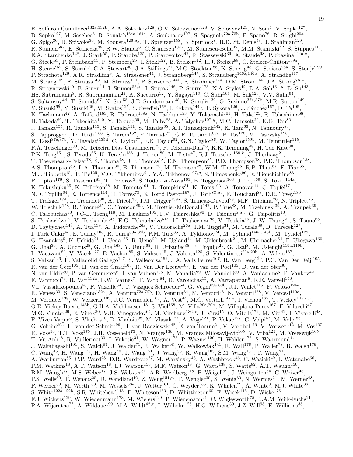E. Solfaroli Camillocci<sup>132a,132b</sup>, A.A. Solodkov<sup>128</sup>, O.V. Solovyanov<sup>128</sup>, V. Solovyev<sup>121</sup>, N. Soni<sup>1</sup>, V. Sopko<sup>127</sup>, B. Sopko<sup>127</sup>, M. Sosebee<sup>8</sup>, R. Soualah<sup>164a,164c</sup>, A. Soukharev<sup>107</sup>, S. Spagnolo<sup>72a,72b</sup>, F. Spanò<sup>76</sup>, R. Spighi<sup>20a</sup>, G. Spigo<sup>30</sup>, R. Spiwoks<sup>30</sup>, M. Spousta<sup>126,ag</sup>, T. Spreitzer<sup>158</sup>, B. Spurlock<sup>8</sup>, R.D. St. Denis<sup>53</sup>, J. Stahlman<sup>120</sup>, R. Stamen<sup>58a</sup>, E. Stanecka<sup>39</sup>, R.W. Stanek<sup>6</sup>, C. Stanescu<sup>134a</sup>, M. Stanescu-Bellu<sup>42</sup>, M.M. Stanitzki<sup>42</sup>, S. Stapnes<sup>117</sup>, E.A. Starchenko<sup>128</sup>, J. Stark<sup>55</sup>, P. Staroba<sup>125</sup>, P. Starovoitov<sup>42</sup>, R. Staszewski<sup>39</sup>, A. Staude<sup>98</sup>, P. Stavina<sup>144a,\*</sup>, G. Steele<sup>53</sup>, P. Steinbach<sup>44</sup>, P. Steinberg<sup>25</sup>, I. Stekl<sup>127</sup>, B. Stelzer<sup>142</sup>, H.J. Stelzer<sup>88</sup>, O. Stelzer-Chilton<sup>159a</sup>, H. Stenzel<sup>52</sup>, S. Stern<sup>99</sup>, G.A. Stewart<sup>30</sup>, J.A. Stillings<sup>21</sup>, M.C. Stockton<sup>85</sup>, K. Stoerig<sup>48</sup>, G. Stoicea<sup>26a</sup>, S. Stonjek<sup>99</sup>, P. Strachota<sup>126</sup>, A.R. Stradling<sup>8</sup>, A. Straessner<sup>44</sup>, J. Strandberg<sup>147</sup>, S. Strandberg<sup>146a,146b</sup>, A. Strandlie<sup>117</sup>, M. Strang<sup>109</sup>, E. Strauss<sup>143</sup>, M. Strauss<sup>111</sup>, P. Strizenec<sup>144b</sup>, R. Ströhmer<sup>174</sup>, D.M. Strom<sup>114</sup>, J.A. Strong<sup>76,\*</sup>, R. Stroynowski<sup>40</sup>, B. Stugu<sup>14</sup>, I. Stumer<sup>25,\*</sup>, J. Stupak<sup>148</sup>, P. Sturm<sup>175</sup>, N.A. Styles<sup>42</sup>, D.A. Soh<sup>151,u</sup>, D. Su<sup>143</sup>, HS. Subramania<sup>3</sup>, R. Subramaniam<sup>25</sup>, A. Succurro<sup>12</sup>, Y. Sugaya<sup>116</sup>, C. Suhr<sup>106</sup>, M. Suk<sup>126</sup>, V.V. Sulin<sup>94</sup>, S. Sultansoy<sup>4d</sup>, T. Sumida<sup>67</sup>, X. Sun<sup>55</sup>, J.E. Sundermann<sup>48</sup>, K. Suruliz<sup>139</sup>, G. Susinno<sup>37a,37b</sup>, M.R. Sutton<sup>149</sup>, Y. Suzuki<sup>65</sup>, Y. Suzuki<sup>66</sup>, M. Svatos<sup>125</sup>, S. Swedish<sup>168</sup>, I. Sykora<sup>144a</sup>, T. Sykora<sup>126</sup>, J. Sánchez<sup>167</sup>, D. Ta<sup>105</sup>, K. Tackmann<sup>42</sup>, A. Taffard<sup>163</sup>, R. Tafirout<sup>159a</sup>, N. Taiblum<sup>153</sup>, Y. Takahashi<sup>101</sup>, H. Takai<sup>25</sup>, R. Takashima<sup>68</sup>, H. Takeda<sup>66</sup>, T. Takeshita<sup>140</sup>, Y. Takubo<sup>65</sup>, M. Talby<sup>83</sup>, A. Talyshev<sup>107,g</sup>, M.C. Tamsett<sup>25</sup>, K.G. Tan<sup>86</sup>, J. Tanaka<sup>155</sup>, R. Tanaka<sup>115</sup>, S. Tanaka<sup>131</sup>, S. Tanaka<sup>65</sup>, A.J. Tanasijczuk<sup>142</sup>, K. Tani<sup>66</sup>, N. Tannoury<sup>83</sup>, S. Tapprogge<sup>81</sup>, D. Tardif<sup>158</sup>, S. Tarem<sup>152</sup>, F. Tarrade<sup>29</sup>, G.F. Tartarelli<sup>89a</sup>, P. Tas<sup>126</sup>, M. Tasevsky<sup>125</sup>, E. Tassi<sup>37a,37b</sup>, Y. Tayalati<sup>135d</sup>, C. Taylor<sup>77</sup>, F.E. Taylor<sup>92</sup>, G.N. Taylor<sup>86</sup>, W. Taylor<sup>159b</sup>, M. Teinturier<sup>115</sup>, F.A. Teischinger<sup>30</sup>, M. Teixeira Dias Castanheira<sup>75</sup>, P. Teixeira-Dias<sup>76</sup>, K.K. Temming<sup>48</sup>, H. Ten Kate<sup>30</sup>, P.K. Teng<sup>151</sup>, S. Terada<sup>65</sup>, K. Terashi<sup>155</sup>, J. Terron<sup>80</sup>, M. Testa<sup>47</sup>, R.J. Teuscher<sup>158,k</sup>, J. Therhaag<sup>21</sup>, T. Theveneaux-Pelzer<sup>78</sup>, S. Thoma<sup>48</sup>, J.P. Thomas<sup>18</sup>, E.N. Thompson<sup>35</sup>, P.D. Thompson<sup>18</sup>, P.D. Thompson<sup>158</sup>, A.S. Thompson<sup>53</sup>, L.A. Thomsen<sup>36</sup>, E. Thomson<sup>120</sup>, M. Thomson<sup>28</sup>, W.M. Thong<sup>86</sup>, R.P. Thun<sup>87</sup>, F. Tian<sup>35</sup>, M.J. Tibbetts<sup>15</sup>, T. Tic<sup>125</sup>, V.O. Tikhomirov<sup>94</sup>, Y.A. Tikhonov<sup>107,9</sup>, S. Timoshenko<sup>96</sup>, E. Tiouchichine<sup>83</sup>, P. Tipton<sup>176</sup>, S. Tisserant<sup>83</sup>, T. Todorov<sup>5</sup>, S. Todorova-Nova<sup>161</sup>, B. Toggerson<sup>163</sup>, J. Tojo<sup>69</sup>, S. Tokár<sup>144a</sup> , K. Tokushuku<sup>65</sup>, K. Tollefson<sup>88</sup>, M. Tomoto<sup>101</sup>, L. Tompkins<sup>31</sup>, K. Toms<sup>103</sup>, A. Tonoyan<sup>14</sup>, C. Topfel<sup>17</sup>, N.D. Topilin<sup>64</sup>, E. Torrence<sup>114</sup>, H. Torres<sup>78</sup>, E. Torró Pastor<sup>167</sup>, J. Toth<sup>83,ac</sup>, F. Touchard<sup>83</sup>, D.R. Tovey<sup>139</sup>, T. Trefzger<sup>174</sup>, L. Tremblet<sup>30</sup>, A. Tricoli<sup>30</sup>, I.M. Trigger<sup>159a</sup>, S. Trincaz-Duvoid<sup>78</sup>, M.F. Tripiana<sup>70</sup>, N. Triplett<sup>25</sup>, W. Trischuk<sup>158</sup>, B. Trocmé<sup>55</sup>, C. Troncon<sup>89a</sup>, M. Trottier-McDonald<sup>142</sup>, P. True<sup>88</sup>, M. Trzebinski<sup>39</sup>, A. Trzupek<sup>39</sup>, C. Tsarouchas<sup>30</sup>, J.C-L. Tseng<sup>118</sup>, M. Tsiakiris<sup>105</sup>, P.V. Tsiareshka<sup>90</sup>, D. Tsionou<sup>5,ah</sup>, G. Tsipolitis<sup>10</sup>, S. Tsiskaridze<sup>12</sup>, V. Tsiskaridze<sup>48</sup>, E.G. Tskhadadze<sup>51a</sup>, I.I. Tsukerman<sup>95</sup>, V. Tsulaia<sup>15</sup>, J.-W. Tsung<sup>21</sup>, S. Tsuno<sup>65</sup>, D. Tsybychev<sup>148</sup>, A. Tua<sup>139</sup>, A. Tudorache<sup>26a</sup>, V. Tudorache<sup>26a</sup>, J.M. Tuggle<sup>31</sup>, M. Turala<sup>39</sup>, D. Turecek<sup>127</sup>, I. Turk Cakir<sup>4e</sup>, E. Turlay<sup>105</sup>, R. Turra<sup>89a,89b</sup>, P.M. Tuts<sup>35</sup>, A. Tykhonov<sup>74</sup>, M. Tylmad<sup>146a,146b</sup>, M. Tyndel<sup>129</sup>, G. Tzanakos<sup>9</sup>, K. Uchida<sup>21</sup>, I. Ueda<sup>155</sup>, R. Ueno<sup>29</sup>, M. Ugland<sup>14</sup>, M. Uhlenbrock<sup>21</sup>, M. Uhrmacher<sup>54</sup>, F. Ukegawa<sup>160</sup>, G. Unal<sup>30</sup>, A. Undrus<sup>25</sup>, G. Unel<sup>163</sup>, Y. Unno<sup>65</sup>, D. Urbaniec<sup>35</sup>, P. Urquijo<sup>21</sup>, G. Usai<sup>8</sup>, M. Uslenghi<sup>119a,119b</sup>, L. Vacavant<sup>83</sup>, V. Vacek<sup>127</sup>, B. Vachon<sup>85</sup>, S. Vahsen<sup>15</sup>, J. Valenta<sup>125</sup>, S. Valentinetti<sup>20a,20b</sup>, A. Valero<sup>167</sup>, S. Valkar<sup>126</sup>, E. Valladolid Gallego<sup>167</sup>, S. Vallecorsa<sup>152</sup>, J.A. Valls Ferrer<sup>167</sup>, R. Van Berg<sup>120</sup>, P.C. Van Der Deijl<sup>105</sup>, R. van der Geer<sup>105</sup>, H. van der Graaf<sup>105</sup>, R. Van Der Leeuw<sup>105</sup>, E. van der Poel<sup>105</sup>, D. van der Ster<sup>30</sup>, N. van Eldik<sup>30</sup>, P. van Gemmeren<sup>6</sup>, I. van Vulpen<sup>105</sup>, M. Vanadia<sup>99</sup>, W. Vandelli<sup>30</sup>, A. Vaniachine<sup>6</sup>, P. Vankov<sup>42</sup>, F. Vannucci<sup>78</sup>, R. Vari<sup>132a</sup>, E.W. Varnes<sup>7</sup>, T. Varol<sup>84</sup>, D. Varouchas<sup>15</sup>, A. Vartapetian<sup>8</sup>, K.E. Varvell<sup>150</sup>, V.I. Vassilakopoulos<sup>56</sup>, F. Vazeille<sup>34</sup>, T. Vazquez Schroeder<sup>54</sup>, G. Vegni<sup>89a,89b</sup>, J.J. Veillet<sup>115</sup>, F. Veloso<sup>124a</sup>, R. Veness<sup>30</sup>, S. Veneziano<sup>132a</sup>, A. Ventura<sup>72a,72b</sup>, D. Ventura<sup>84</sup>, M. Venturi<sup>48</sup>, N. Venturi<sup>158</sup>, V. Vercesi<sup>119a</sup>, M. Verducci<sup>138</sup>, W. Verkerke<sup>105</sup>, J.C. Vermeulen<sup>105</sup>, A. Vest<sup>44</sup>, M.C. Vetterli<sup>142,e</sup>, I. Vichou<sup>165</sup>, T. Vickey<sup>145b,ai</sup>, O.E. Vickey Boeriu<sup>145b</sup>, G.H.A. Viehhauser<sup>118</sup>, S. Viel<sup>168</sup>, M. Villa<sup>20a,20b</sup>, M. Villaplana Perez<sup>167</sup>, E. Vilucchi<sup>47</sup>, M.G. Vincter<sup>29</sup>, E. Vinek<sup>30</sup>, V.B. Vinogradov<sup>64</sup>, M. Virchaux<sup>136,∗</sup>, J. Virzi<sup>15</sup>, O. Vitells<sup>172</sup>, M. Viti<sup>42</sup>, I. Vivarelli<sup>48</sup>, F. Vives Vaque<sup>3</sup>, S. Vlachos<sup>10</sup>, D. Vladoiu<sup>98</sup>, M. Vlasak<sup>127</sup>, A. Vogel<sup>21</sup>, P. Vokac<sup>127</sup>, G. Volpi<sup>47</sup>, M. Volpi<sup>86</sup>, G. Volpini<sup>89a</sup>, H. von der Schmitt<sup>99</sup>, H. von Radziewski<sup>48</sup>, E. von Toerne<sup>21</sup>, V. Vorobel<sup>126</sup>, V. Vorwerk<sup>12</sup>, M. Vos<sup>167</sup>, R. Voss<sup>30</sup>, T.T. Voss<sup>175</sup>, J.H. Vossebeld<sup>73</sup>, N. Vranjes<sup>136</sup>, M. Vranjes Milosavljevic<sup>105</sup>, V. Vrba<sup>125</sup>, M. Vreeswijk<sup>105</sup>, T. Vu Anh<sup>48</sup>, R. Vuillermet<sup>30</sup>, I. Vukotic<sup>31</sup>, W. Wagner<sup>175</sup>, P. Wagner<sup>120</sup>, H. Wahlen<sup>175</sup>, S. Wahrmund<sup>44</sup>, J. Wakabayashi<sup>101</sup>, S. Walch<sup>87</sup>, J. Walder<sup>71</sup>, R. Walker<sup>98</sup>, W. Walkowiak<sup>141</sup>, R. Wall<sup>176</sup>, P. Waller<sup>73</sup>, B. Walsh<sup>176</sup>, C.  $\text{Wang}^{45}$ , H.  $\text{Wang}^{173}$ , H.  $\text{Wang}^{40}$ , J.  $\text{Wang}^{151}$ , J.  $\text{Wang}^{55}$ , R.  $\text{Wang}^{103}$ , S.M.  $\text{Wang}^{151}$ , T.  $\text{Wang}^{21}$ , A. Warburton<sup>85</sup>, C.P. Ward<sup>28</sup>, D.R. Wardrope<sup>77</sup>, M. Warsinsky<sup>48</sup>, A. Washbrook<sup>46</sup>, C. Wasicki<sup>42</sup>, I. Watanabe<sup>66</sup>, P.M. Watkins<sup>18</sup>, A.T. Watson<sup>18</sup>, I.J. Watson<sup>150</sup>, M.F. Watson<sup>18</sup>, G. Watts<sup>138</sup>, S. Watts<sup>82</sup>, A.T. Waugh<sup>150</sup>, B.M. Waugh<sup>77</sup>, M.S. Weber<sup>17</sup>, J.S. Webster<sup>31</sup>, A.R. Weidberg<sup>118</sup>, P. Weigell<sup>99</sup>, J. Weingarten<sup>54</sup>, C. Weiser<sup>48</sup>, P.S. Wells<sup>30</sup>, T. Wenaus<sup>25</sup>, D. Wendland<sup>16</sup>, Z. Weng<sup>151,*u*</sup>, T. Wengler<sup>30</sup>, S. Wenig<sup>30</sup>, N. Wermes<sup>21</sup>, M. Werner<sup>48</sup>, P. Werner<sup>30</sup>, M. Werth<sup>163</sup>, M. Wessels<sup>58a</sup>, J. Wetter<sup>161</sup>, C. Weydert<sup>55</sup>, K. Whalen<sup>29</sup>, A. White<sup>8</sup>, M.J. White<sup>86</sup>, S. White<sup>122a,122b</sup>, S.R. Whitehead<sup>118</sup>, D. Whiteson<sup>163</sup>, D. Whittington<sup>60</sup>, F. Wicek<sup>115</sup>, D. Wicke<sup>175</sup>, F.J. Wickens<sup>129</sup>, W. Wiedenmann<sup>173</sup>, M. Wielers<sup>129</sup>, P. Wienemann<sup>21</sup>, C. Wiglesworth<sup>75</sup>, L.A.M. Wiik-Fuchs<sup>21</sup>, P.A. Wijeratne<sup>77</sup>, A. Wildauer<sup>99</sup>, M.A. Wildt<sup>42,r</sup>, I. Wilhelm<sup>126</sup>, H.G. Wilkens<sup>30</sup>, J.Z. Will<sup>98</sup>, E. Williams<sup>35</sup>,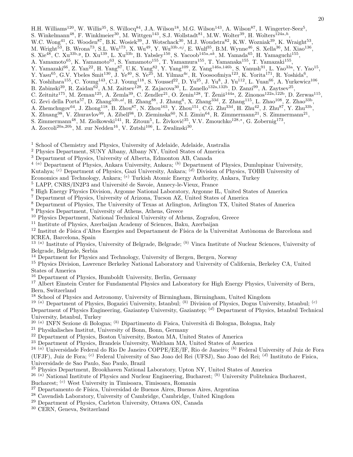H.H. Williams<sup>120</sup>, W. Willis<sup>35</sup>, S. Willocq<sup>84</sup>, J.A. Wilson<sup>18</sup>, M.G. Wilson<sup>143</sup>, A. Wilson<sup>87</sup>, I. Wingerter-Seez<sup>5</sup>, S. Winkelmann<sup>48</sup>, F. Winklmeier<sup>30</sup>, M. Wittgen<sup>143</sup>, S.J. Wollstadt<sup>81</sup>, M.W. Wolter<sup>39</sup>, H. Wolters<sup>124a,h</sup>, W.C. Wong<sup>41</sup>, G. Wooden<sup>87</sup>, B.K. Wosiek<sup>39</sup>, J. Wotschack<sup>30</sup>, M.J. Woudstra<sup>82</sup>, K.W. Wozniak<sup>39</sup>, K. Wraight<sup>53</sup>, M. Wright<sup>53</sup>, B. Wrona<sup>73</sup>, S.L. Wu<sup>173</sup>, X. Wu<sup>49</sup>, Y. Wu<sup>33b,aj</sup>, E. Wulf<sup>35</sup>, B.M. Wynne<sup>46</sup>, S. Xella<sup>36</sup>, M. Xiao<sup>136</sup>,

- S. Xie<sup>48</sup>, C. Xu<sup>33b,y</sup>, D. Xu<sup>139</sup>, L. Xu<sup>33b</sup>, B. Yabsley<sup>150</sup>, S. Yacoob<sup>145a,ak</sup>, M. Yamada<sup>65</sup>, H. Yamaguchi<sup>155</sup>,
- A. Yamamoto<sup>65</sup>, K. Yamamoto<sup>63</sup>, S. Yamamoto<sup>155</sup>, T. Yamamura<sup>155</sup>, T. Yamanaka<sup>155</sup>, T. Yamazaki<sup>155</sup>,
- Y. Yamazaki<sup>66</sup>, Z. Yan<sup>22</sup>, H. Yang<sup>87</sup>, U.K. Yang<sup>82</sup>, Y. Yang<sup>109</sup>, Z. Yang<sup>146a,146b</sup>, S. Yanush<sup>91</sup>, L. Yao<sup>33a</sup>, Y. Yao<sup>15</sup>,
- Y. Yasu<sup>65</sup>, G.V. Ybeles Smit<sup>130</sup>, J. Ye<sup>40</sup>, S. Ye<sup>25</sup>, M. Yilmaz<sup>4c</sup>, R. Yoosoofmiya<sup>123</sup>, K. Yorita<sup>171</sup>, R. Yoshida<sup>6</sup>,
- K. Yoshihara<sup>155</sup>, C. Young<sup>143</sup>, C.J. Young<sup>118</sup>, S. Youssef<sup>22</sup>, D. Yu<sup>25</sup>, J. Yu<sup>8</sup>, J. Yu<sup>112</sup>, L. Yuan<sup>66</sup>, A. Yurkewicz<sup>106</sup>,
- B. Zabinski $^{39}$ , R. Zaidan $^{62}$ , A.M. Zaitsev $^{128}$ , Z. Zajacova $^{30}$ , L. Zanello $^{132a,132b}$ , D. Zanzi $^{99}$ , A. Zaytsev $^{25}$ ,
- C. Zeitnitz<sup>175</sup>, M. Zeman<sup>125</sup>, A. Zemla<sup>39</sup>, C. Zendler<sup>21</sup>, O. Zenin<sup>128</sup>, T. Ženiš<sup>144a</sup>, Z. Zinonos<sup>122a,122b</sup>, D. Zerwas<sup>115</sup>,
- G. Zevi della Porta<sup>57</sup>, D. Zhang<sup>33b,al</sup>, H. Zhang<sup>88</sup>, J. Zhang<sup>6</sup>, X. Zhang<sup>33d</sup>, Z. Zhang<sup>115</sup>, L. Zhao<sup>108</sup>, Z. Zhao<sup>33b</sup>,
- A. Zhemchugov<sup>64</sup>, J. Zhong<sup>118</sup>, B. Zhou<sup>87</sup>, N. Zhou<sup>163</sup>, Y. Zhou<sup>151</sup>, C.G. Zhu<sup>33d</sup>, H. Zhu<sup>42</sup>, J. Zhu<sup>87</sup>, Y. Zhu<sup>33b</sup>,
- X. Zhuang<sup>98</sup>, V. Zhuravlov<sup>99</sup>, A. Zibell<sup>98</sup>, D. Zieminska<sup>60</sup>, N.I. Zimin<sup>64</sup>, R. Zimmermann<sup>21</sup>, S. Zimmermann<sup>21</sup>,
- S. Zimmermann<sup>48</sup>, M. Ziolkowski<sup>141</sup>, R. Zitoun<sup>5</sup>, L. Živković<sup>35</sup>, V.V. Zmouchko<sup>128,\*</sup>, G. Zobernig<sup>173</sup>,
- A. Zoccoli<sup>20a, 20b</sup>, M. zur Nedden<sup>16</sup>, V. Zutshi<sup>106</sup>, L. Zwalinski<sup>30</sup>.
- <sup>1</sup> School of Chemistry and Physics, University of Adelaide, Adelaide, Australia
- <sup>2</sup> Physics Department, SUNY Albany, Albany NY, United States of America
- <sup>3</sup> Department of Physics, University of Alberta, Edmonton AB, Canada
- <sup>4 (a)</sup> Department of Physics, Ankara University, Ankara; <sup>(b)</sup> Department of Physics, Dumlupinar University,
- Kutahya; <sup>(c)</sup> Department of Physics, Gazi University, Ankara; <sup>(d)</sup> Division of Physics, TOBB University of
- Economics and Technology, Ankara; (e) Turkish Atomic Energy Authority, Ankara, Turkey
- <sup>5</sup> LAPP, CNRS/IN2P3 and Université de Savoie, Annecy-le-Vieux, France
- <sup>6</sup> High Energy Physics Division, Argonne National Laboratory, Argonne IL, United States of America
- <sup>7</sup> Department of Physics, University of Arizona, Tucson AZ, United States of America
- <sup>8</sup> Department of Physics, The University of Texas at Arlington, Arlington TX, United States of America
- <sup>9</sup> Physics Department, University of Athens, Athens, Greece
- <sup>10</sup> Physics Department, National Technical University of Athens, Zografou, Greece
- <sup>11</sup> Institute of Physics, Azerbaijan Academy of Sciences, Baku, Azerbaijan
- <sup>12</sup> Institut de Física d'Altes Energies and Departament de Física de la Universitat Autònoma de Barcelona and ICREA, Barcelona, Spain
- <sup>13 (a)</sup> Institute of Physics, University of Belgrade, Belgrade; <sup>(b)</sup> Vinca Institute of Nuclear Sciences, University of Belgrade, Belgrade, Serbia
- <sup>14</sup> Department for Physics and Technology, University of Bergen, Bergen, Norway
- <sup>15</sup> Physics Division, Lawrence Berkeley National Laboratory and University of California, Berkeley CA, United States of America
- <sup>16</sup> Department of Physics, Humboldt University, Berlin, Germany
- <sup>17</sup> Albert Einstein Center for Fundamental Physics and Laboratory for High Energy Physics, University of Bern, Bern, Switzerland
- <sup>18</sup> School of Physics and Astronomy, University of Birmingham, Birmingham, United Kingdom
- 19 (a) Department of Physics, Bogazici University, Istanbul; (b) Division of Physics, Dogus University, Istanbul; (c)
- Department of Physics Engineering, Gaziantep University, Gaziantep; (d) Department of Physics, Istanbul Technical University, Istanbul, Turkey
- <sup>20 (a)</sup> INFN Sezione di Bologna; <sup>(b)</sup> Dipartimento di Fisica, Università di Bologna, Bologna, Italy
- <sup>21</sup> Physikalisches Institut, University of Bonn, Bonn, Germany
- <sup>22</sup> Department of Physics, Boston University, Boston MA, United States of America
- <sup>23</sup> Department of Physics, Brandeis University, Waltham MA, United States of America
- <sup>24 (a)</sup> Universidade Federal do Rio De Janeiro COPPE/EE/IF, Rio de Janeiro; <sup>(b)</sup> Federal University of Juiz de Fora
- (UFJF), Juiz de Fora; <sup>(c)</sup> Federal University of Sao Joao del Rei (UFSJ), Sao Joao del Rei; <sup>(d)</sup> Instituto de Fisica,

Universidade de Sao Paulo, Sao Paulo, Brazil

- <sup>25</sup> Physics Department, Brookhaven National Laboratory, Upton NY, United States of America
- <sup>26 (a)</sup> National Institute of Physics and Nuclear Engineering, Bucharest; <sup>(b)</sup> University Politehnica Bucharest,

Bucharest; (c) West University in Timisoara, Timisoara, Romania

- $27$  Departamento de Física, Universidad de Buenos Aires, Buenos Aires, Argentina
- <sup>28</sup> Cavendish Laboratory, University of Cambridge, Cambridge, United Kingdom
- <sup>29</sup> Department of Physics, Carleton University, Ottawa ON, Canada
- <sup>30</sup> CERN, Geneva, Switzerland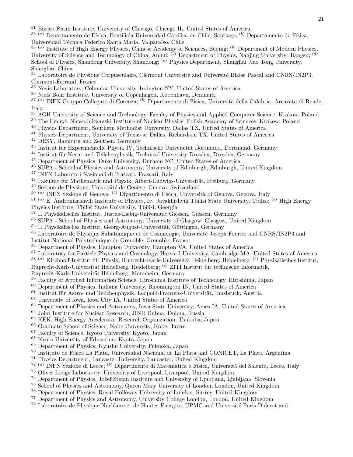<sup>31</sup> Enrico Fermi Institute, University of Chicago, Chicago IL, United States of America

 $32(a)$  Departamento de Física, Pontificia Universidad Católica de Chile, Santiago; (b) Departamento de Física,

Universidad Técnica Federico Santa María, Valparaíso, Chile

<sup>33 (a)</sup> Institute of High Energy Physics, Chinese Academy of Sciences, Beijing; <sup>(b)</sup> Department of Modern Physics, University of Science and Technology of China, Anhui; <sup>(c)</sup> Department of Physics, Nanjing University, Jiangsu; <sup>(d)</sup> School of Physics, Shandong University, Shandong; <sup>(e)</sup> Physics Department, Shanghai Jiao Tong University, Shanghai, China

 $34$  Laboratoire de Physique Corpusculaire, Clermont Université and Université Blaise Pascal and CNRS/IN2P3, Clermont-Ferrand, France

- <sup>35</sup> Nevis Laboratory, Columbia University, Irvington NY, United States of America
- <sup>36</sup> Niels Bohr Institute, University of Copenhagen, Kobenhavn, Denmark

<sup>37 (a)</sup> INFN Gruppo Collegato di Cosenza; <sup>(b)</sup> Dipartimento di Fisica, Università della Calabria, Arcavata di Rende, Italy

- <sup>38</sup> AGH University of Science and Technology, Faculty of Physics and Applied Computer Science, Krakow, Poland
- <sup>39</sup> The Henryk Niewodniczanski Institute of Nuclear Physics, Polish Academy of Sciences, Krakow, Poland
- <sup>40</sup> Physics Department, Southern Methodist University, Dallas TX, United States of America
- <sup>41</sup> Physics Department, University of Texas at Dallas, Richardson TX, United States of America
- <sup>42</sup> DESY, Hamburg and Zeuthen, Germany
- $43$  Institut für Experimentelle Physik IV, Technische Universität Dortmund, Dortmund, Germany
- <sup>44</sup> Institut für Kern- und Teilchenphysik, Technical University Dresden, Dresden, Germany
- <sup>45</sup> Department of Physics, Duke University, Durham NC, United States of America
- <sup>46</sup> SUPA School of Physics and Astronomy, University of Edinburgh, Edinburgh, United Kingdom
- <sup>47</sup> INFN Laboratori Nazionali di Frascati, Frascati, Italy
- <sup>48</sup> Fakultät für Mathematik und Physik, Albert-Ludwigs-Universität, Freiburg, Germany
- <sup>49</sup> Section de Physique, Université de Genève, Geneva, Switzerland
- <sup>50 (a)</sup> INFN Sezione di Genova; <sup>(b)</sup> Dipartimento di Fisica, Università di Genova, Genova, Italy

 $^{51}$  (a) E. Andronikashvili Institute of Physics, Iv. Javakhishvili Tbilisi State University, Tbilisi; (b) High Energy

- Physics Institute, Tbilisi State University, Tbilisi, Georgia
- $^{52}$  II Physikalisches Institut, Justus-Liebig-Universität Giessen, Giessen, Germany
- <sup>53</sup> SUPA School of Physics and Astronomy, University of Glasgow, Glasgow, United Kingdom
- $54$  II Physikalisches Institut, Georg-August-Universität, Göttingen, Germany
- <sup>55</sup> Laboratoire de Physique Subatomique et de Cosmologie, Université Joseph Fourier and CNRS/IN2P3 and Institut National Polytechnique de Grenoble, Grenoble, France
- <sup>56</sup> Department of Physics, Hampton University, Hampton VA, United States of America
- <sup>57</sup> Laboratory for Particle Physics and Cosmology, Harvard University, Cambridge MA, United States of America
- $^{58}$  (a) Kirchhoff-Institut für Physik, Ruprecht-Karls-Universität Heidelberg, Heidelberg; (b) Physikalisches Institut,

Ruprecht-Karls-Universität Heidelberg, Heidelberg; <sup>(c)</sup> ZITI Institut für technische Informatik,

Ruprecht-Karls-Universität Heidelberg, Mannheim, Germany

- <sup>59</sup> Faculty of Applied Information Science, Hiroshima Institute of Technology, Hiroshima, Japan
- <sup>60</sup> Department of Physics, Indiana University, Bloomington IN, United States of America
- $61$  Institut für Astro- und Teilchenphysik, Leopold-Franzens-Universität, Innsbruck, Austria
- <sup>62</sup> University of Iowa, Iowa City IA, United States of America
- <sup>63</sup> Department of Physics and Astronomy, Iowa State University, Ames IA, United States of America
- <sup>64</sup> Joint Institute for Nuclear Research, JINR Dubna, Dubna, Russia
- <sup>65</sup> KEK, High Energy Accelerator Research Organization, Tsukuba, Japan
- <sup>66</sup> Graduate School of Science, Kobe University, Kobe, Japan
- <sup>67</sup> Faculty of Science, Kyoto University, Kyoto, Japan
- <sup>68</sup> Kyoto University of Education, Kyoto, Japan
- <sup>69</sup> Department of Physics, Kyushu University, Fukuoka, Japan
- <sup>70</sup> Instituto de Física La Plata, Universidad Nacional de La Plata and CONICET, La Plata, Argentina
- <sup>71</sup> Physics Department, Lancaster University, Lancaster, United Kingdom
- <sup>72 (a)</sup> INFN Sezione di Lecce; <sup>(b)</sup> Dipartimento di Matematica e Fisica, Università del Salento, Lecce, Italy
- <sup>73</sup> Oliver Lodge Laboratory, University of Liverpool, Liverpool, United Kingdom
- <sup>74</sup> Department of Physics, Jožef Stefan Institute and University of Ljubliana, Ljubliana, Slovenia
- <sup>75</sup> School of Physics and Astronomy, Queen Mary University of London, London, United Kingdom
- <sup>76</sup> Department of Physics, Royal Holloway University of London, Surrey, United Kingdom
- <sup>77</sup> Department of Physics and Astronomy, University College London, London, United Kingdom
- <sup>78</sup> Laboratoire de Physique Nucléaire et de Hautes Energies, UPMC and Université Paris-Diderot and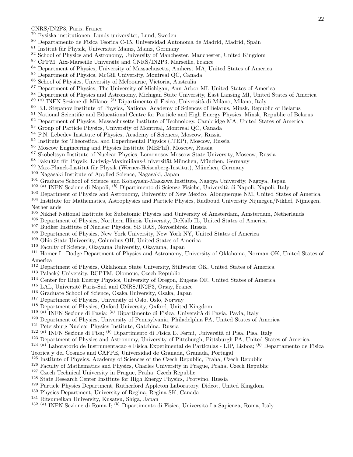### CNRS/IN2P3, Paris, France

- Fysiska institutionen, Lunds universitet, Lund, Sweden
- Departamento de Fisica Teorica C-15, Universidad Autonoma de Madrid, Madrid, Spain
- Institut für Physik, Universität Mainz, Mainz, Germany
- School of Physics and Astronomy, University of Manchester, Manchester, United Kingdom
- <sup>83</sup> CPPM, Aix-Marseille Université and CNRS/IN2P3, Marseille, France
- Department of Physics, University of Massachusetts, Amherst MA, United States of America
- Department of Physics, McGill University, Montreal QC, Canada
- School of Physics, University of Melbourne, Victoria, Australia
- Department of Physics, The University of Michigan, Ann Arbor MI, United States of America<br> $88$  Department of Physics and Astronomy Michigan State University East Lansing MI, United St
- Department of Physics and Astronomy, Michigan State University, East Lansing MI, United States of America
- <sup>89 (a)</sup> INFN Sezione di Milano; <sup>(b)</sup> Dipartimento di Fisica, Università di Milano, Milano, Italy
- B.I. Stepanov Institute of Physics, National Academy of Sciences of Belarus, Minsk, Republic of Belarus
- National Scientific and Educational Centre for Particle and High Energy Physics, Minsk, Republic of Belarus
- <sup>92</sup> Department of Physics, Massachusetts Institute of Technology, Cambridge MA, United States of America
- <sup>93</sup> Group of Particle Physics, University of Montreal, Montreal QC, Canada
- <sup>94</sup> P.N. Lebedev Institute of Physics, Academy of Sciences, Moscow, Russia
- Institute for Theoretical and Experimental Physics (ITEP), Moscow, Russia
- Moscow Engineering and Physics Institute (MEPhI), Moscow, Russia
- <sup>97</sup> Skobeltsyn Institute of Nuclear Physics, Lomonosov Moscow State University, Moscow, Russia
- 98 Fakultät für Physik, Ludwig-Maximilians-Universität München, München, Germany
- Max-Planck-Institut für Physik (Werner-Heisenberg-Institut), München, Germany
- Nagasaki Institute of Applied Science, Nagasaki, Japan
- Graduate School of Science and Kobayashi-Maskawa Institute, Nagoya University, Nagoya, Japan
- <sup>102 (a)</sup> INFN Sezione di Napoli; <sup>(b)</sup> Dipartimento di Scienze Fisiche, Università di Napoli, Napoli, Italy
- Department of Physics and Astronomy, University of New Mexico, Albuquerque NM, United States of America
- Institute for Mathematics, Astrophysics and Particle Physics, Radboud University Nijmegen/Nikhef, Nijmegen,
- Netherlands
- Nikhef National Institute for Subatomic Physics and University of Amsterdam, Amsterdam, Netherlands
- Department of Physics, Northern Illinois University, DeKalb IL, United States of America
- Budker Institute of Nuclear Physics, SB RAS, Novosibirsk, Russia
- Department of Physics, New York University, New York NY, United States of America
- Ohio State University, Columbus OH, United States of America
- Faculty of Science, Okayama University, Okayama, Japan

 Homer L. Dodge Department of Physics and Astronomy, University of Oklahoma, Norman OK, United States of America

- Department of Physics, Oklahoma State University, Stillwater OK, United States of America
- <sup>113</sup> Palacký University, RCPTM, Olomouc, Czech Republic
- Center for High Energy Physics, University of Oregon, Eugene OR, United States of America
- <sup>115</sup> LAL, Université Paris-Sud and CNRS/IN2P3, Orsay, France
- Graduate School of Science, Osaka University, Osaka, Japan
- Department of Physics, University of Oslo, Oslo, Norway
- Department of Physics, Oxford University, Oxford, United Kingdom
- <sup>119 (a)</sup> INFN Sezione di Pavia; <sup>(b)</sup> Dipartimento di Fisica, Università di Pavia, Pavia, Italy
- Department of Physics, University of Pennsylvania, Philadelphia PA, United States of America
- Petersburg Nuclear Physics Institute, Gatchina, Russia
- <sup>122 (a)</sup> INFN Sezione di Pisa; <sup>(b)</sup> Dipartimento di Fisica E. Fermi, Università di Pisa, Pisa, Italy
- Department of Physics and Astronomy, University of Pittsburgh, Pittsburgh PA, United States of America

<sup>124 (a)</sup> Laboratorio de Instrumentacao e Fisica Experimental de Particulas - LIP, Lisboa; <sup>(b)</sup> Departamento de Fisica

- Teorica y del Cosmos and CAFPE, Universidad de Granada, Granada, Portugal
- Institute of Physics, Academy of Sciences of the Czech Republic, Praha, Czech Republic
- Faculty of Mathematics and Physics, Charles University in Prague, Praha, Czech Republic
- Czech Technical University in Prague, Praha, Czech Republic
- State Research Center Institute for High Energy Physics, Protvino, Russia
- Particle Physics Department, Rutherford Appleton Laboratory, Didcot, United Kingdom
- Physics Department, University of Regina, Regina SK, Canada
- 
- <sup>131</sup> Ritsumeikan University, Kusatsu, Shiga, Japan<br><sup>132 (a)</sup> INFN Sezione di Roma I; <sup>(b)</sup> Dipartimento di Fisica, Università La Sapienza, Roma, Italy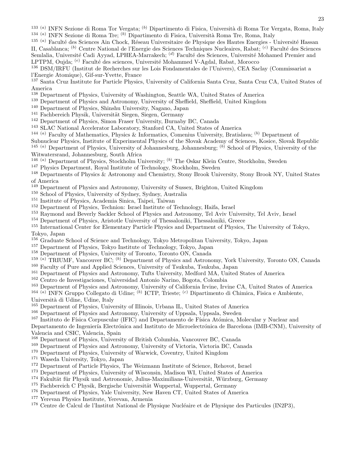<sup>133 (a)</sup> INFN Sezione di Roma Tor Vergata; <sup>(b)</sup> Dipartimento di Fisica, Università di Roma Tor Vergata, Roma, Italy <sup>134 (a)</sup> INFN Sezione di Roma Tre; <sup>(b)</sup> Dipartimento di Fisica, Università Roma Tre, Roma, Italy

<sup>135 (a)</sup> Faculté des Sciences Ain Chock, Réseau Universitaire de Physique des Hautes Energies - Université Hassan II, Casablanca; <sup>(b)</sup> Centre National de l'Energie des Sciences Techniques Nucleaires, Rabat; <sup>(c)</sup> Faculté des Sciences Semlalia, Université Cadi Ayyad, LPHEA-Marrakech; <sup>(d)</sup> Faculté des Sciences, Université Mohamed Premier and LPTPM, Oujda; <sup>(e)</sup> Faculté des sciences, Université Mohammed V-Agdal, Rabat, Morocco

<sup>136</sup> DSM/IRFU (Institut de Recherches sur les Lois Fondamentales de l'Univers), CEA Saclay (Commissariat a l'Energie Atomique), Gif-sur-Yvette, France

<sup>137</sup> Santa Cruz Institute for Particle Physics, University of California Santa Cruz, Santa Cruz CA, United States of America

- <sup>138</sup> Department of Physics, University of Washington, Seattle WA, United States of America
- <sup>139</sup> Department of Physics and Astronomy, University of Sheffield, Sheffield, United Kingdom
- <sup>140</sup> Department of Physics, Shinshu University, Nagano, Japan
- <sup>141</sup> Fachbereich Physik, Universität Siegen, Siegen, Germany
- <sup>142</sup> Department of Physics, Simon Fraser University, Burnaby BC, Canada
- <sup>143</sup> SLAC National Accelerator Laboratory, Stanford CA, United States of America
- <sup>144 (a)</sup> Faculty of Mathematics, Physics & Informatics, Comenius University, Bratislava; <sup>(b)</sup> Department of

Subnuclear Physics, Institute of Experimental Physics of the Slovak Academy of Sciences, Kosice, Slovak Republic <sup>145 (a)</sup> Department of Physics, University of Johannesburg, Johannesburg;  $(b)$  School of Physics, University of the Witwatersrand, Johannesburg, South Africa

- <sup>146 (a)</sup> Department of Physics, Stockholm University; <sup>(b)</sup> The Oskar Klein Centre, Stockholm, Sweden
- <sup>147</sup> Physics Department, Royal Institute of Technology, Stockholm, Sweden
- <sup>148</sup> Departments of Physics & Astronomy and Chemistry, Stony Brook University, Stony Brook NY, United States of America
- <sup>149</sup> Department of Physics and Astronomy, University of Sussex, Brighton, United Kingdom
- <sup>150</sup> School of Physics, University of Sydney, Sydney, Australia
- <sup>151</sup> Institute of Physics, Academia Sinica, Taipei, Taiwan
- <sup>152</sup> Department of Physics, Technion: Israel Institute of Technology, Haifa, Israel
- <sup>153</sup> Raymond and Beverly Sackler School of Physics and Astronomy, Tel Aviv University, Tel Aviv, Israel
- <sup>154</sup> Department of Physics, Aristotle University of Thessaloniki, Thessaloniki, Greece

<sup>155</sup> International Center for Elementary Particle Physics and Department of Physics, The University of Tokyo, Tokyo, Japan

- <sup>156</sup> Graduate School of Science and Technology, Tokyo Metropolitan University, Tokyo, Japan
- <sup>157</sup> Department of Physics, Tokyo Institute of Technology, Tokyo, Japan
- <sup>158</sup> Department of Physics, University of Toronto, Toronto ON, Canada
- 159 (a) TRIUMF, Vancouver BC; (b) Department of Physics and Astronomy, York University, Toronto ON, Canada
- <sup>160</sup> Faculty of Pure and Applied Sciences, University of Tsukuba, Tsukuba, Japan
- <sup>161</sup> Department of Physics and Astronomy, Tufts University, Medford MA, United States of America
- <sup>162</sup> Centro de Investigaciones, Universidad Antonio Narino, Bogota, Colombia
- <sup>163</sup> Department of Physics and Astronomy, University of California Irvine, Irvine CA, United States of America

<sup>164 (a)</sup> INFN Gruppo Collegato di Udine; <sup>(b)</sup> ICTP, Trieste; <sup>(c)</sup> Dipartimento di Chimica, Fisica e Ambiente,

- Università di Udine, Udine, Italy
- <sup>165</sup> Department of Physics, University of Illinois, Urbana IL, United States of America
- <sup>166</sup> Department of Physics and Astronomy, University of Uppsala, Uppsala, Sweden
- <sup>167</sup> Instituto de Física Corpuscular (IFIC) and Departamento de Física Atómica, Molecular y Nuclear and

Departamento de Ingeniería Electrónica and Instituto de Microelectrónica de Barcelona (IMB-CNM), University of Valencia and CSIC, Valencia, Spain

- <sup>168</sup> Department of Physics, University of British Columbia, Vancouver BC, Canada
- <sup>169</sup> Department of Physics and Astronomy, University of Victoria, Victoria BC, Canada
- <sup>170</sup> Department of Physics, University of Warwick, Coventry, United Kingdom
- <sup>171</sup> Waseda University, Tokyo, Japan
- <sup>172</sup> Department of Particle Physics, The Weizmann Institute of Science, Rehovot, Israel
- <sup>173</sup> Department of Physics, University of Wisconsin, Madison WI, United States of America
- <sup>174</sup> Fakultät für Physik und Astronomie, Julius-Maximilians-Universität, Würzburg, Germany
- <sup>175</sup> Fachbereich C Physik, Bergische Universität Wuppertal, Wuppertal, Germany
- <sup>176</sup> Department of Physics, Yale University, New Haven CT, United States of America
- <sup>177</sup> Yerevan Physics Institute, Yerevan, Armenia
- <sup>178</sup> Centre de Calcul de l'Institut National de Physique Nucléaire et de Physique des Particules (IN2P3),